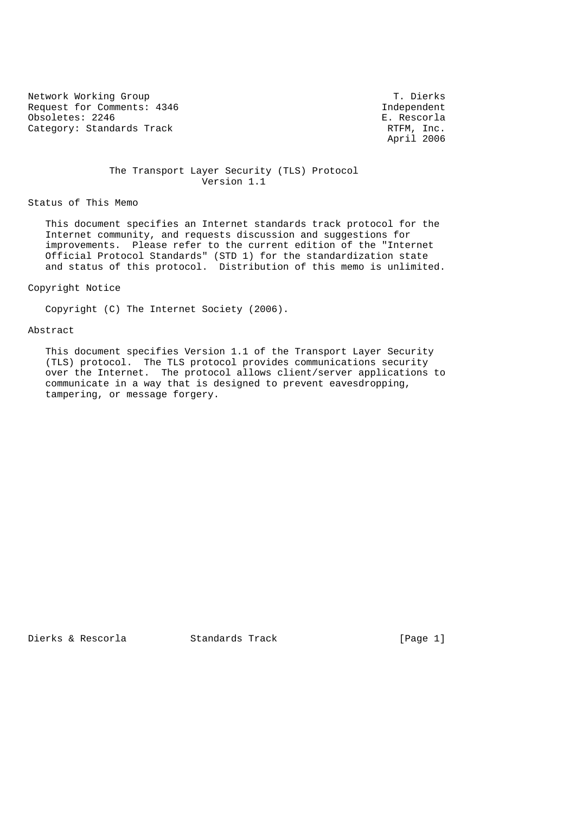Network Working Group T. Dierks Request for Comments: 4346 Independent Obsoletes: 2246 E. Rescorla Category: Standards Track RTFM, Inc.

April 2006

 The Transport Layer Security (TLS) Protocol Version 1.1

Status of This Memo

 This document specifies an Internet standards track protocol for the Internet community, and requests discussion and suggestions for improvements. Please refer to the current edition of the "Internet Official Protocol Standards" (STD 1) for the standardization state and status of this protocol. Distribution of this memo is unlimited.

Copyright Notice

Copyright (C) The Internet Society (2006).

#### Abstract

 This document specifies Version 1.1 of the Transport Layer Security (TLS) protocol. The TLS protocol provides communications security over the Internet. The protocol allows client/server applications to communicate in a way that is designed to prevent eavesdropping, tampering, or message forgery.

Dierks & Rescorla Standards Track [Page 1]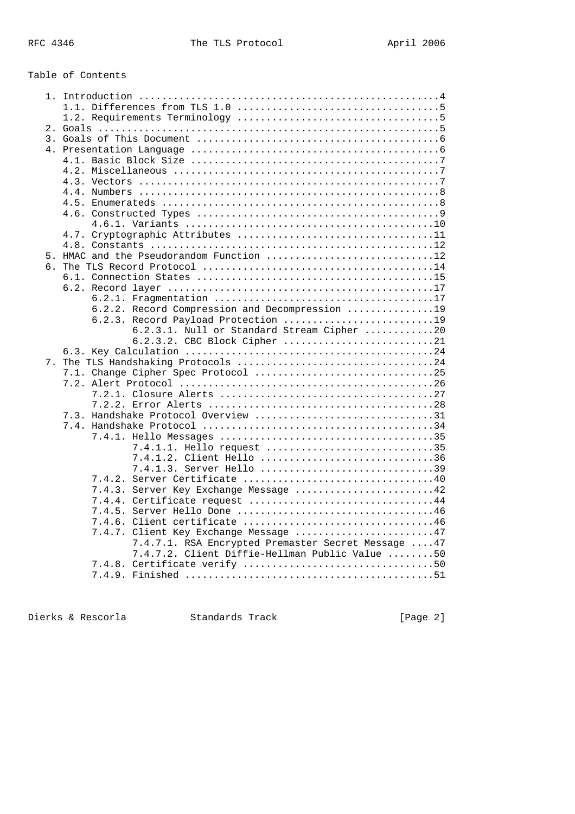# Table of Contents

| 5. HMAC and the Pseudorandom Function 12            |  |
|-----------------------------------------------------|--|
|                                                     |  |
|                                                     |  |
|                                                     |  |
|                                                     |  |
| 6.2.2. Record Compression and Decompression 19      |  |
| 6.2.3. Record Payload Protection 19                 |  |
| 6.2.3.1. Null or Standard Stream Cipher 20          |  |
| 6.2.3.2. CBC Block Cipher 21                        |  |
|                                                     |  |
|                                                     |  |
|                                                     |  |
|                                                     |  |
|                                                     |  |
|                                                     |  |
| 7.3. Handshake Protocol Overview 31                 |  |
|                                                     |  |
|                                                     |  |
| 7.4.1.1. Hello request 35                           |  |
| 7.4.1.2. Client Hello 36                            |  |
| 7.4.1.3. Server Hello 39                            |  |
|                                                     |  |
| 7.4.3. Server Key Exchange Message 42               |  |
| 7.4.4. Certificate request 44                       |  |
| 7.4.5.<br>Server Hello Done 46                      |  |
|                                                     |  |
| 7.4.7. Client Key Exchange Message 47               |  |
| 7.4.7.1. RSA Encrypted Premaster Secret Message  47 |  |
| 7.4.7.2. Client Diffie-Hellman Public Value 50      |  |
|                                                     |  |
|                                                     |  |
|                                                     |  |

Dierks & Rescorla Standards Track [Page 2]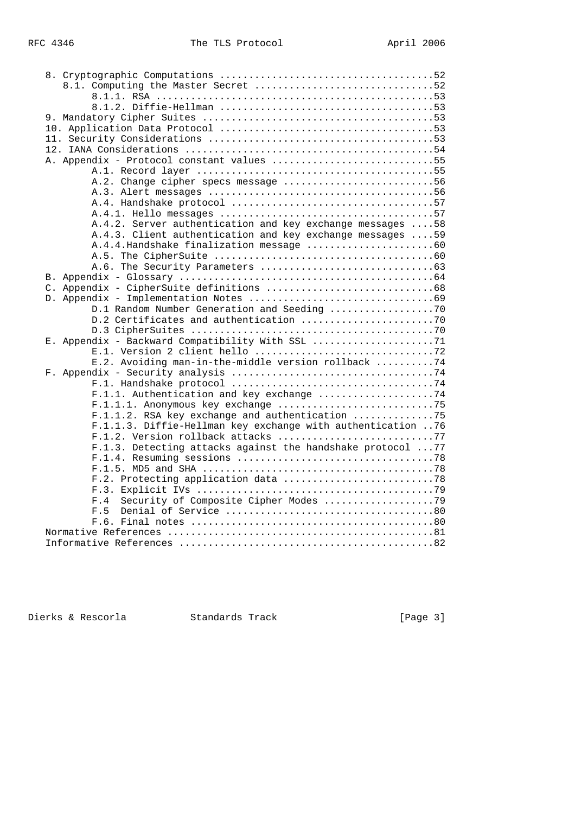| 8.1. Computing the Master Secret 52                         |  |
|-------------------------------------------------------------|--|
|                                                             |  |
|                                                             |  |
|                                                             |  |
|                                                             |  |
|                                                             |  |
|                                                             |  |
| A. Appendix - Protocol constant values 55                   |  |
|                                                             |  |
| A.2. Change cipher specs message 56                         |  |
|                                                             |  |
|                                                             |  |
|                                                             |  |
| A.4.2. Server authentication and key exchange messages  58  |  |
| A.4.3. Client authentication and key exchange messages 59   |  |
|                                                             |  |
|                                                             |  |
|                                                             |  |
|                                                             |  |
|                                                             |  |
|                                                             |  |
| D.1 Random Number Generation and Seeding 70                 |  |
|                                                             |  |
|                                                             |  |
|                                                             |  |
| E.2. Avoiding man-in-the-middle version rollback 74         |  |
|                                                             |  |
|                                                             |  |
| F.1.1. Authentication and key exchange 74                   |  |
|                                                             |  |
| F.1.1.2. RSA key exchange and authentication 75             |  |
| F.1.1.3. Diffie-Hellman key exchange with authentication 76 |  |
| F.1.2. Version rollback attacks 77                          |  |
| F.1.3. Detecting attacks against the handshake protocol  77 |  |
|                                                             |  |
|                                                             |  |
|                                                             |  |
|                                                             |  |
| Security of Composite Cipher Modes 79<br>F.4                |  |
| F.5                                                         |  |
|                                                             |  |
|                                                             |  |
|                                                             |  |
|                                                             |  |

Dierks & Rescorla Standards Track [Page 3]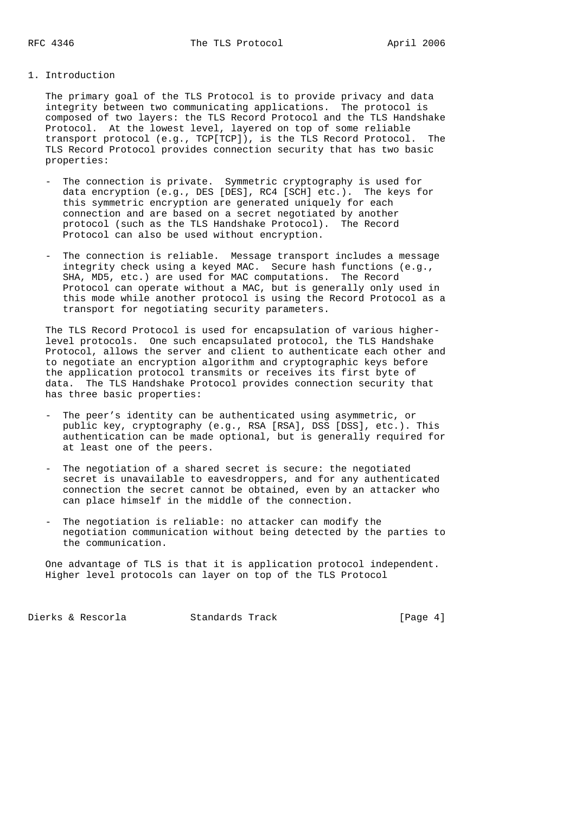## 1. Introduction

 The primary goal of the TLS Protocol is to provide privacy and data integrity between two communicating applications. The protocol is composed of two layers: the TLS Record Protocol and the TLS Handshake Protocol. At the lowest level, layered on top of some reliable transport protocol (e.g., TCP[TCP]), is the TLS Record Protocol. The TLS Record Protocol provides connection security that has two basic properties:

- The connection is private. Symmetric cryptography is used for data encryption (e.g., DES [DES], RC4 [SCH] etc.). The keys for this symmetric encryption are generated uniquely for each connection and are based on a secret negotiated by another protocol (such as the TLS Handshake Protocol). The Record Protocol can also be used without encryption.
- The connection is reliable. Message transport includes a message integrity check using a keyed MAC. Secure hash functions (e.g., SHA, MD5, etc.) are used for MAC computations. The Record Protocol can operate without a MAC, but is generally only used in this mode while another protocol is using the Record Protocol as a transport for negotiating security parameters.

 The TLS Record Protocol is used for encapsulation of various higher level protocols. One such encapsulated protocol, the TLS Handshake Protocol, allows the server and client to authenticate each other and to negotiate an encryption algorithm and cryptographic keys before the application protocol transmits or receives its first byte of data. The TLS Handshake Protocol provides connection security that has three basic properties:

- The peer's identity can be authenticated using asymmetric, or public key, cryptography (e.g., RSA [RSA], DSS [DSS], etc.). This authentication can be made optional, but is generally required for at least one of the peers.
- The negotiation of a shared secret is secure: the negotiated secret is unavailable to eavesdroppers, and for any authenticated connection the secret cannot be obtained, even by an attacker who can place himself in the middle of the connection.
- The negotiation is reliable: no attacker can modify the negotiation communication without being detected by the parties to the communication.

 One advantage of TLS is that it is application protocol independent. Higher level protocols can layer on top of the TLS Protocol

Dierks & Rescorla Standards Track [Page 4]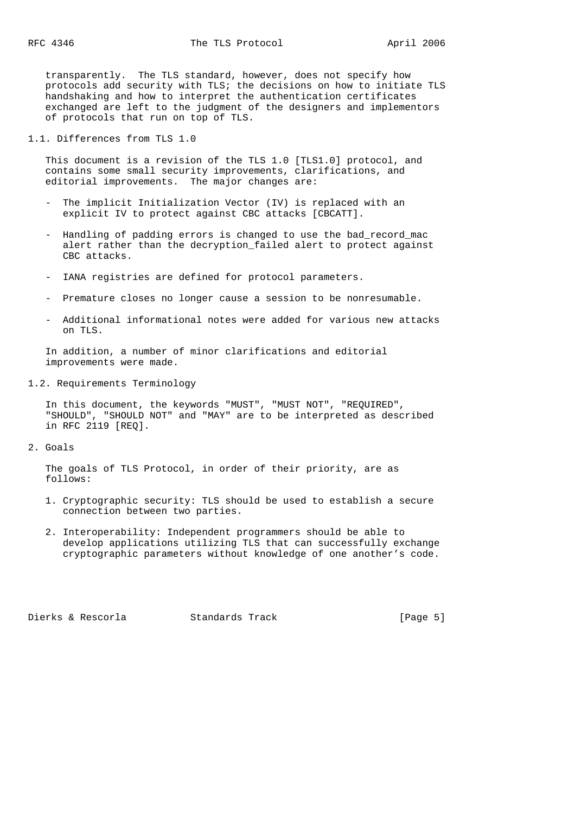transparently. The TLS standard, however, does not specify how protocols add security with TLS; the decisions on how to initiate TLS handshaking and how to interpret the authentication certificates exchanged are left to the judgment of the designers and implementors of protocols that run on top of TLS.

1.1. Differences from TLS 1.0

 This document is a revision of the TLS 1.0 [TLS1.0] protocol, and contains some small security improvements, clarifications, and editorial improvements. The major changes are:

- The implicit Initialization Vector (IV) is replaced with an explicit IV to protect against CBC attacks [CBCATT].
- Handling of padding errors is changed to use the bad\_record\_mac alert rather than the decryption\_failed alert to protect against CBC attacks.
- IANA registries are defined for protocol parameters.
- Premature closes no longer cause a session to be nonresumable.
- Additional informational notes were added for various new attacks on TLS.

 In addition, a number of minor clarifications and editorial improvements were made.

1.2. Requirements Terminology

 In this document, the keywords "MUST", "MUST NOT", "REQUIRED", "SHOULD", "SHOULD NOT" and "MAY" are to be interpreted as described in RFC 2119 [REQ].

2. Goals

 The goals of TLS Protocol, in order of their priority, are as follows:

- 1. Cryptographic security: TLS should be used to establish a secure connection between two parties.
- 2. Interoperability: Independent programmers should be able to develop applications utilizing TLS that can successfully exchange cryptographic parameters without knowledge of one another's code.

Dierks & Rescorla Standards Track [Page 5]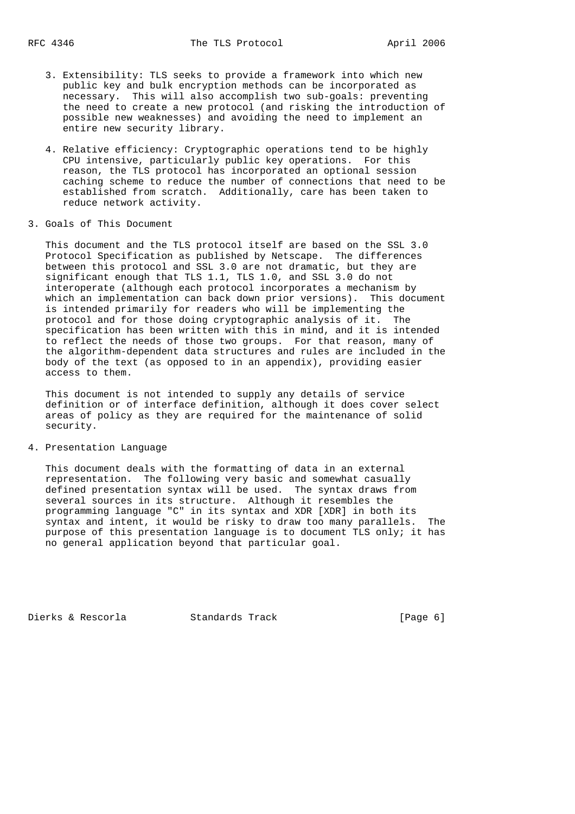- 3. Extensibility: TLS seeks to provide a framework into which new public key and bulk encryption methods can be incorporated as necessary. This will also accomplish two sub-goals: preventing the need to create a new protocol (and risking the introduction of possible new weaknesses) and avoiding the need to implement an entire new security library.
- 4. Relative efficiency: Cryptographic operations tend to be highly CPU intensive, particularly public key operations. For this reason, the TLS protocol has incorporated an optional session caching scheme to reduce the number of connections that need to be established from scratch. Additionally, care has been taken to reduce network activity.
- 3. Goals of This Document

 This document and the TLS protocol itself are based on the SSL 3.0 Protocol Specification as published by Netscape. The differences between this protocol and SSL 3.0 are not dramatic, but they are significant enough that TLS 1.1, TLS 1.0, and SSL 3.0 do not interoperate (although each protocol incorporates a mechanism by which an implementation can back down prior versions). This document is intended primarily for readers who will be implementing the protocol and for those doing cryptographic analysis of it. The specification has been written with this in mind, and it is intended to reflect the needs of those two groups. For that reason, many of the algorithm-dependent data structures and rules are included in the body of the text (as opposed to in an appendix), providing easier access to them.

 This document is not intended to supply any details of service definition or of interface definition, although it does cover select areas of policy as they are required for the maintenance of solid security.

## 4. Presentation Language

 This document deals with the formatting of data in an external representation. The following very basic and somewhat casually defined presentation syntax will be used. The syntax draws from several sources in its structure. Although it resembles the programming language "C" in its syntax and XDR [XDR] in both its syntax and intent, it would be risky to draw too many parallels. The purpose of this presentation language is to document TLS only; it has no general application beyond that particular goal.

Dierks & Rescorla Standards Track [Page 6]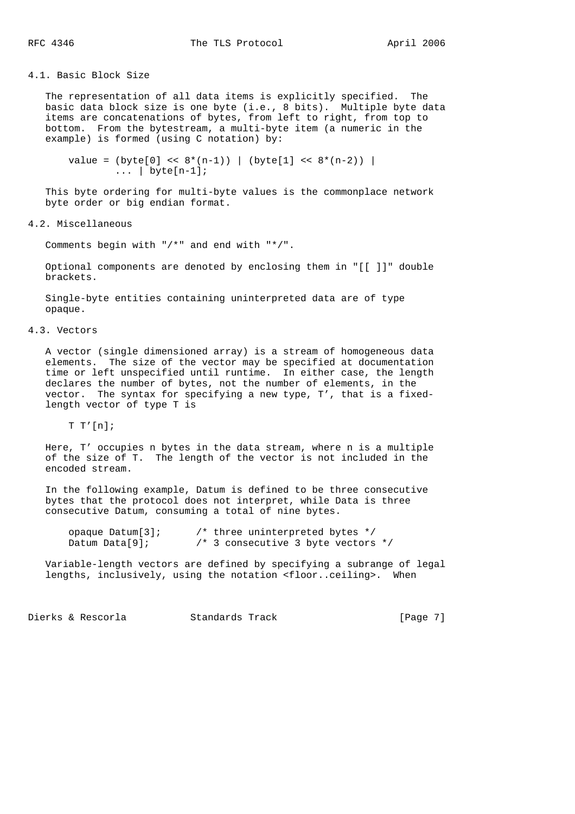## 4.1. Basic Block Size

 The representation of all data items is explicitly specified. The basic data block size is one byte (i.e., 8 bits). Multiple byte data items are concatenations of bytes, from left to right, from top to bottom. From the bytestream, a multi-byte item (a numeric in the example) is formed (using C notation) by:

value =  $(byte[0] << 8*(n-1))$  |  $(byte[1] << 8*(n-2))$  |  $\ldots$  | byte[n-1];

 This byte ordering for multi-byte values is the commonplace network byte order or big endian format.

4.2. Miscellaneous

Comments begin with "/\*" and end with "\*/".

 Optional components are denoted by enclosing them in "[[ ]]" double brackets.

 Single-byte entities containing uninterpreted data are of type opaque.

4.3. Vectors

 A vector (single dimensioned array) is a stream of homogeneous data elements. The size of the vector may be specified at documentation time or left unspecified until runtime. In either case, the length declares the number of bytes, not the number of elements, in the vector. The syntax for specifying a new type, T', that is a fixed length vector of type T is

 $T T'[n];$ 

 Here, T' occupies n bytes in the data stream, where n is a multiple of the size of T. The length of the vector is not included in the encoded stream.

 In the following example, Datum is defined to be three consecutive bytes that the protocol does not interpret, while Data is three consecutive Datum, consuming a total of nine bytes.

| opaque $Datum[3]$ ; | $\prime$ * three uninterpreted bytes */ |  |
|---------------------|-----------------------------------------|--|
| Datum Data $[9]$ ;  | /* 3 consecutive 3 byte vectors $*/$    |  |

 Variable-length vectors are defined by specifying a subrange of legal lengths, inclusively, using the notation <floor..ceiling>. When

Dierks & Rescorla Standards Track [Page 7]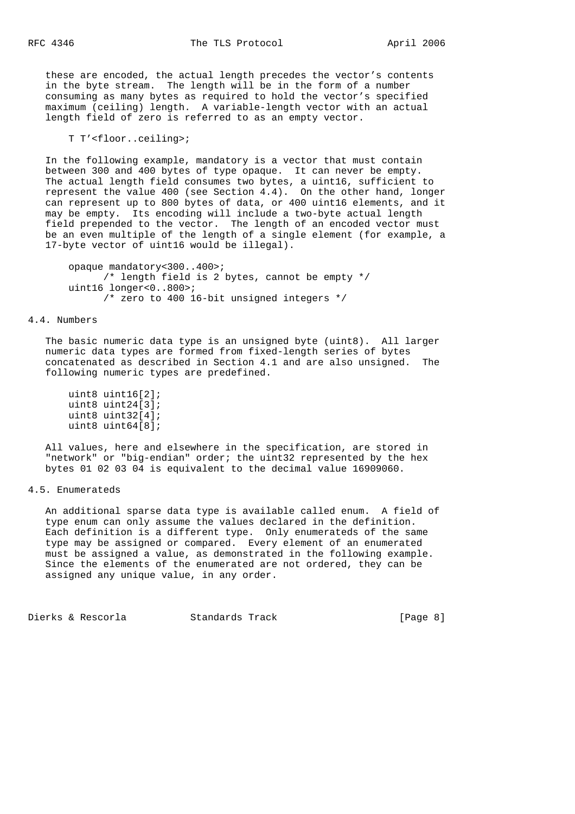these are encoded, the actual length precedes the vector's contents in the byte stream. The length will be in the form of a number consuming as many bytes as required to hold the vector's specified maximum (ceiling) length. A variable-length vector with an actual length field of zero is referred to as an empty vector.

T T'<floor..ceiling>;

 In the following example, mandatory is a vector that must contain between 300 and 400 bytes of type opaque. It can never be empty. The actual length field consumes two bytes, a uint16, sufficient to represent the value 400 (see Section 4.4). On the other hand, longer can represent up to 800 bytes of data, or 400 uint16 elements, and it may be empty. Its encoding will include a two-byte actual length field prepended to the vector. The length of an encoded vector must be an even multiple of the length of a single element (for example, a 17-byte vector of uint16 would be illegal).

```
 opaque mandatory<300..400>;
      /* length field is 2 bytes, cannot be empty */
 uint16 longer<0..800>;
      /* zero to 400 16-bit unsigned integers */
```
#### 4.4. Numbers

 The basic numeric data type is an unsigned byte (uint8). All larger numeric data types are formed from fixed-length series of bytes concatenated as described in Section 4.1 and are also unsigned. The following numeric types are predefined.

```
 uint8 uint16[2];
 uint8 uint24[3];
 uint8 uint32[4];
 uint8 uint64[8];
```
 All values, here and elsewhere in the specification, are stored in "network" or "big-endian" order; the uint32 represented by the hex bytes 01 02 03 04 is equivalent to the decimal value 16909060.

## 4.5. Enumerateds

 An additional sparse data type is available called enum. A field of type enum can only assume the values declared in the definition. Each definition is a different type. Only enumerateds of the same type may be assigned or compared. Every element of an enumerated must be assigned a value, as demonstrated in the following example. Since the elements of the enumerated are not ordered, they can be assigned any unique value, in any order.

Dierks & Rescorla Standards Track [Page 8]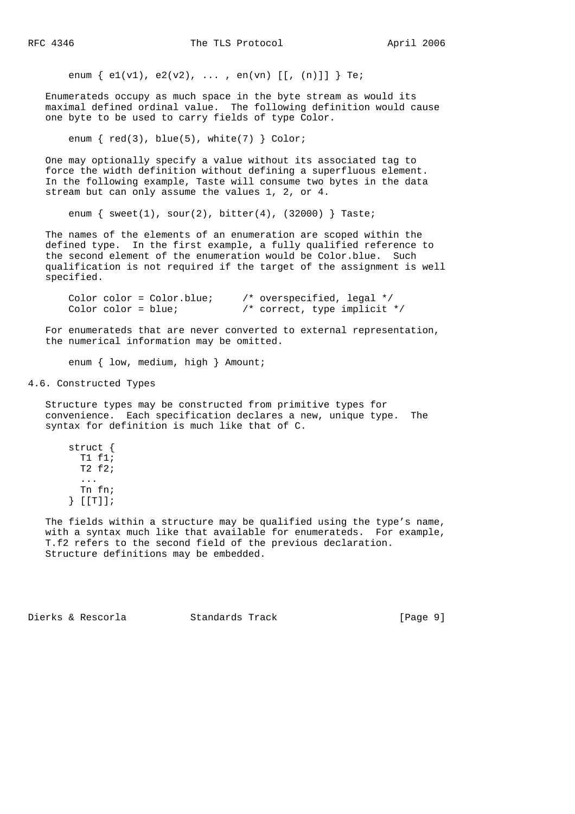enum  $\{ e1(v1), e2(v2), ..., en(vn) [[, (n)]] \}$  Te;

 Enumerateds occupy as much space in the byte stream as would its maximal defined ordinal value. The following definition would cause one byte to be used to carry fields of type Color.

enum  $\{red(3), blue(5), white(7) \} Color;$ 

 One may optionally specify a value without its associated tag to force the width definition without defining a superfluous element. In the following example, Taste will consume two bytes in the data stream but can only assume the values 1, 2, or 4.

enum  $\{$  sweet(1), sour(2), bitter(4), (32000)  $\}$  Taste;

 The names of the elements of an enumeration are scoped within the defined type. In the first example, a fully qualified reference to the second element of the enumeration would be Color.blue. Such qualification is not required if the target of the assignment is well specified.

Color color = Color.blue;  $\qquad$  /\* overspecified, legal \*/ Color color = blue;  $/*$  correct, type implicit \*/

 For enumerateds that are never converted to external representation, the numerical information may be omitted.

enum { low, medium, high } Amount;

4.6. Constructed Types

 Structure types may be constructed from primitive types for convenience. Each specification declares a new, unique type. The syntax for definition is much like that of C.

 struct { T1 f1; T2 f2; ... Tn fn; } [[T]];

 The fields within a structure may be qualified using the type's name, with a syntax much like that available for enumerateds. For example, T.f2 refers to the second field of the previous declaration. Structure definitions may be embedded.

Dierks & Rescorla Standards Track [Page 9]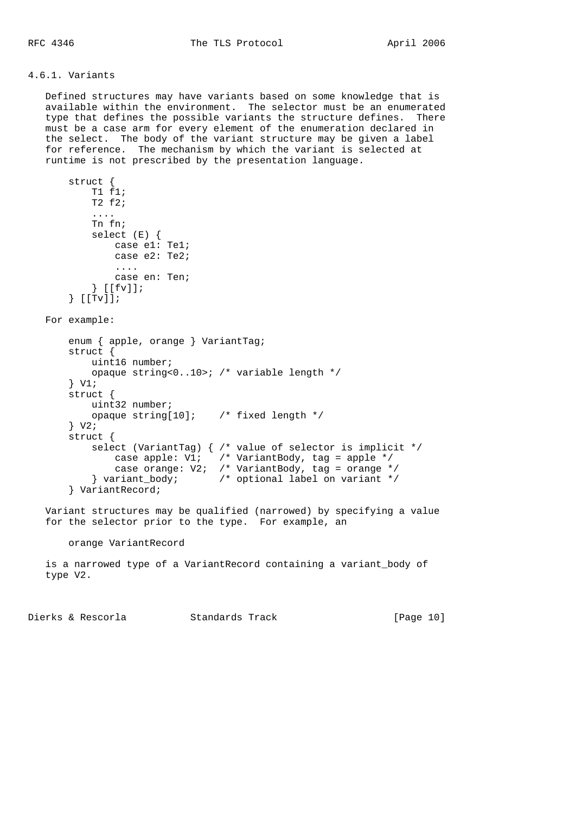## 4.6.1. Variants

 struct { T1 f1;

 Defined structures may have variants based on some knowledge that is available within the environment. The selector must be an enumerated type that defines the possible variants the structure defines. There must be a case arm for every element of the enumeration declared in the select. The body of the variant structure may be given a label for reference. The mechanism by which the variant is selected at runtime is not prescribed by the presentation language.

```
 T2 f2;
         ....
         Tn fn;
        select (E) {
            case e1: Te1;
             case e2: Te2;
             ....
             case en: Ten;
         } [[fv]];
     } [[Tv]];
 For example:
     enum { apple, orange } VariantTag;
     struct {
        uint16 number;
         opaque string<0..10>; /* variable length */
     } V1;
     struct {
         uint32 number;
         opaque string[10]; /* fixed length */
     } V2;
     struct {
         select (VariantTag) { /* value of selector is implicit */
           case apple: V1; \prime* VariantBody, tag = apple */
             case orange: V2; /* VariantBody, tag = orange */
         } variant_body; /* optional label on variant */
     } VariantRecord;
```
 Variant structures may be qualified (narrowed) by specifying a value for the selector prior to the type. For example, an

orange VariantRecord

 is a narrowed type of a VariantRecord containing a variant\_body of type V2.

Dierks & Rescorla Standards Track [Page 10]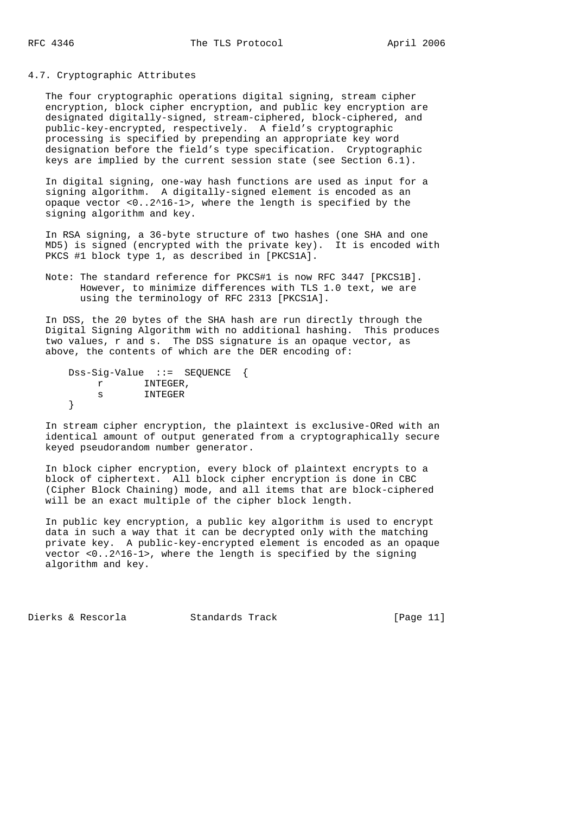#### 4.7. Cryptographic Attributes

 The four cryptographic operations digital signing, stream cipher encryption, block cipher encryption, and public key encryption are designated digitally-signed, stream-ciphered, block-ciphered, and public-key-encrypted, respectively. A field's cryptographic processing is specified by prepending an appropriate key word designation before the field's type specification. Cryptographic keys are implied by the current session state (see Section 6.1).

 In digital signing, one-way hash functions are used as input for a signing algorithm. A digitally-signed element is encoded as an opaque vector <0..2^16-1>, where the length is specified by the signing algorithm and key.

 In RSA signing, a 36-byte structure of two hashes (one SHA and one MD5) is signed (encrypted with the private key). It is encoded with PKCS #1 block type 1, as described in [PKCS1A].

 Note: The standard reference for PKCS#1 is now RFC 3447 [PKCS1B]. However, to minimize differences with TLS 1.0 text, we are using the terminology of RFC 2313 [PKCS1A].

 In DSS, the 20 bytes of the SHA hash are run directly through the Digital Signing Algorithm with no additional hashing. This produces two values, r and s. The DSS signature is an opaque vector, as above, the contents of which are the DER encoding of:

```
 Dss-Sig-Value ::= SEQUENCE {
  r INTEGER,<br>s INTEGER,
              s INTEGER
 }
```
 In stream cipher encryption, the plaintext is exclusive-ORed with an identical amount of output generated from a cryptographically secure keyed pseudorandom number generator.

 In block cipher encryption, every block of plaintext encrypts to a block of ciphertext. All block cipher encryption is done in CBC (Cipher Block Chaining) mode, and all items that are block-ciphered will be an exact multiple of the cipher block length.

 In public key encryption, a public key algorithm is used to encrypt data in such a way that it can be decrypted only with the matching private key. A public-key-encrypted element is encoded as an opaque vector <0..2^16-1>, where the length is specified by the signing algorithm and key.

Dierks & Rescorla Standards Track [Page 11]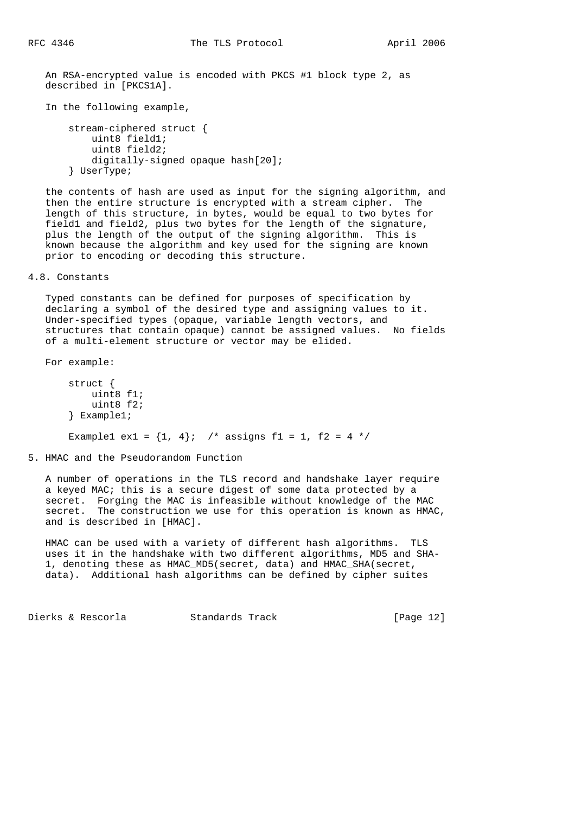An RSA-encrypted value is encoded with PKCS #1 block type 2, as described in [PKCS1A].

In the following example,

```
 stream-ciphered struct {
     uint8 field1;
     uint8 field2;
     digitally-signed opaque hash[20];
 } UserType;
```
 the contents of hash are used as input for the signing algorithm, and then the entire structure is encrypted with a stream cipher. The length of this structure, in bytes, would be equal to two bytes for field1 and field2, plus two bytes for the length of the signature, plus the length of the output of the signing algorithm. This is known because the algorithm and key used for the signing are known prior to encoding or decoding this structure.

4.8. Constants

 Typed constants can be defined for purposes of specification by declaring a symbol of the desired type and assigning values to it. Under-specified types (opaque, variable length vectors, and structures that contain opaque) cannot be assigned values. No fields of a multi-element structure or vector may be elided.

For example:

```
 struct {
     uint8 f1;
     uint8 f2;
 } Example1;
Example1 ex1 = \{1, 4\}; /* assigns f1 = 1, f2 = 4 */
```
5. HMAC and the Pseudorandom Function

 A number of operations in the TLS record and handshake layer require a keyed MAC; this is a secure digest of some data protected by a secret. Forging the MAC is infeasible without knowledge of the MAC secret. The construction we use for this operation is known as HMAC, and is described in [HMAC].

 HMAC can be used with a variety of different hash algorithms. TLS uses it in the handshake with two different algorithms, MD5 and SHA- 1, denoting these as HMAC\_MD5(secret, data) and HMAC\_SHA(secret, data). Additional hash algorithms can be defined by cipher suites

Dierks & Rescorla Standards Track [Page 12]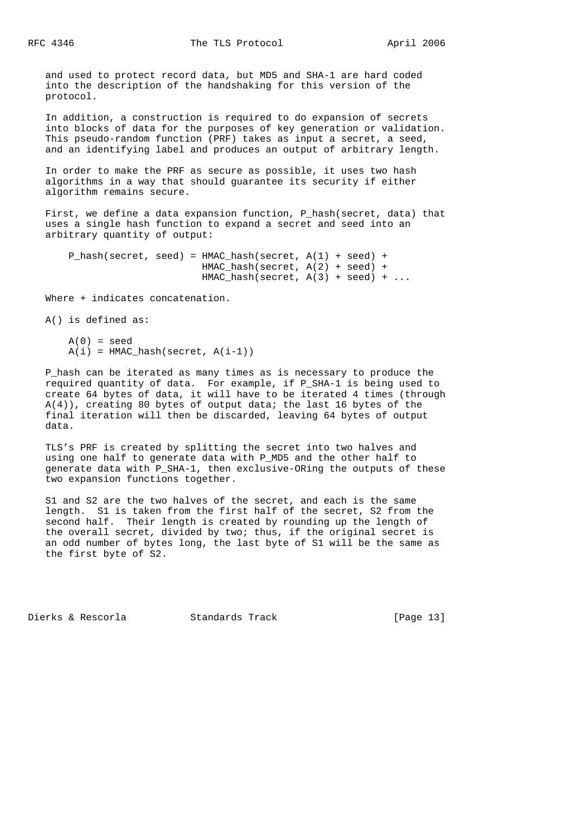and used to protect record data, but MD5 and SHA-1 are hard coded into the description of the handshaking for this version of the protocol.

 In addition, a construction is required to do expansion of secrets into blocks of data for the purposes of key generation or validation. This pseudo-random function (PRF) takes as input a secret, a seed, and an identifying label and produces an output of arbitrary length.

 In order to make the PRF as secure as possible, it uses two hash algorithms in a way that should guarantee its security if either algorithm remains secure.

 First, we define a data expansion function, P\_hash(secret, data) that uses a single hash function to expand a secret and seed into an arbitrary quantity of output:

```
 P_hash(secret, seed) = HMAC_hash(secret, A(1) + seed) +
                        HMAC_hash(secret, A(2) + seed) +
                       HMAC\_hash(secret, A(3) + seed) + ...
```
Where + indicates concatenation.

A() is defined as:

```
A(0) = seedA(i) = HMAC hash(\text{secret}, A(i-1))
```
 P\_hash can be iterated as many times as is necessary to produce the required quantity of data. For example, if P\_SHA-1 is being used to create 64 bytes of data, it will have to be iterated 4 times (through A(4)), creating 80 bytes of output data; the last 16 bytes of the final iteration will then be discarded, leaving 64 bytes of output data.

 TLS's PRF is created by splitting the secret into two halves and using one half to generate data with P\_MD5 and the other half to generate data with P\_SHA-1, then exclusive-ORing the outputs of these two expansion functions together.

 S1 and S2 are the two halves of the secret, and each is the same length. S1 is taken from the first half of the secret, S2 from the second half. Their length is created by rounding up the length of the overall secret, divided by two; thus, if the original secret is an odd number of bytes long, the last byte of S1 will be the same as the first byte of S2.

Dierks & Rescorla Standards Track [Page 13]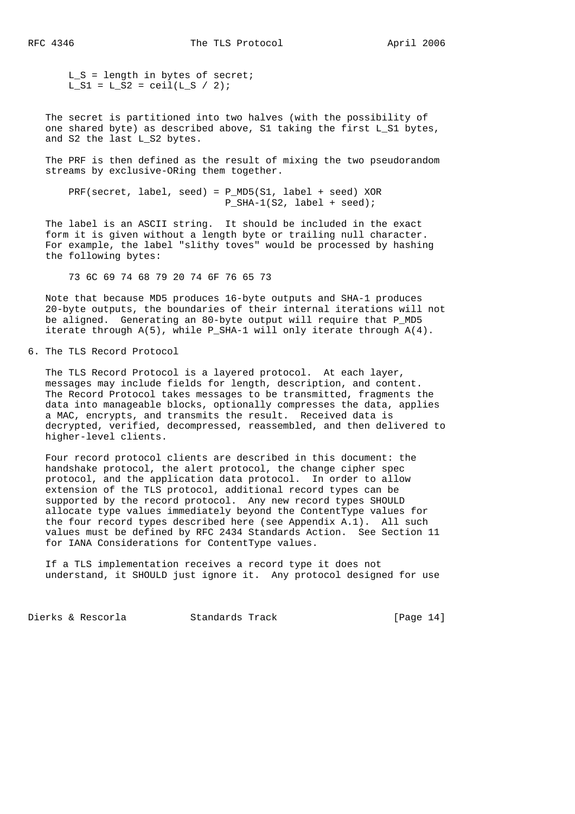$L_S$  = length in bytes of secret;  $L_S1 = L_S2 = \text{ceil}(L_S / 2)$ ;

 The secret is partitioned into two halves (with the possibility of one shared byte) as described above, S1 taking the first L\_S1 bytes, and S2 the last L\_S2 bytes.

 The PRF is then defined as the result of mixing the two pseudorandom streams by exclusive-ORing them together.

PRF(secret, label, seed) = P\_MD5(S1, label + seed) XOR P\_SHA-1(S2, label + seed);

 The label is an ASCII string. It should be included in the exact form it is given without a length byte or trailing null character. For example, the label "slithy toves" would be processed by hashing the following bytes:

73 6C 69 74 68 79 20 74 6F 76 65 73

 Note that because MD5 produces 16-byte outputs and SHA-1 produces 20-byte outputs, the boundaries of their internal iterations will not be aligned. Generating an 80-byte output will require that P\_MD5 iterate through A(5), while P\_SHA-1 will only iterate through A(4).

6. The TLS Record Protocol

 The TLS Record Protocol is a layered protocol. At each layer, messages may include fields for length, description, and content. The Record Protocol takes messages to be transmitted, fragments the data into manageable blocks, optionally compresses the data, applies a MAC, encrypts, and transmits the result. Received data is decrypted, verified, decompressed, reassembled, and then delivered to higher-level clients.

 Four record protocol clients are described in this document: the handshake protocol, the alert protocol, the change cipher spec protocol, and the application data protocol. In order to allow extension of the TLS protocol, additional record types can be supported by the record protocol. Any new record types SHOULD allocate type values immediately beyond the ContentType values for the four record types described here (see Appendix A.1). All such values must be defined by RFC 2434 Standards Action. See Section 11 for IANA Considerations for ContentType values.

 If a TLS implementation receives a record type it does not understand, it SHOULD just ignore it. Any protocol designed for use

Dierks & Rescorla Standards Track [Page 14]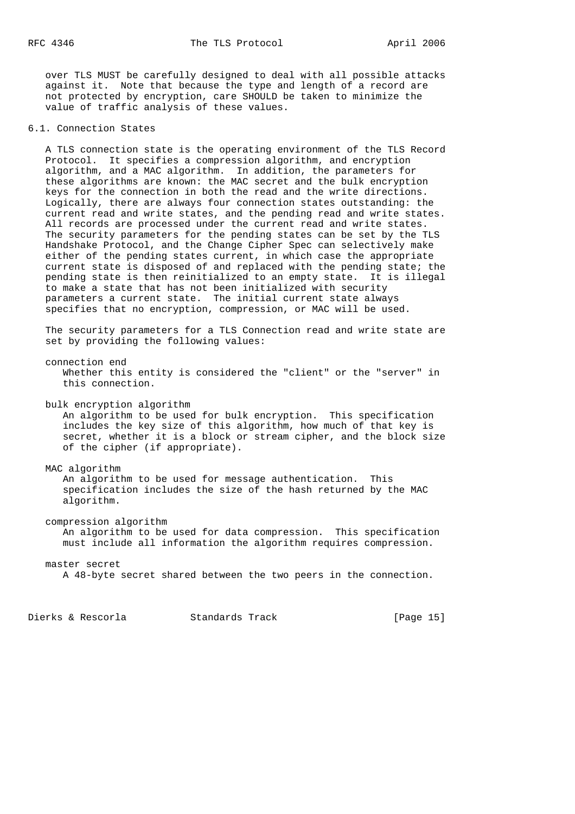over TLS MUST be carefully designed to deal with all possible attacks against it. Note that because the type and length of a record are not protected by encryption, care SHOULD be taken to minimize the value of traffic analysis of these values.

## 6.1. Connection States

 A TLS connection state is the operating environment of the TLS Record Protocol. It specifies a compression algorithm, and encryption algorithm, and a MAC algorithm. In addition, the parameters for these algorithms are known: the MAC secret and the bulk encryption keys for the connection in both the read and the write directions. Logically, there are always four connection states outstanding: the current read and write states, and the pending read and write states. All records are processed under the current read and write states. The security parameters for the pending states can be set by the TLS Handshake Protocol, and the Change Cipher Spec can selectively make either of the pending states current, in which case the appropriate current state is disposed of and replaced with the pending state; the pending state is then reinitialized to an empty state. It is illegal to make a state that has not been initialized with security parameters a current state. The initial current state always specifies that no encryption, compression, or MAC will be used.

 The security parameters for a TLS Connection read and write state are set by providing the following values:

 connection end Whether this entity is considered the "client" or the "server" in this connection.

bulk encryption algorithm

 An algorithm to be used for bulk encryption. This specification includes the key size of this algorithm, how much of that key is secret, whether it is a block or stream cipher, and the block size of the cipher (if appropriate).

#### MAC algorithm

 An algorithm to be used for message authentication. This specification includes the size of the hash returned by the MAC algorithm.

compression algorithm

 An algorithm to be used for data compression. This specification must include all information the algorithm requires compression.

#### master secret

A 48-byte secret shared between the two peers in the connection.

Dierks & Rescorla Standards Track [Page 15]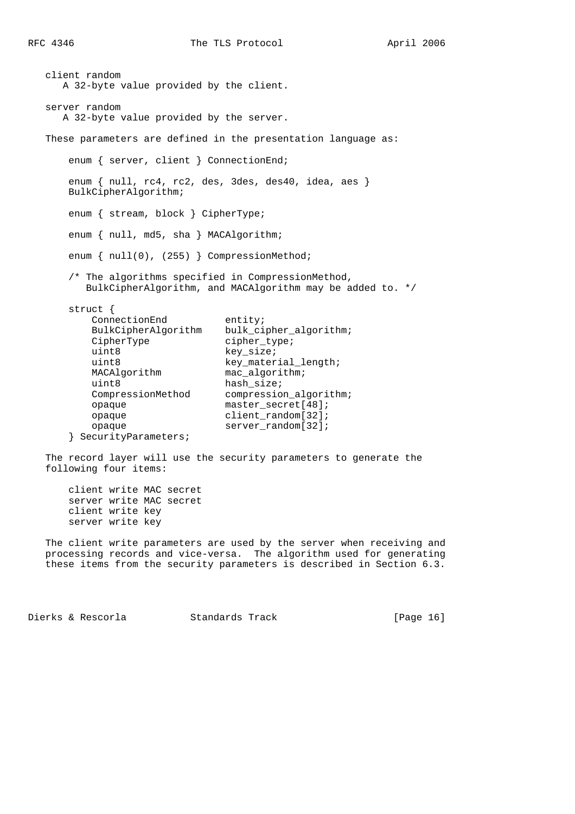```
 client random
   A 32-byte value provided by the client.
 server random
   A 32-byte value provided by the server.
 These parameters are defined in the presentation language as:
   enum { server, client } ConnectionEnd;
    enum { null, rc4, rc2, des, 3des, des40, idea, aes }
    BulkCipherAlgorithm;
    enum { stream, block } CipherType;
   enum { null, md5, sha } MACAlgorithm;
   enum { null(0), (255) } CompressionMethod;
    /* The algorithms specified in CompressionMethod,
       BulkCipherAlgorithm, and MACAlgorithm may be added to. */
    struct {
       ConnectionEnd entity;
       BulkCipherAlgorithm bulk_cipher_algorithm;
       CipherType cipher_type;
       uint8 key_size;<br>uint8 key_mater
                            key_material_length;
       MACAlgorithm mac_algorithm;
       uint8 hash_size;
        CompressionMethod compression_algorithm;
        opaque master_secret[48];
        opaque client_random[32];
       opaque server_random[32];
    } SecurityParameters;
 The record layer will use the security parameters to generate the
 following four items:
```
 client write MAC secret server write MAC secret client write key server write key

 The client write parameters are used by the server when receiving and processing records and vice-versa. The algorithm used for generating these items from the security parameters is described in Section 6.3.

Dierks & Rescorla Standards Track [Page 16]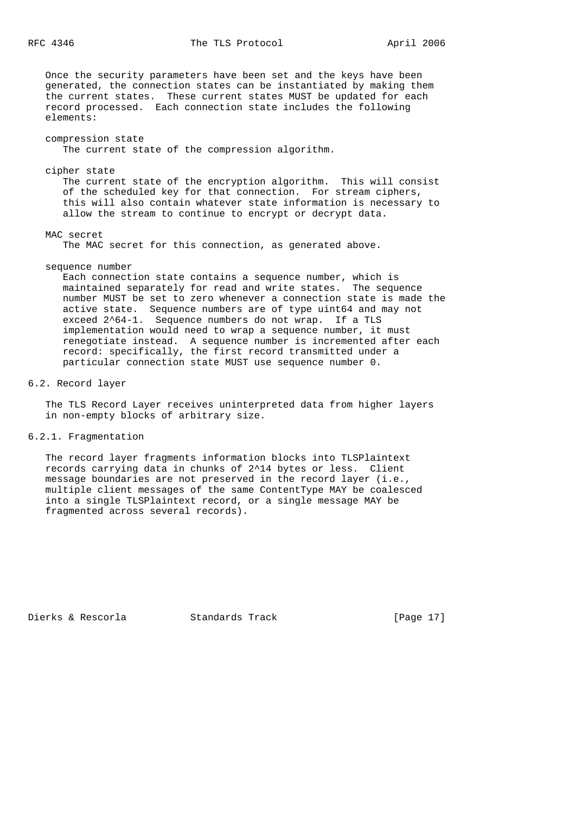Once the security parameters have been set and the keys have been generated, the connection states can be instantiated by making them the current states. These current states MUST be updated for each record processed. Each connection state includes the following elements:

## compression state

The current state of the compression algorithm.

#### cipher state

 The current state of the encryption algorithm. This will consist of the scheduled key for that connection. For stream ciphers, this will also contain whatever state information is necessary to allow the stream to continue to encrypt or decrypt data.

## MAC secret

The MAC secret for this connection, as generated above.

## sequence number

 Each connection state contains a sequence number, which is maintained separately for read and write states. The sequence number MUST be set to zero whenever a connection state is made the active state. Sequence numbers are of type uint64 and may not exceed 2^64-1. Sequence numbers do not wrap. If a TLS implementation would need to wrap a sequence number, it must renegotiate instead. A sequence number is incremented after each record: specifically, the first record transmitted under a particular connection state MUST use sequence number 0.

### 6.2. Record layer

 The TLS Record Layer receives uninterpreted data from higher layers in non-empty blocks of arbitrary size.

### 6.2.1. Fragmentation

 The record layer fragments information blocks into TLSPlaintext records carrying data in chunks of 2^14 bytes or less. Client message boundaries are not preserved in the record layer (i.e., multiple client messages of the same ContentType MAY be coalesced into a single TLSPlaintext record, or a single message MAY be fragmented across several records).

Dierks & Rescorla Standards Track [Page 17]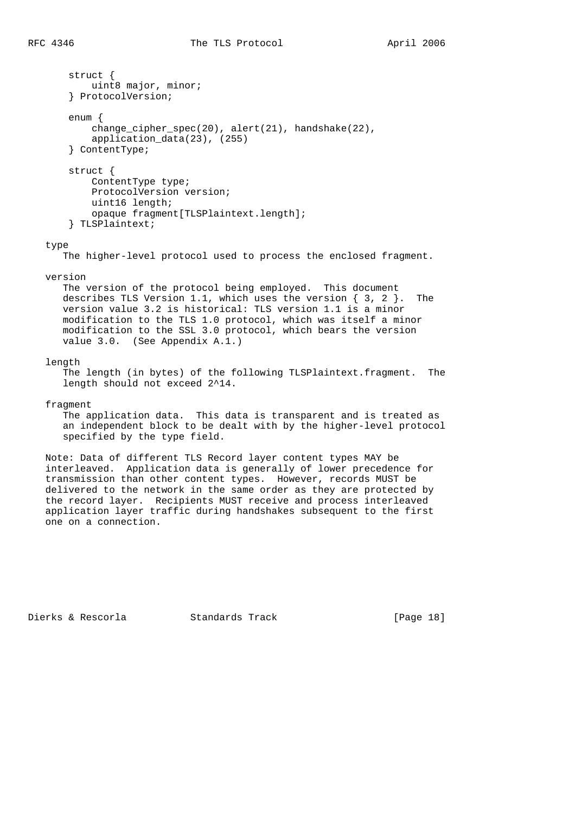struct { uint8 major, minor; } ProtocolVersion; enum { change\_cipher\_spec(20), alert(21), handshake(22), application\_data(23), (255) } ContentType; struct { ContentType type; ProtocolVersion version; uint16 length; opaque fragment[TLSPlaintext.length]; } TLSPlaintext; type The higher-level protocol used to process the enclosed fragment. version The version of the protocol being employed. This document describes TLS Version 1.1, which uses the version { 3, 2 }. The version value 3.2 is historical: TLS version 1.1 is a minor modification to the TLS 1.0 protocol, which was itself a minor modification to the SSL 3.0 protocol, which bears the version value 3.0. (See Appendix A.1.)

## length

 The length (in bytes) of the following TLSPlaintext.fragment. The length should not exceed 2^14.

#### fragment

 The application data. This data is transparent and is treated as an independent block to be dealt with by the higher-level protocol specified by the type field.

 Note: Data of different TLS Record layer content types MAY be interleaved. Application data is generally of lower precedence for transmission than other content types. However, records MUST be delivered to the network in the same order as they are protected by the record layer. Recipients MUST receive and process interleaved application layer traffic during handshakes subsequent to the first one on a connection.

Dierks & Rescorla Standards Track [Page 18]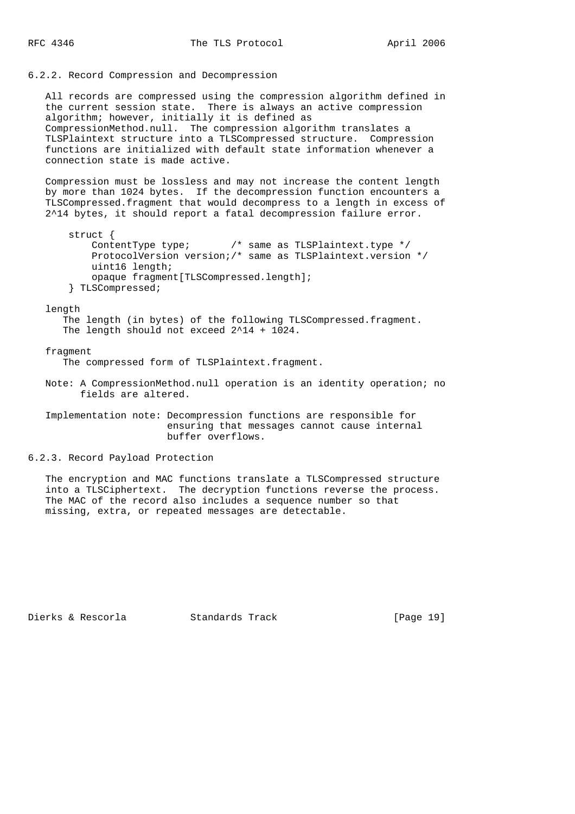#### 6.2.2. Record Compression and Decompression

 All records are compressed using the compression algorithm defined in the current session state. There is always an active compression algorithm; however, initially it is defined as CompressionMethod.null. The compression algorithm translates a TLSPlaintext structure into a TLSCompressed structure. Compression functions are initialized with default state information whenever a connection state is made active.

 Compression must be lossless and may not increase the content length by more than 1024 bytes. If the decompression function encounters a TLSCompressed.fragment that would decompress to a length in excess of 2^14 bytes, it should report a fatal decompression failure error.

 struct { ContentType type; /\* same as TLSPlaintext.type \*/ ProtocolVersion version;/\* same as TLSPlaintext.version \*/ uint16 length; opaque fragment[TLSCompressed.length]; } TLSCompressed;

#### length

 The length (in bytes) of the following TLSCompressed.fragment. The length should not exceed 2^14 + 1024.

#### fragment

The compressed form of TLSPlaintext.fragment.

 Note: A CompressionMethod.null operation is an identity operation; no fields are altered.

 Implementation note: Decompression functions are responsible for ensuring that messages cannot cause internal buffer overflows.

#### 6.2.3. Record Payload Protection

 The encryption and MAC functions translate a TLSCompressed structure into a TLSCiphertext. The decryption functions reverse the process. The MAC of the record also includes a sequence number so that missing, extra, or repeated messages are detectable.

Dierks & Rescorla Standards Track [Page 19]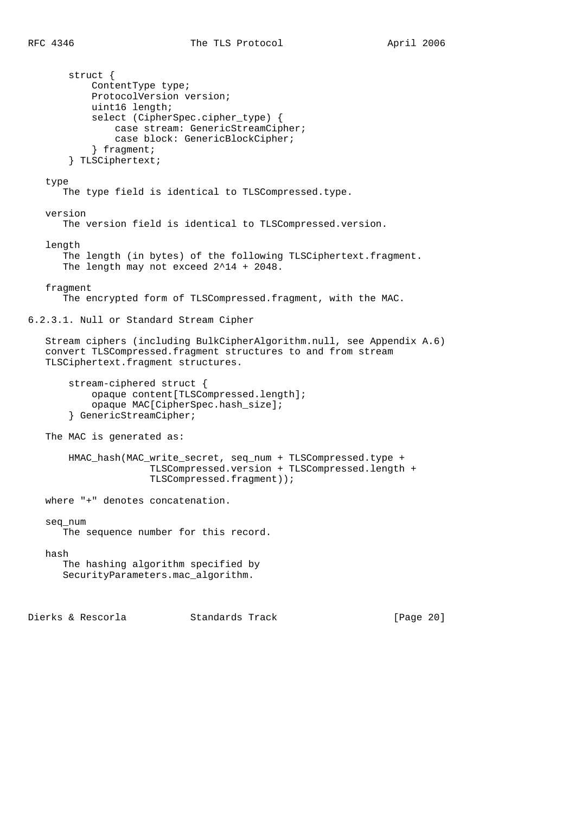```
 struct {
            ContentType type;
            ProtocolVersion version;
            uint16 length;
            select (CipherSpec.cipher_type) {
                case stream: GenericStreamCipher;
                case block: GenericBlockCipher;
            } fragment;
        } TLSCiphertext;
    type
       The type field is identical to TLSCompressed.type.
    version
       The version field is identical to TLSCompressed.version.
    length
      The length (in bytes) of the following TLSCiphertext.fragment.
       The length may not exceed 2^14 + 2048.
    fragment
       The encrypted form of TLSCompressed.fragment, with the MAC.
6.2.3.1. Null or Standard Stream Cipher
    Stream ciphers (including BulkCipherAlgorithm.null, see Appendix A.6)
    convert TLSCompressed.fragment structures to and from stream
    TLSCiphertext.fragment structures.
        stream-ciphered struct {
            opaque content[TLSCompressed.length];
            opaque MAC[CipherSpec.hash_size];
        } GenericStreamCipher;
   The MAC is generated as:
        HMAC_hash(MAC_write_secret, seq_num + TLSCompressed.type +
                      TLSCompressed.version + TLSCompressed.length +
                      TLSCompressed.fragment));
    where "+" denotes concatenation.
    seq_num
       The sequence number for this record.
    hash
       The hashing algorithm specified by
       SecurityParameters.mac_algorithm.
Dierks & Rescorla Standards Track [Page 20]
```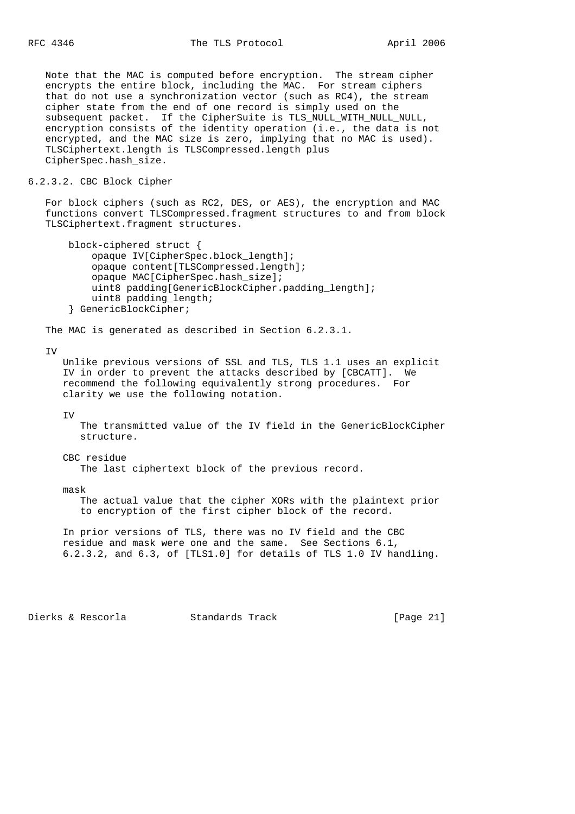Note that the MAC is computed before encryption. The stream cipher encrypts the entire block, including the MAC. For stream ciphers that do not use a synchronization vector (such as RC4), the stream cipher state from the end of one record is simply used on the subsequent packet. If the CipherSuite is TLS\_NULL\_WITH\_NULL\_NULL, encryption consists of the identity operation (i.e., the data is not encrypted, and the MAC size is zero, implying that no MAC is used). TLSCiphertext.length is TLSCompressed.length plus CipherSpec.hash\_size.

## 6.2.3.2. CBC Block Cipher

 For block ciphers (such as RC2, DES, or AES), the encryption and MAC functions convert TLSCompressed.fragment structures to and from block TLSCiphertext.fragment structures.

```
 block-ciphered struct {
     opaque IV[CipherSpec.block_length];
     opaque content[TLSCompressed.length];
     opaque MAC[CipherSpec.hash_size];
    uint8 padding[GenericBlockCipher.padding length];
     uint8 padding_length;
 } GenericBlockCipher;
```
The MAC is generated as described in Section 6.2.3.1.

#### TV<sub>1</sub>

 Unlike previous versions of SSL and TLS, TLS 1.1 uses an explicit IV in order to prevent the attacks described by [CBCATT]. We recommend the following equivalently strong procedures. For clarity we use the following notation.

IV

 The transmitted value of the IV field in the GenericBlockCipher structure.

CBC residue

The last ciphertext block of the previous record.

mask

 The actual value that the cipher XORs with the plaintext prior to encryption of the first cipher block of the record.

 In prior versions of TLS, there was no IV field and the CBC residue and mask were one and the same. See Sections 6.1, 6.2.3.2, and 6.3, of [TLS1.0] for details of TLS 1.0 IV handling.

Dierks & Rescorla Standards Track [Page 21]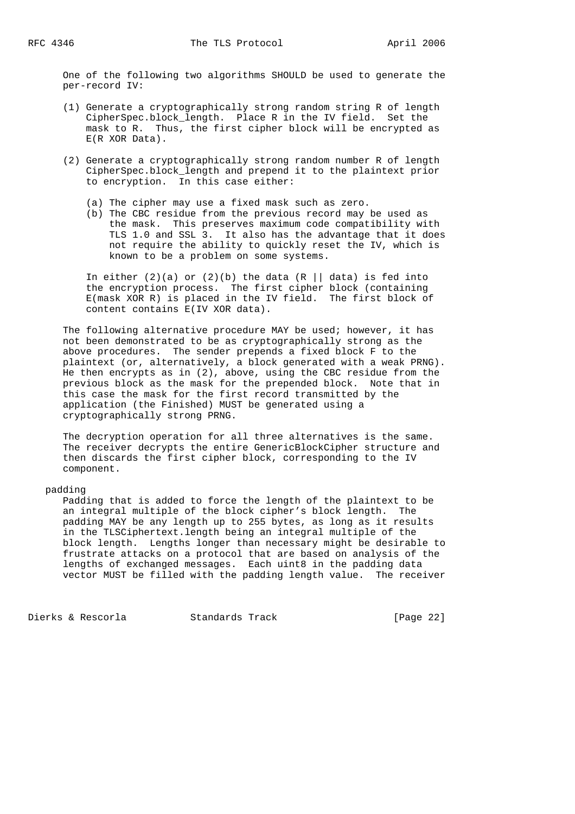One of the following two algorithms SHOULD be used to generate the per-record IV:

- (1) Generate a cryptographically strong random string R of length CipherSpec.block\_length. Place R in the IV field. Set the mask to R. Thus, the first cipher block will be encrypted as E(R XOR Data).
- (2) Generate a cryptographically strong random number R of length CipherSpec.block\_length and prepend it to the plaintext prior to encryption. In this case either:
	- (a) The cipher may use a fixed mask such as zero.
	- (b) The CBC residue from the previous record may be used as the mask. This preserves maximum code compatibility with TLS 1.0 and SSL 3. It also has the advantage that it does not require the ability to quickly reset the IV, which is known to be a problem on some systems.

In either  $(2)(a)$  or  $(2)(b)$  the data  $(R \mid \mid data)$  is fed into the encryption process. The first cipher block (containing E(mask XOR R) is placed in the IV field. The first block of content contains E(IV XOR data).

The following alternative procedure MAY be used; however, it has not been demonstrated to be as cryptographically strong as the above procedures. The sender prepends a fixed block F to the plaintext (or, alternatively, a block generated with a weak PRNG). He then encrypts as in (2), above, using the CBC residue from the previous block as the mask for the prepended block. Note that in this case the mask for the first record transmitted by the application (the Finished) MUST be generated using a cryptographically strong PRNG.

 The decryption operation for all three alternatives is the same. The receiver decrypts the entire GenericBlockCipher structure and then discards the first cipher block, corresponding to the IV component.

## padding

 Padding that is added to force the length of the plaintext to be an integral multiple of the block cipher's block length. The padding MAY be any length up to 255 bytes, as long as it results in the TLSCiphertext.length being an integral multiple of the block length. Lengths longer than necessary might be desirable to frustrate attacks on a protocol that are based on analysis of the lengths of exchanged messages. Each uint8 in the padding data vector MUST be filled with the padding length value. The receiver

Dierks & Rescorla Standards Track [Page 22]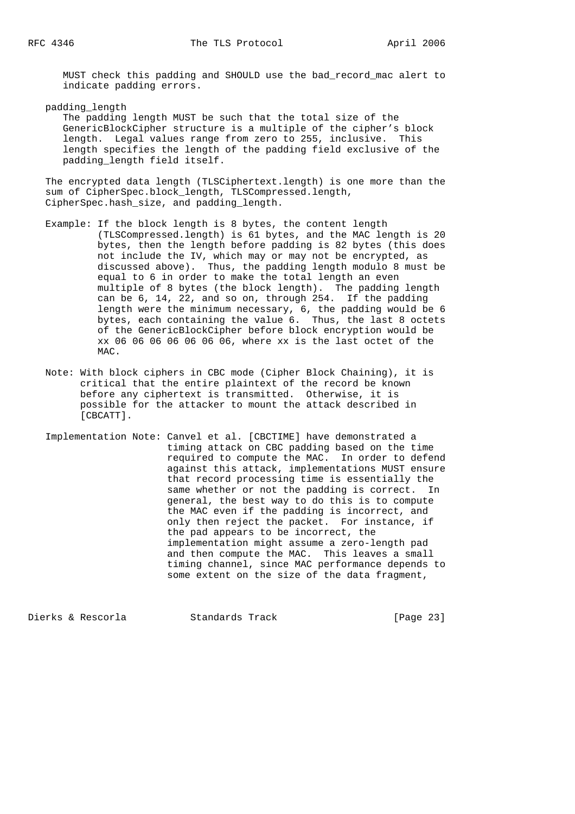MUST check this padding and SHOULD use the bad\_record\_mac alert to indicate padding errors.

padding\_length

 The padding length MUST be such that the total size of the GenericBlockCipher structure is a multiple of the cipher's block length. Legal values range from zero to 255, inclusive. This length specifies the length of the padding field exclusive of the padding\_length field itself.

 The encrypted data length (TLSCiphertext.length) is one more than the sum of CipherSpec.block\_length, TLSCompressed.length, CipherSpec.hash\_size, and padding\_length.

- Example: If the block length is 8 bytes, the content length (TLSCompressed.length) is 61 bytes, and the MAC length is 20 bytes, then the length before padding is 82 bytes (this does not include the IV, which may or may not be encrypted, as discussed above). Thus, the padding length modulo 8 must be equal to 6 in order to make the total length an even multiple of 8 bytes (the block length). The padding length can be 6, 14, 22, and so on, through 254. If the padding length were the minimum necessary, 6, the padding would be 6 bytes, each containing the value 6. Thus, the last 8 octets of the GenericBlockCipher before block encryption would be xx 06 06 06 06 06 06 06, where xx is the last octet of the MAC.
	- Note: With block ciphers in CBC mode (Cipher Block Chaining), it is critical that the entire plaintext of the record be known before any ciphertext is transmitted. Otherwise, it is possible for the attacker to mount the attack described in [CBCATT].
	- Implementation Note: Canvel et al. [CBCTIME] have demonstrated a timing attack on CBC padding based on the time required to compute the MAC. In order to defend against this attack, implementations MUST ensure that record processing time is essentially the same whether or not the padding is correct. In general, the best way to do this is to compute the MAC even if the padding is incorrect, and only then reject the packet. For instance, if the pad appears to be incorrect, the implementation might assume a zero-length pad and then compute the MAC. This leaves a small timing channel, since MAC performance depends to some extent on the size of the data fragment,

Dierks & Rescorla Standards Track [Page 23]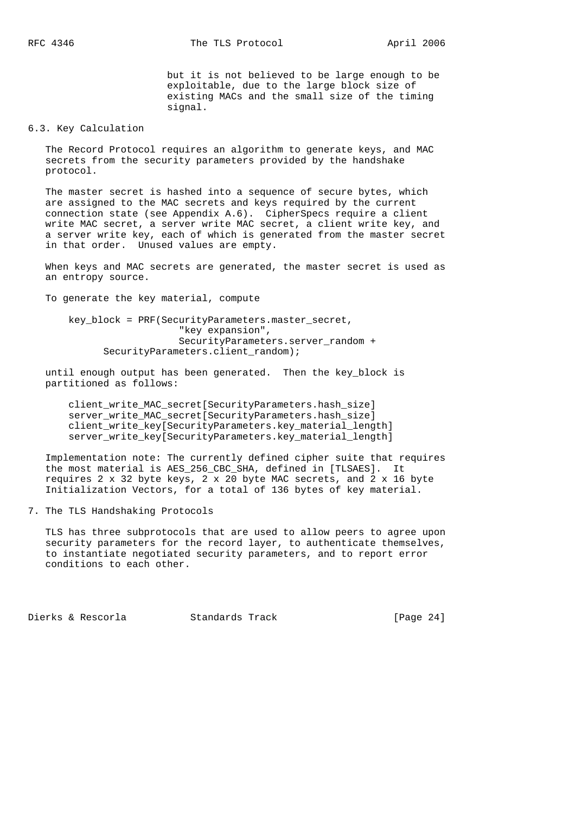but it is not believed to be large enough to be exploitable, due to the large block size of existing MACs and the small size of the timing signal.

## 6.3. Key Calculation

 The Record Protocol requires an algorithm to generate keys, and MAC secrets from the security parameters provided by the handshake protocol.

 The master secret is hashed into a sequence of secure bytes, which are assigned to the MAC secrets and keys required by the current connection state (see Appendix A.6). CipherSpecs require a client write MAC secret, a server write MAC secret, a client write key, and a server write key, each of which is generated from the master secret in that order. Unused values are empty.

 When keys and MAC secrets are generated, the master secret is used as an entropy source.

To generate the key material, compute

key block = PRF(SecurityParameters.master secret, "key expansion", SecurityParameters.server\_random + SecurityParameters.client random);

 until enough output has been generated. Then the key\_block is partitioned as follows:

 client\_write\_MAC\_secret[SecurityParameters.hash\_size] server\_write\_MAC\_secret[SecurityParameters.hash\_size] client\_write\_key[SecurityParameters.key\_material\_length] server\_write\_key[SecurityParameters.key\_material\_length]

 Implementation note: The currently defined cipher suite that requires the most material is AES\_256\_CBC\_SHA, defined in [TLSAES]. It requires 2 x 32 byte keys, 2 x 20 byte MAC secrets, and 2 x 16 byte Initialization Vectors, for a total of 136 bytes of key material.

7. The TLS Handshaking Protocols

 TLS has three subprotocols that are used to allow peers to agree upon security parameters for the record layer, to authenticate themselves, to instantiate negotiated security parameters, and to report error conditions to each other.

Dierks & Rescorla Standards Track [Page 24]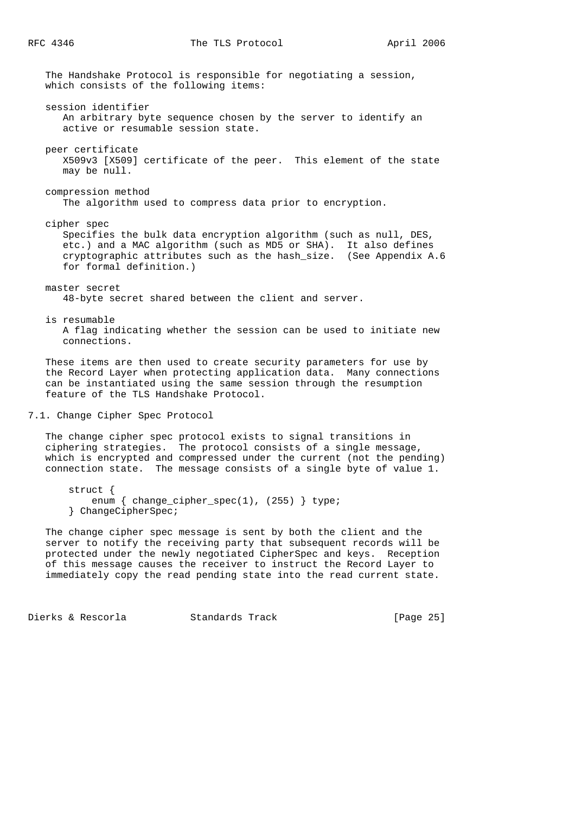The Handshake Protocol is responsible for negotiating a session, which consists of the following items: session identifier An arbitrary byte sequence chosen by the server to identify an active or resumable session state. peer certificate X509v3 [X509] certificate of the peer. This element of the state may be null. compression method The algorithm used to compress data prior to encryption. cipher spec Specifies the bulk data encryption algorithm (such as null, DES, etc.) and a MAC algorithm (such as MD5 or SHA). It also defines cryptographic attributes such as the hash\_size. (See Appendix A.6 for formal definition.) master secret 48-byte secret shared between the client and server. is resumable A flag indicating whether the session can be used to initiate new connections. These items are then used to create security parameters for use by the Record Layer when protecting application data. Many connections can be instantiated using the same session through the resumption feature of the TLS Handshake Protocol. 7.1. Change Cipher Spec Protocol The change cipher spec protocol exists to signal transitions in ciphering strategies. The protocol consists of a single message, which is encrypted and compressed under the current (not the pending)

struct {

} ChangeCipherSpec;

Dierks & Rescorla Standards Track [Page 25]

 The change cipher spec message is sent by both the client and the server to notify the receiving party that subsequent records will be protected under the newly negotiated CipherSpec and keys. Reception of this message causes the receiver to instruct the Record Layer to immediately copy the read pending state into the read current state.

connection state. The message consists of a single byte of value 1.

enum { change\_cipher\_spec(1), (255) } type;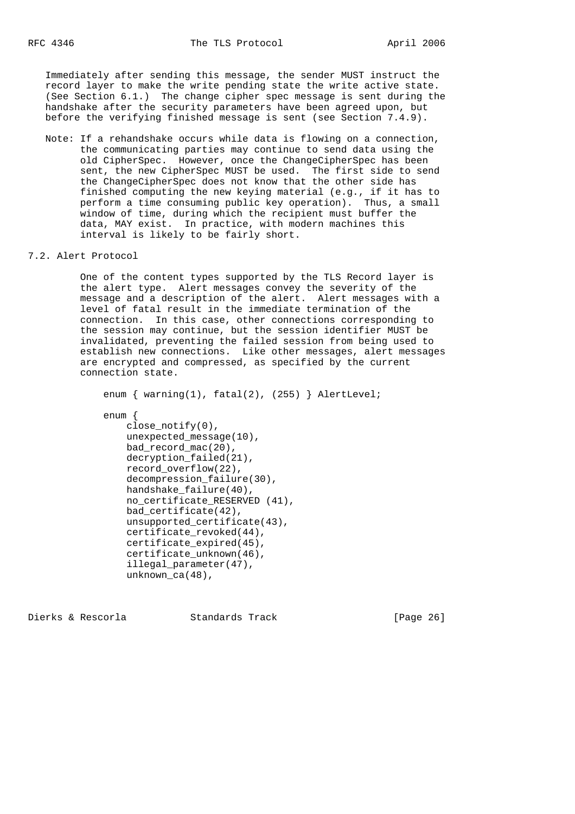Immediately after sending this message, the sender MUST instruct the record layer to make the write pending state the write active state. (See Section 6.1.) The change cipher spec message is sent during the handshake after the security parameters have been agreed upon, but before the verifying finished message is sent (see Section 7.4.9).

- Note: If a rehandshake occurs while data is flowing on a connection, the communicating parties may continue to send data using the old CipherSpec. However, once the ChangeCipherSpec has been sent, the new CipherSpec MUST be used. The first side to send the ChangeCipherSpec does not know that the other side has finished computing the new keying material (e.g., if it has to perform a time consuming public key operation). Thus, a small window of time, during which the recipient must buffer the data, MAY exist. In practice, with modern machines this interval is likely to be fairly short.
- 7.2. Alert Protocol

 One of the content types supported by the TLS Record layer is the alert type. Alert messages convey the severity of the message and a description of the alert. Alert messages with a level of fatal result in the immediate termination of the connection. In this case, other connections corresponding to the session may continue, but the session identifier MUST be invalidated, preventing the failed session from being used to establish new connections. Like other messages, alert messages are encrypted and compressed, as specified by the current connection state.

enum { warning(1), fatal(2), (255) } AlertLevel; enum { close  $notify(0)$ , unexpected message(10), bad record mac(20), decryption\_failed(21), record\_overflow(22), decompression\_failure(30), handshake\_failure(40), no\_certificate\_RESERVED (41), bad\_certificate(42), unsupported\_certificate(43), certificate\_revoked(44), certificate\_expired(45), certificate\_unknown(46), illegal\_parameter(47),

Dierks & Rescorla Standards Track [Page 26]

unknown\_ca(48),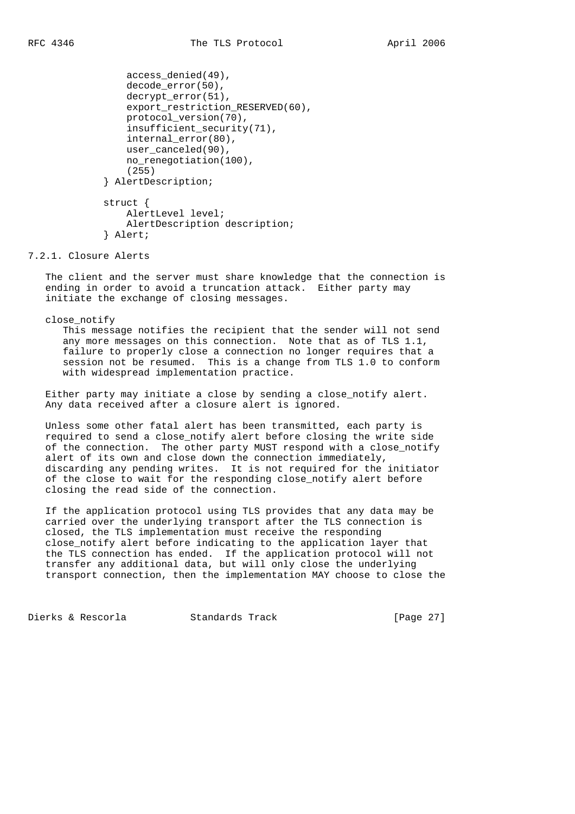```
 access_denied(49),
    decode_error(50),
    decrypt_error(51),
     export_restriction_RESERVED(60),
     protocol_version(70),
    insufficient security(71),
     internal_error(80),
   user canceled(90),
    no renegotiation(100),
     (255)
 } AlertDescription;
```

```
 struct {
     AlertLevel level;
     AlertDescription description;
 } Alert;
```
### 7.2.1. Closure Alerts

 The client and the server must share knowledge that the connection is ending in order to avoid a truncation attack. Either party may initiate the exchange of closing messages.

close\_notify

 This message notifies the recipient that the sender will not send any more messages on this connection. Note that as of TLS 1.1, failure to properly close a connection no longer requires that a session not be resumed. This is a change from TLS 1.0 to conform with widespread implementation practice.

 Either party may initiate a close by sending a close\_notify alert. Any data received after a closure alert is ignored.

 Unless some other fatal alert has been transmitted, each party is required to send a close notify alert before closing the write side of the connection. The other party MUST respond with a close notify alert of its own and close down the connection immediately, discarding any pending writes. It is not required for the initiator of the close to wait for the responding close\_notify alert before closing the read side of the connection.

 If the application protocol using TLS provides that any data may be carried over the underlying transport after the TLS connection is closed, the TLS implementation must receive the responding close\_notify alert before indicating to the application layer that the TLS connection has ended. If the application protocol will not transfer any additional data, but will only close the underlying transport connection, then the implementation MAY choose to close the

Dierks & Rescorla Standards Track [Page 27]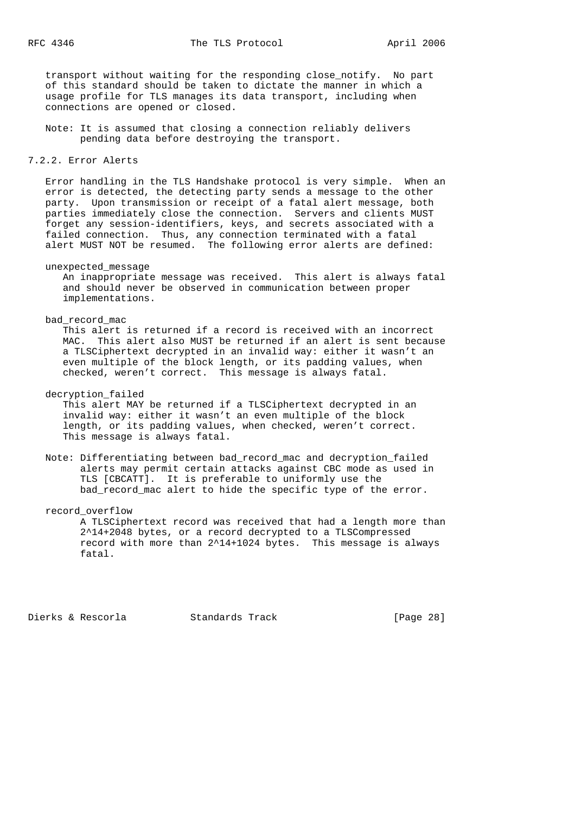transport without waiting for the responding close\_notify. No part of this standard should be taken to dictate the manner in which a usage profile for TLS manages its data transport, including when connections are opened or closed.

 Note: It is assumed that closing a connection reliably delivers pending data before destroying the transport.

## 7.2.2. Error Alerts

 Error handling in the TLS Handshake protocol is very simple. When an error is detected, the detecting party sends a message to the other party. Upon transmission or receipt of a fatal alert message, both parties immediately close the connection. Servers and clients MUST forget any session-identifiers, keys, and secrets associated with a failed connection. Thus, any connection terminated with a fatal alert MUST NOT be resumed. The following error alerts are defined:

#### unexpected\_message

 An inappropriate message was received. This alert is always fatal and should never be observed in communication between proper implementations.

#### bad\_record\_mac

 This alert is returned if a record is received with an incorrect MAC. This alert also MUST be returned if an alert is sent because a TLSCiphertext decrypted in an invalid way: either it wasn't an even multiple of the block length, or its padding values, when checked, weren't correct. This message is always fatal.

decryption\_failed

 This alert MAY be returned if a TLSCiphertext decrypted in an invalid way: either it wasn't an even multiple of the block length, or its padding values, when checked, weren't correct. This message is always fatal.

 Note: Differentiating between bad\_record\_mac and decryption\_failed alerts may permit certain attacks against CBC mode as used in TLS [CBCATT]. It is preferable to uniformly use the bad\_record\_mac alert to hide the specific type of the error.

record\_overflow

 A TLSCiphertext record was received that had a length more than 2^14+2048 bytes, or a record decrypted to a TLSCompressed record with more than 2^14+1024 bytes. This message is always fatal.

Dierks & Rescorla Standards Track [Page 28]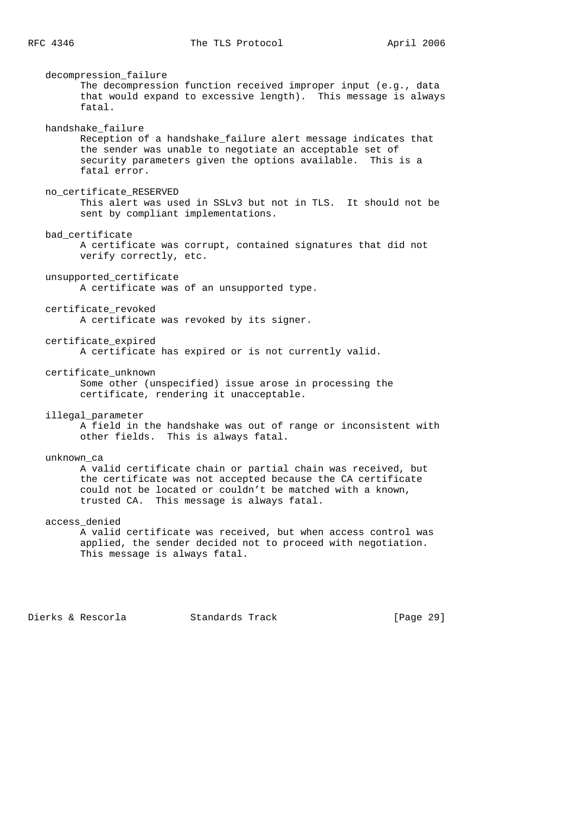decompression\_failure The decompression function received improper input (e.g., data that would expand to excessive length). This message is always fatal. handshake\_failure Reception of a handshake\_failure alert message indicates that the sender was unable to negotiate an acceptable set of security parameters given the options available. This is a fatal error. no\_certificate\_RESERVED This alert was used in SSLv3 but not in TLS. It should not be sent by compliant implementations. bad\_certificate A certificate was corrupt, contained signatures that did not verify correctly, etc. unsupported\_certificate A certificate was of an unsupported type. certificate\_revoked A certificate was revoked by its signer. certificate\_expired A certificate has expired or is not currently valid. certificate\_unknown Some other (unspecified) issue arose in processing the certificate, rendering it unacceptable. illegal\_parameter A field in the handshake was out of range or inconsistent with other fields. This is always fatal. unknown\_ca A valid certificate chain or partial chain was received, but the certificate was not accepted because the CA certificate could not be located or couldn't be matched with a known, trusted CA. This message is always fatal. access\_denied A valid certificate was received, but when access control was applied, the sender decided not to proceed with negotiation. This message is always fatal.

Dierks & Rescorla Standards Track [Page 29]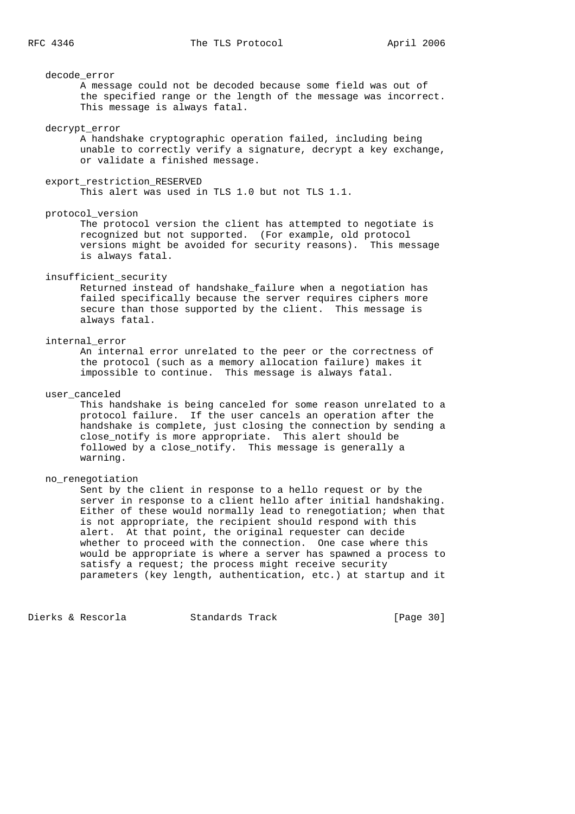decode\_error

 A message could not be decoded because some field was out of the specified range or the length of the message was incorrect. This message is always fatal.

#### decrypt\_error

 A handshake cryptographic operation failed, including being unable to correctly verify a signature, decrypt a key exchange, or validate a finished message.

### export\_restriction\_RESERVED

This alert was used in TLS 1.0 but not TLS 1.1.

### protocol\_version

 The protocol version the client has attempted to negotiate is recognized but not supported. (For example, old protocol versions might be avoided for security reasons). This message is always fatal.

# insufficient\_security

 Returned instead of handshake\_failure when a negotiation has failed specifically because the server requires ciphers more secure than those supported by the client. This message is always fatal.

## internal\_error

 An internal error unrelated to the peer or the correctness of the protocol (such as a memory allocation failure) makes it impossible to continue. This message is always fatal.

### user\_canceled

 This handshake is being canceled for some reason unrelated to a protocol failure. If the user cancels an operation after the handshake is complete, just closing the connection by sending a close\_notify is more appropriate. This alert should be followed by a close\_notify. This message is generally a warning.

## no\_renegotiation

 Sent by the client in response to a hello request or by the server in response to a client hello after initial handshaking. Either of these would normally lead to renegotiation; when that is not appropriate, the recipient should respond with this alert. At that point, the original requester can decide whether to proceed with the connection. One case where this would be appropriate is where a server has spawned a process to satisfy a request; the process might receive security parameters (key length, authentication, etc.) at startup and it

Dierks & Rescorla Standards Track [Page 30]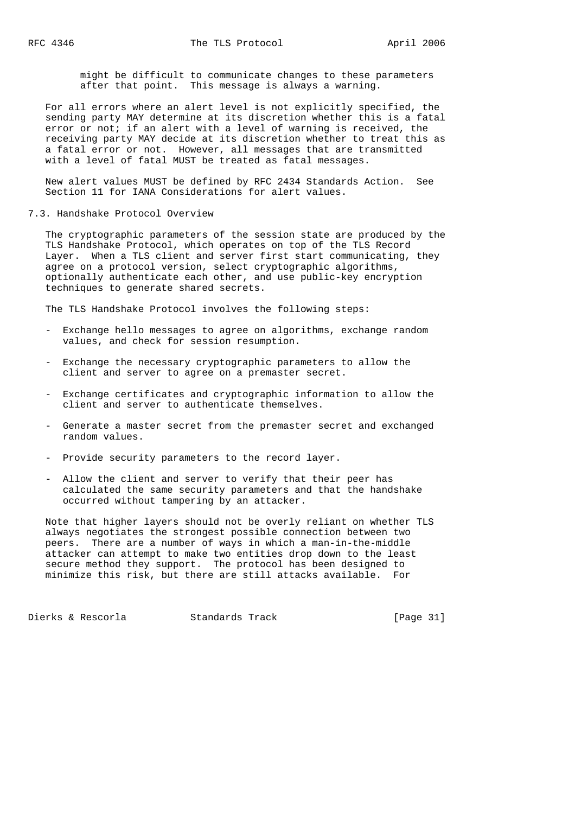might be difficult to communicate changes to these parameters after that point. This message is always a warning.

 For all errors where an alert level is not explicitly specified, the sending party MAY determine at its discretion whether this is a fatal error or not; if an alert with a level of warning is received, the receiving party MAY decide at its discretion whether to treat this as a fatal error or not. However, all messages that are transmitted with a level of fatal MUST be treated as fatal messages.

 New alert values MUST be defined by RFC 2434 Standards Action. See Section 11 for IANA Considerations for alert values.

#### 7.3. Handshake Protocol Overview

 The cryptographic parameters of the session state are produced by the TLS Handshake Protocol, which operates on top of the TLS Record Layer. When a TLS client and server first start communicating, they agree on a protocol version, select cryptographic algorithms, optionally authenticate each other, and use public-key encryption techniques to generate shared secrets.

The TLS Handshake Protocol involves the following steps:

- Exchange hello messages to agree on algorithms, exchange random values, and check for session resumption.
- Exchange the necessary cryptographic parameters to allow the client and server to agree on a premaster secret.
- Exchange certificates and cryptographic information to allow the client and server to authenticate themselves.
- Generate a master secret from the premaster secret and exchanged random values.
- Provide security parameters to the record layer.
- Allow the client and server to verify that their peer has calculated the same security parameters and that the handshake occurred without tampering by an attacker.

 Note that higher layers should not be overly reliant on whether TLS always negotiates the strongest possible connection between two peers. There are a number of ways in which a man-in-the-middle attacker can attempt to make two entities drop down to the least secure method they support. The protocol has been designed to minimize this risk, but there are still attacks available. For

Dierks & Rescorla Standards Track [Page 31]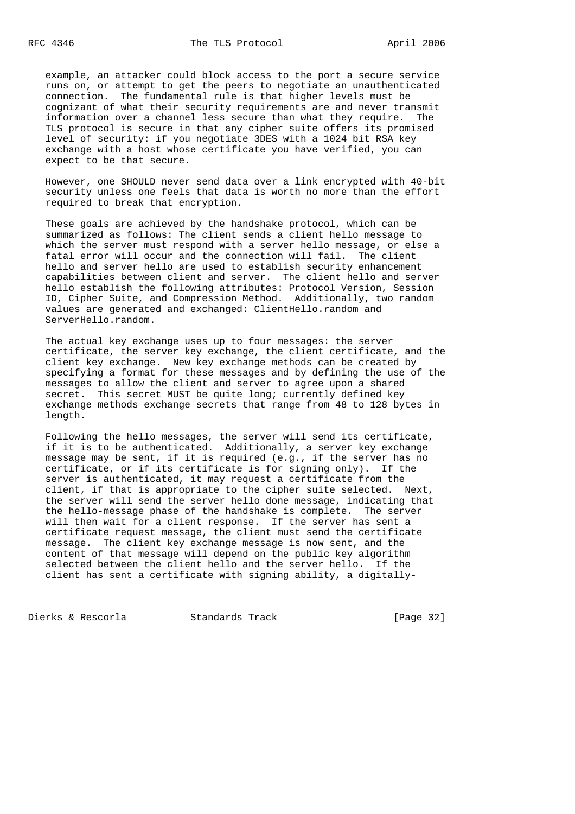example, an attacker could block access to the port a secure service runs on, or attempt to get the peers to negotiate an unauthenticated connection. The fundamental rule is that higher levels must be cognizant of what their security requirements are and never transmit information over a channel less secure than what they require. The TLS protocol is secure in that any cipher suite offers its promised level of security: if you negotiate 3DES with a 1024 bit RSA key exchange with a host whose certificate you have verified, you can expect to be that secure.

 However, one SHOULD never send data over a link encrypted with 40-bit security unless one feels that data is worth no more than the effort required to break that encryption.

 These goals are achieved by the handshake protocol, which can be summarized as follows: The client sends a client hello message to which the server must respond with a server hello message, or else a fatal error will occur and the connection will fail. The client hello and server hello are used to establish security enhancement capabilities between client and server. The client hello and server hello establish the following attributes: Protocol Version, Session ID, Cipher Suite, and Compression Method. Additionally, two random values are generated and exchanged: ClientHello.random and ServerHello.random.

 The actual key exchange uses up to four messages: the server certificate, the server key exchange, the client certificate, and the client key exchange. New key exchange methods can be created by specifying a format for these messages and by defining the use of the messages to allow the client and server to agree upon a shared secret. This secret MUST be quite long; currently defined key exchange methods exchange secrets that range from 48 to 128 bytes in length.

 Following the hello messages, the server will send its certificate, if it is to be authenticated. Additionally, a server key exchange message may be sent, if it is required (e.g., if the server has no certificate, or if its certificate is for signing only). If the server is authenticated, it may request a certificate from the client, if that is appropriate to the cipher suite selected. Next, the server will send the server hello done message, indicating that the hello-message phase of the handshake is complete. The server will then wait for a client response. If the server has sent a certificate request message, the client must send the certificate message. The client key exchange message is now sent, and the content of that message will depend on the public key algorithm selected between the client hello and the server hello. If the client has sent a certificate with signing ability, a digitally-

Dierks & Rescorla Standards Track [Page 32]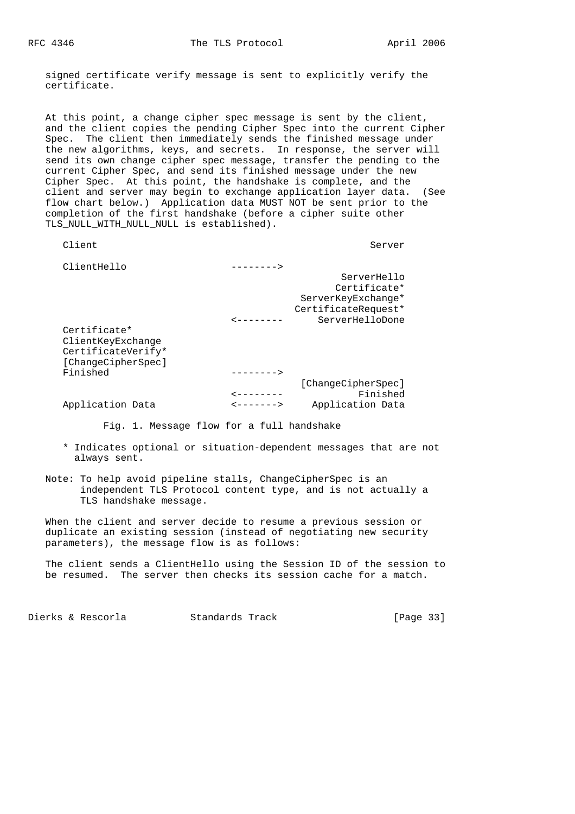signed certificate verify message is sent to explicitly verify the certificate.

 At this point, a change cipher spec message is sent by the client, and the client copies the pending Cipher Spec into the current Cipher Spec. The client then immediately sends the finished message under the new algorithms, keys, and secrets. In response, the server will send its own change cipher spec message, transfer the pending to the current Cipher Spec, and send its finished message under the new Cipher Spec. At this point, the handshake is complete, and the client and server may begin to exchange application layer data. (See flow chart below.) Application data MUST NOT be sent prior to the completion of the first handshake (before a cipher suite other TLS NULL WITH NULL NULL is established).

| Client                                                                        |                        | Server              |
|-------------------------------------------------------------------------------|------------------------|---------------------|
| ClientHello                                                                   | -------->              |                     |
|                                                                               |                        | ServerHello         |
|                                                                               |                        | Certificate*        |
|                                                                               |                        | ServerKeyExchange*  |
|                                                                               |                        | CertificateRequest* |
|                                                                               |                        | ServerHelloDone     |
| Certificate*<br>ClientKeyExchange<br>CertificateVerify*<br>[ChangeCipherSpec] |                        |                     |
| Finished                                                                      | -------->              |                     |
|                                                                               |                        | [ChangeCipherSpec]  |
|                                                                               |                        | Finished            |
| Application Data                                                              | <b>&lt;-------&gt;</b> | Application Data    |
|                                                                               |                        |                     |

Fig. 1. Message flow for a full handshake

- \* Indicates optional or situation-dependent messages that are not always sent.
- Note: To help avoid pipeline stalls, ChangeCipherSpec is an independent TLS Protocol content type, and is not actually a TLS handshake message.

 When the client and server decide to resume a previous session or duplicate an existing session (instead of negotiating new security parameters), the message flow is as follows:

 The client sends a ClientHello using the Session ID of the session to be resumed. The server then checks its session cache for a match.

Dierks & Rescorla Standards Track [Page 33]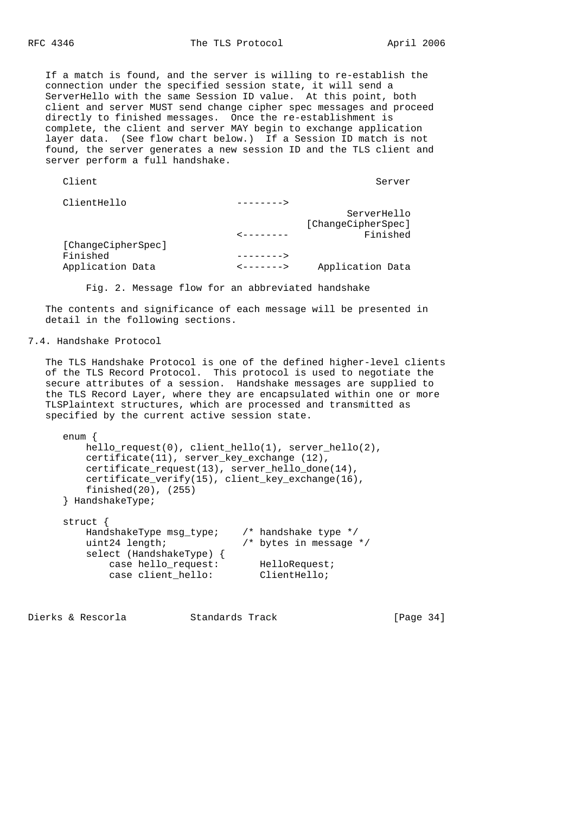If a match is found, and the server is willing to re-establish the connection under the specified session state, it will send a ServerHello with the same Session ID value. At this point, both client and server MUST send change cipher spec messages and proceed directly to finished messages. Once the re-establishment is complete, the client and server MAY begin to exchange application layer data. (See flow chart below.) If a Session ID match is not found, the server generates a new session ID and the TLS client and server perform a full handshake.

| Server                         |           | Client             |
|--------------------------------|-----------|--------------------|
|                                | --------> | ClientHello        |
| ServerHello                    |           |                    |
| [ChangeCipherSpec]<br>Finished | -------   |                    |
|                                |           | [ChangeCipherSpec] |
|                                | --------> | Finished           |
| Application Data               | <------>  | Application Data   |
|                                |           |                    |

Fig. 2. Message flow for an abbreviated handshake

 The contents and significance of each message will be presented in detail in the following sections.

### 7.4. Handshake Protocol

 The TLS Handshake Protocol is one of the defined higher-level clients of the TLS Record Protocol. This protocol is used to negotiate the secure attributes of a session. Handshake messages are supplied to the TLS Record Layer, where they are encapsulated within one or more TLSPlaintext structures, which are processed and transmitted as specified by the current active session state.

```
 enum {
     hello_request(0), client_hello(1), server_hello(2),
     certificate(11), server_key_exchange (12),
     certificate_request(13), server_hello_done(14),
     certificate_verify(15), client_key_exchange(16),
     finished(20), (255)
 } HandshakeType;
 struct {
    HandshakeType msg_type; /* handshake type */<br>uint24 length; /* bytes in message
                                    /* bytes in message */
     select (HandshakeType) {
         case hello_request: HelloRequest;<br>
case client hello: ClientHello;
         case client_hello:
```
Dierks & Rescorla Standards Track [Page 34]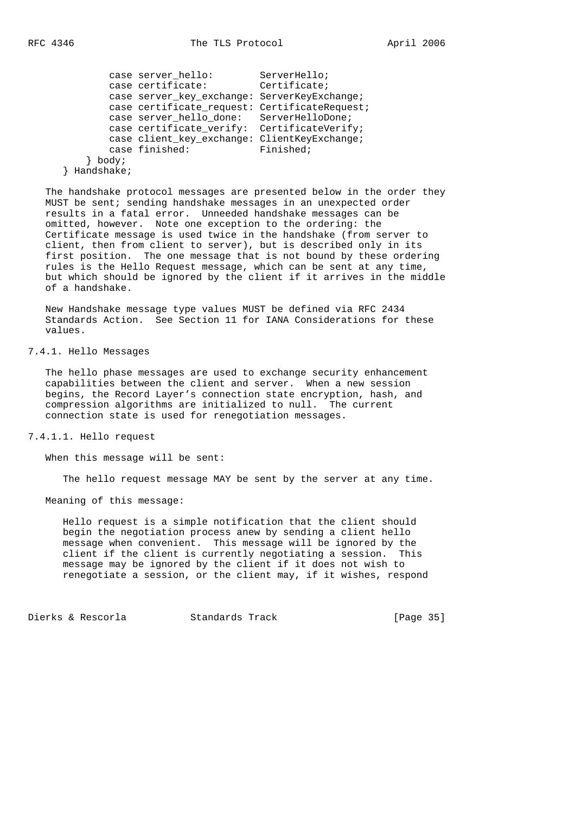```
 case server_hello: ServerHello;
    case certificate: Certificate;
    case server_key_exchange: ServerKeyExchange;
    case certificate_request: CertificateRequest;
    case server_hello_done: ServerHelloDone;
   case certificate_verify: CertificateVerify;
    case client_key_exchange: ClientKeyExchange;
   case finished: Finished;
 } body;
```
} Handshake;

 The handshake protocol messages are presented below in the order they MUST be sent; sending handshake messages in an unexpected order results in a fatal error. Unneeded handshake messages can be omitted, however. Note one exception to the ordering: the Certificate message is used twice in the handshake (from server to client, then from client to server), but is described only in its first position. The one message that is not bound by these ordering rules is the Hello Request message, which can be sent at any time, but which should be ignored by the client if it arrives in the middle of a handshake.

 New Handshake message type values MUST be defined via RFC 2434 Standards Action. See Section 11 for IANA Considerations for these values.

7.4.1. Hello Messages

 The hello phase messages are used to exchange security enhancement capabilities between the client and server. When a new session begins, the Record Layer's connection state encryption, hash, and compression algorithms are initialized to null. The current connection state is used for renegotiation messages.

7.4.1.1. Hello request

When this message will be sent:

The hello request message MAY be sent by the server at any time.

Meaning of this message:

 Hello request is a simple notification that the client should begin the negotiation process anew by sending a client hello message when convenient. This message will be ignored by the client if the client is currently negotiating a session. This message may be ignored by the client if it does not wish to renegotiate a session, or the client may, if it wishes, respond

Dierks & Rescorla Standards Track [Page 35]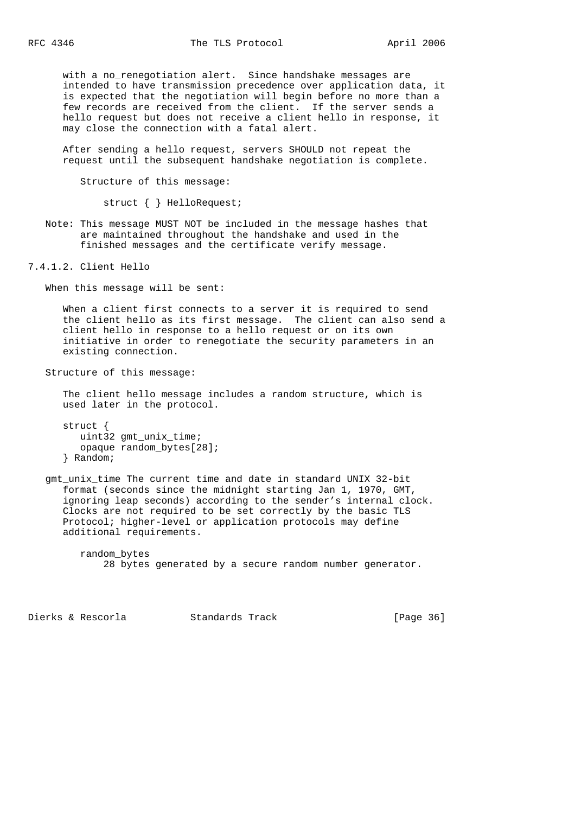with a no\_renegotiation alert. Since handshake messages are intended to have transmission precedence over application data, it is expected that the negotiation will begin before no more than a few records are received from the client. If the server sends a hello request but does not receive a client hello in response, it may close the connection with a fatal alert.

 After sending a hello request, servers SHOULD not repeat the request until the subsequent handshake negotiation is complete.

Structure of this message:

struct { } HelloRequest;

 Note: This message MUST NOT be included in the message hashes that are maintained throughout the handshake and used in the finished messages and the certificate verify message.

7.4.1.2. Client Hello

When this message will be sent:

 When a client first connects to a server it is required to send the client hello as its first message. The client can also send a client hello in response to a hello request or on its own initiative in order to renegotiate the security parameters in an existing connection.

Structure of this message:

 The client hello message includes a random structure, which is used later in the protocol.

 struct { uint32 gmt\_unix\_time; opaque random\_bytes[28]; } Random;

 gmt\_unix\_time The current time and date in standard UNIX 32-bit format (seconds since the midnight starting Jan 1, 1970, GMT, ignoring leap seconds) according to the sender's internal clock. Clocks are not required to be set correctly by the basic TLS Protocol; higher-level or application protocols may define additional requirements.

 random\_bytes 28 bytes generated by a secure random number generator.

Dierks & Rescorla Standards Track [Page 36]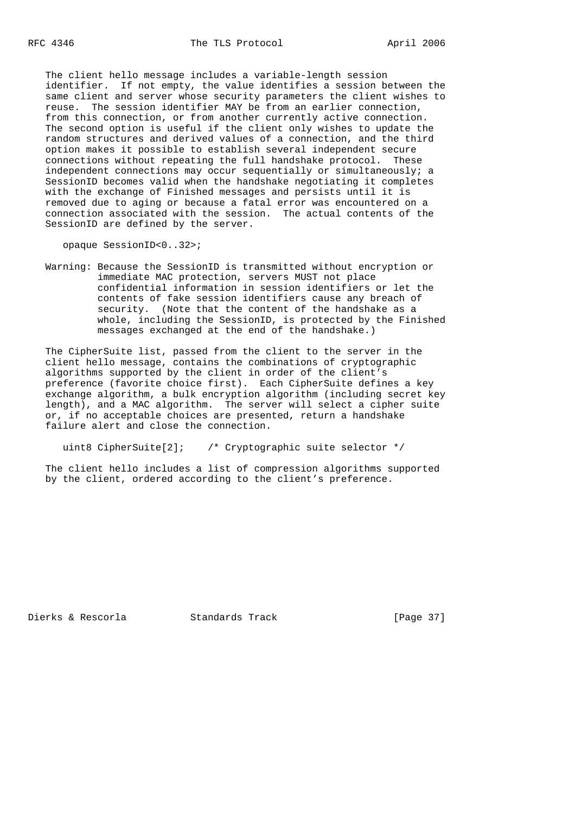The client hello message includes a variable-length session identifier. If not empty, the value identifies a session between the same client and server whose security parameters the client wishes to reuse. The session identifier MAY be from an earlier connection, from this connection, or from another currently active connection. The second option is useful if the client only wishes to update the random structures and derived values of a connection, and the third option makes it possible to establish several independent secure connections without repeating the full handshake protocol. These independent connections may occur sequentially or simultaneously; a SessionID becomes valid when the handshake negotiating it completes with the exchange of Finished messages and persists until it is removed due to aging or because a fatal error was encountered on a connection associated with the session. The actual contents of the SessionID are defined by the server.

opaque SessionID<0..32>;

 Warning: Because the SessionID is transmitted without encryption or immediate MAC protection, servers MUST not place confidential information in session identifiers or let the contents of fake session identifiers cause any breach of security. (Note that the content of the handshake as a whole, including the SessionID, is protected by the Finished messages exchanged at the end of the handshake.)

 The CipherSuite list, passed from the client to the server in the client hello message, contains the combinations of cryptographic algorithms supported by the client in order of the client's preference (favorite choice first). Each CipherSuite defines a key exchange algorithm, a bulk encryption algorithm (including secret key length), and a MAC algorithm. The server will select a cipher suite or, if no acceptable choices are presented, return a handshake failure alert and close the connection.

uint8 CipherSuite[2]; /\* Cryptographic suite selector \*/

 The client hello includes a list of compression algorithms supported by the client, ordered according to the client's preference.

Dierks & Rescorla Standards Track [Page 37]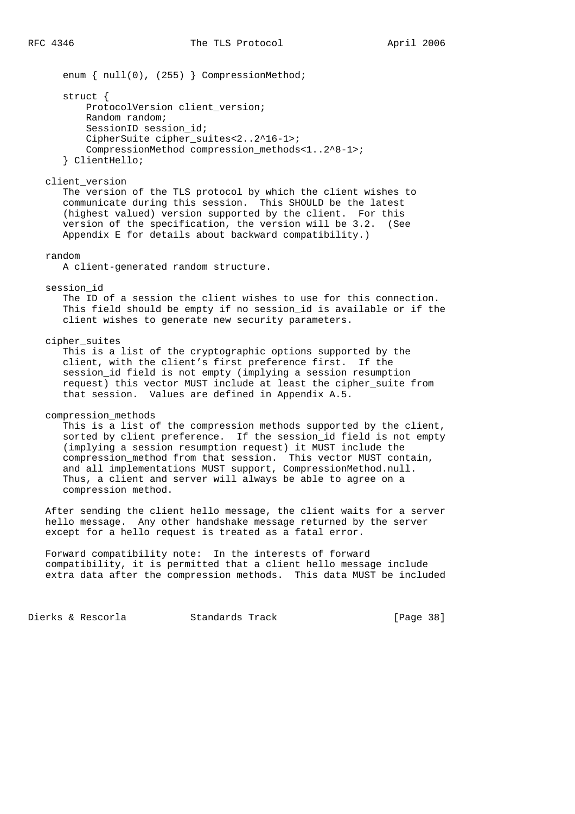enum { null(0), (255) } CompressionMethod;

struct {

 ProtocolVersion client\_version; Random random; SessionID session id; CipherSuite cipher\_suites<2..2^16-1>; CompressionMethod compression\_methods<1..2^8-1>; } ClientHello;

### client\_version

 The version of the TLS protocol by which the client wishes to communicate during this session. This SHOULD be the latest (highest valued) version supported by the client. For this version of the specification, the version will be 3.2. (See Appendix E for details about backward compatibility.)

### random

A client-generated random structure.

### session\_id

 The ID of a session the client wishes to use for this connection. This field should be empty if no session\_id is available or if the client wishes to generate new security parameters.

cipher\_suites

 This is a list of the cryptographic options supported by the client, with the client's first preference first. If the session\_id field is not empty (implying a session resumption request) this vector MUST include at least the cipher\_suite from that session. Values are defined in Appendix A.5.

# compression\_methods

 This is a list of the compression methods supported by the client, sorted by client preference. If the session id field is not empty (implying a session resumption request) it MUST include the compression\_method from that session. This vector MUST contain, and all implementations MUST support, CompressionMethod.null. Thus, a client and server will always be able to agree on a compression method.

 After sending the client hello message, the client waits for a server hello message. Any other handshake message returned by the server except for a hello request is treated as a fatal error.

 Forward compatibility note: In the interests of forward compatibility, it is permitted that a client hello message include extra data after the compression methods. This data MUST be included

Dierks & Rescorla Standards Track [Page 38]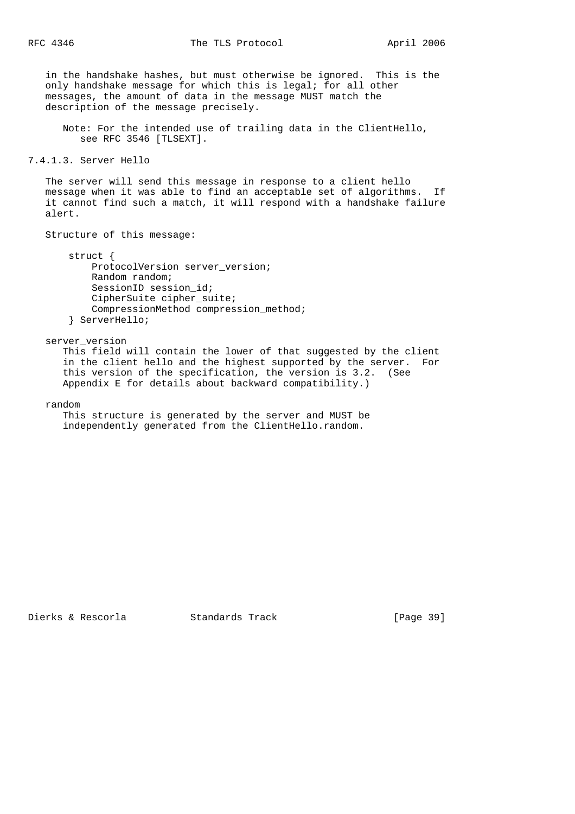in the handshake hashes, but must otherwise be ignored. This is the only handshake message for which this is legal; for all other messages, the amount of data in the message MUST match the description of the message precisely.

 Note: For the intended use of trailing data in the ClientHello, see RFC 3546 [TLSEXT].

```
7.4.1.3. Server Hello
```
 The server will send this message in response to a client hello message when it was able to find an acceptable set of algorithms. If it cannot find such a match, it will respond with a handshake failure alert.

Structure of this message:

 struct { ProtocolVersion server\_version; Random random; SessionID session id; CipherSuite cipher\_suite; CompressionMethod compression\_method; } ServerHello;

server\_version

 This field will contain the lower of that suggested by the client in the client hello and the highest supported by the server. For this version of the specification, the version is 3.2. (See Appendix E for details about backward compatibility.)

random

 This structure is generated by the server and MUST be independently generated from the ClientHello.random.

Dierks & Rescorla Standards Track [Page 39]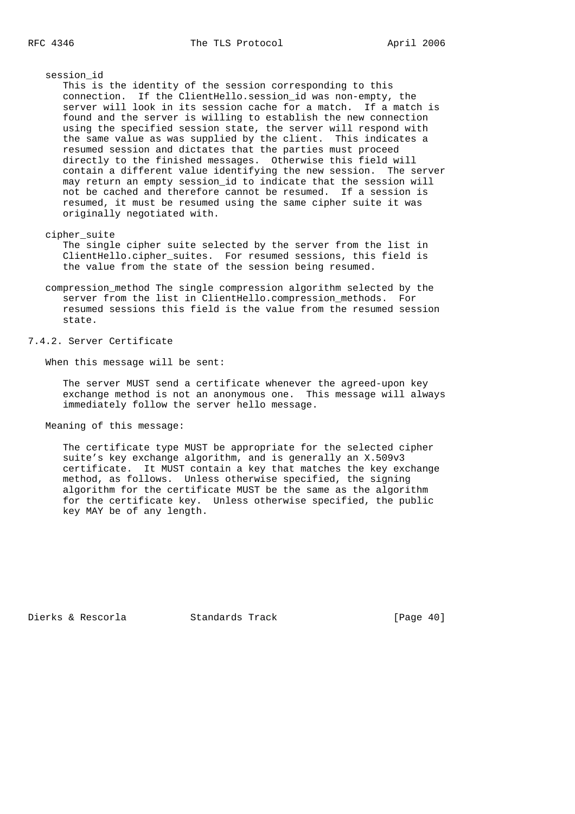session\_id

 This is the identity of the session corresponding to this connection. If the ClientHello.session\_id was non-empty, the server will look in its session cache for a match. If a match is found and the server is willing to establish the new connection using the specified session state, the server will respond with the same value as was supplied by the client. This indicates a resumed session and dictates that the parties must proceed directly to the finished messages. Otherwise this field will contain a different value identifying the new session. The server may return an empty session\_id to indicate that the session will not be cached and therefore cannot be resumed. If a session is resumed, it must be resumed using the same cipher suite it was originally negotiated with.

cipher\_suite

 The single cipher suite selected by the server from the list in ClientHello.cipher\_suites. For resumed sessions, this field is the value from the state of the session being resumed.

 compression\_method The single compression algorithm selected by the server from the list in ClientHello.compression\_methods. For resumed sessions this field is the value from the resumed session state.

7.4.2. Server Certificate

When this message will be sent:

 The server MUST send a certificate whenever the agreed-upon key exchange method is not an anonymous one. This message will always immediately follow the server hello message.

Meaning of this message:

 The certificate type MUST be appropriate for the selected cipher suite's key exchange algorithm, and is generally an X.509v3 certificate. It MUST contain a key that matches the key exchange method, as follows. Unless otherwise specified, the signing algorithm for the certificate MUST be the same as the algorithm for the certificate key. Unless otherwise specified, the public key MAY be of any length.

Dierks & Rescorla Standards Track [Page 40]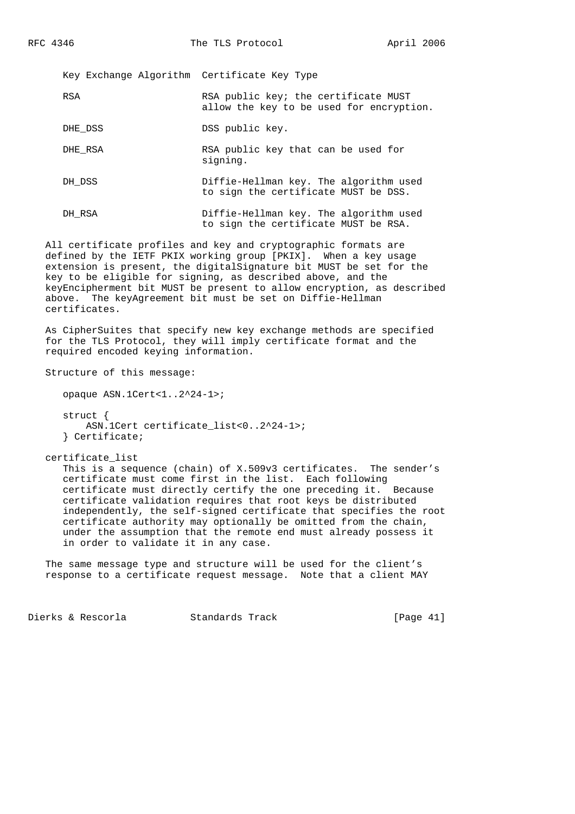Key Exchange Algorithm Certificate Key Type

| RSA | RSA public key; the certificate MUST     |  |
|-----|------------------------------------------|--|
|     | allow the key to be used for encryption. |  |

DHE DSS DSS public key.

DHE\_RSA RSA public key that can be used for signing.

- DH\_DSS Diffie-Hellman key. The algorithm used to sign the certificate MUST be DSS.
- DH\_RSA Diffie-Hellman key. The algorithm used to sign the certificate MUST be RSA.

 All certificate profiles and key and cryptographic formats are defined by the IETF PKIX working group [PKIX]. When a key usage extension is present, the digitalSignature bit MUST be set for the key to be eligible for signing, as described above, and the keyEncipherment bit MUST be present to allow encryption, as described above. The keyAgreement bit must be set on Diffie-Hellman certificates.

 As CipherSuites that specify new key exchange methods are specified for the TLS Protocol, they will imply certificate format and the required encoded keying information.

Structure of this message:

opaque ASN.1Cert<1..2^24-1>;

 struct { ASN.1Cert certificate\_list<0..2^24-1>; } Certificate;

certificate\_list

 This is a sequence (chain) of X.509v3 certificates. The sender's certificate must come first in the list. Each following certificate must directly certify the one preceding it. Because certificate validation requires that root keys be distributed independently, the self-signed certificate that specifies the root certificate authority may optionally be omitted from the chain, under the assumption that the remote end must already possess it in order to validate it in any case.

 The same message type and structure will be used for the client's response to a certificate request message. Note that a client MAY

Dierks & Rescorla Standards Track [Page 41]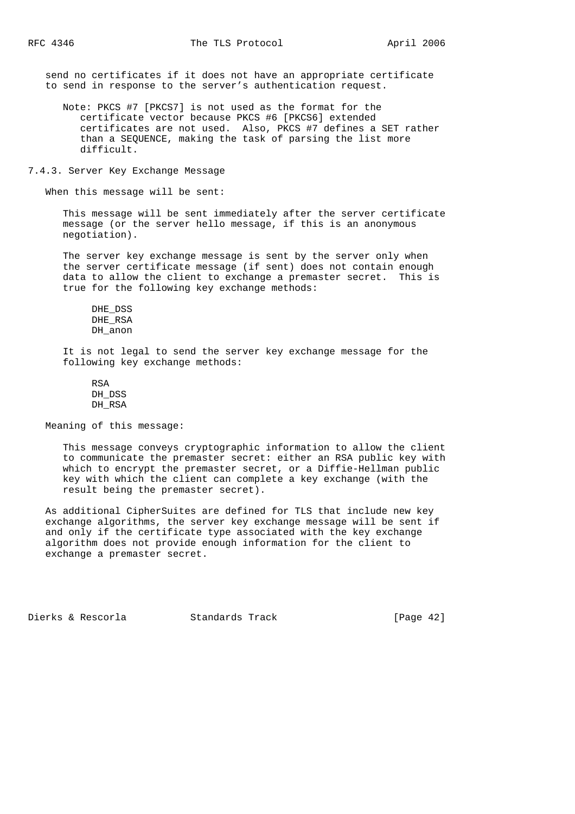send no certificates if it does not have an appropriate certificate to send in response to the server's authentication request.

- Note: PKCS #7 [PKCS7] is not used as the format for the certificate vector because PKCS #6 [PKCS6] extended certificates are not used. Also, PKCS #7 defines a SET rather than a SEQUENCE, making the task of parsing the list more difficult.
- 7.4.3. Server Key Exchange Message

When this message will be sent:

 This message will be sent immediately after the server certificate message (or the server hello message, if this is an anonymous negotiation).

 The server key exchange message is sent by the server only when the server certificate message (if sent) does not contain enough data to allow the client to exchange a premaster secret. This is true for the following key exchange methods:

```
 DHE_DSS
 DHE_RSA
 DH_anon
```
 It is not legal to send the server key exchange message for the following key exchange methods:

 RSA DH DSS DH\_RSA

Meaning of this message:

 This message conveys cryptographic information to allow the client to communicate the premaster secret: either an RSA public key with which to encrypt the premaster secret, or a Diffie-Hellman public key with which the client can complete a key exchange (with the result being the premaster secret).

 As additional CipherSuites are defined for TLS that include new key exchange algorithms, the server key exchange message will be sent if and only if the certificate type associated with the key exchange algorithm does not provide enough information for the client to exchange a premaster secret.

Dierks & Rescorla Standards Track [Page 42]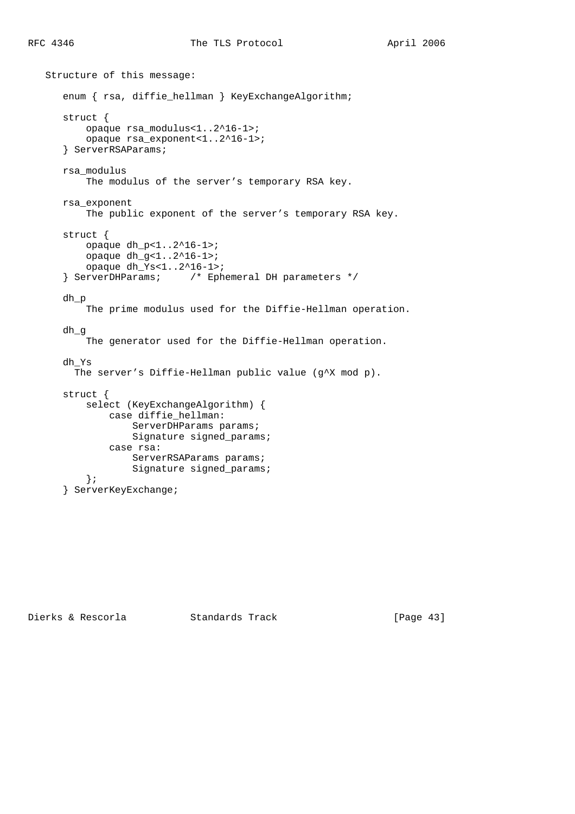```
 Structure of this message:
   enum { rsa, diffie hellman } KeyExchangeAlgorithm;
    struct {
        opaque rsa_modulus<1..2^16-1>;
        opaque rsa_exponent<1..2^16-1>;
    } ServerRSAParams;
    rsa_modulus
        The modulus of the server's temporary RSA key.
    rsa_exponent
        The public exponent of the server's temporary RSA key.
    struct {
        opaque dh_p<1..2^16-1>;
        opaque dh_g<1..2^16-1>;
        opaque dh_Ys<1..2^16-1>;
    } ServerDHParams; /* Ephemeral DH parameters */
    dh_p
        The prime modulus used for the Diffie-Hellman operation.
    dh_g
        The generator used for the Diffie-Hellman operation.
    dh_Ys
     The server's Diffie-Hellman public value (g<sup>^</sup>X mod p).
    struct {
        select (KeyExchangeAlgorithm) {
            case diffie_hellman:
                ServerDHParams params;
                Signature signed_params;
            case rsa:
                ServerRSAParams params;
                Signature signed_params;
        };
    } ServerKeyExchange;
```
Dierks & Rescorla Standards Track [Page 43]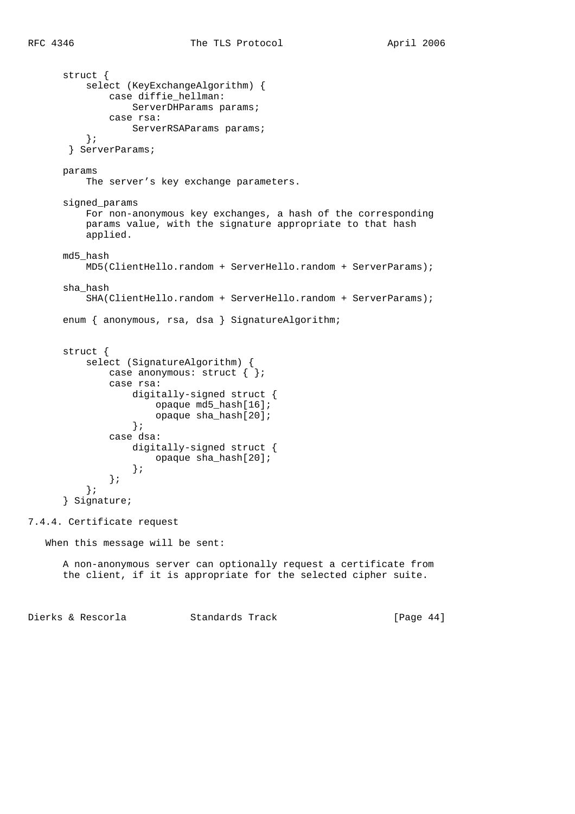```
 struct {
           select (KeyExchangeAlgorithm) {
             case diffie hellman:
                  ServerDHParams params;
               case rsa:
                  ServerRSAParams params;
           };
        } ServerParams;
       params
           The server's key exchange parameters.
       signed_params
           For non-anonymous key exchanges, a hash of the corresponding
           params value, with the signature appropriate to that hash
           applied.
       md5_hash
           MD5(ClientHello.random + ServerHello.random + ServerParams);
       sha_hash
           SHA(ClientHello.random + ServerHello.random + ServerParams);
      enum { anonymous, rsa, dsa } SignatureAlgorithm;
       struct {
           select (SignatureAlgorithm) {
              case anonymous: struct { \};
               case rsa:
                   digitally-signed struct {
                       opaque md5_hash[16];
                       opaque sha_hash[20];
 };
               case dsa:
                   digitally-signed struct {
                       opaque sha_hash[20];
                   };
               };
           };
       } Signature;
7.4.4. Certificate request
   When this message will be sent:
       A non-anonymous server can optionally request a certificate from
       the client, if it is appropriate for the selected cipher suite.
```
Dierks & Rescorla Standards Track [Page 44]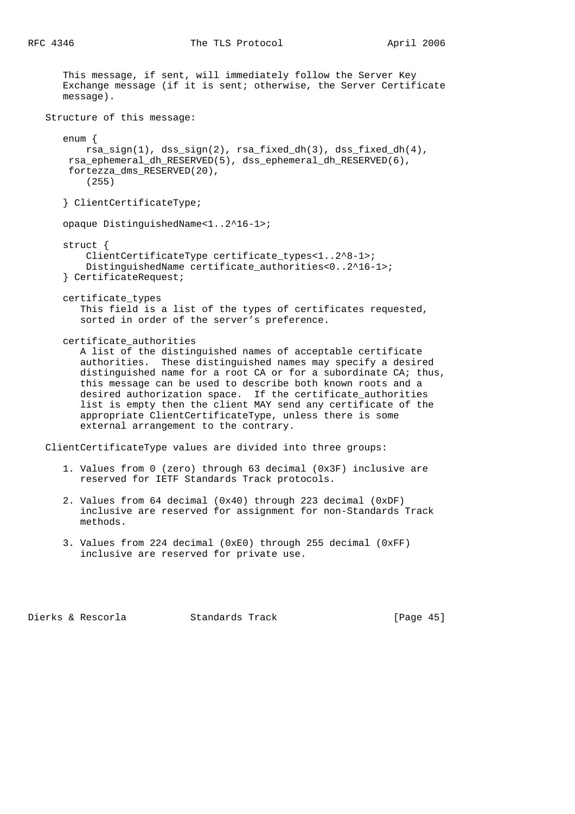| This message, if sent, will immediately follow the Server Key<br>Exchange message (if it is sent; otherwise, the Server Certificate<br>message).                                                                                                                                                                                                                                                                                                                                                                             |
|------------------------------------------------------------------------------------------------------------------------------------------------------------------------------------------------------------------------------------------------------------------------------------------------------------------------------------------------------------------------------------------------------------------------------------------------------------------------------------------------------------------------------|
| Structure of this message:                                                                                                                                                                                                                                                                                                                                                                                                                                                                                                   |
| $enum \{$<br>rsa_sign(1), dss_sign(2), rsa_fixed_dh(3), dss_fixed_dh(4),<br>rsa_ephemeral_dh_RESERVED(5), dss_ephemeral_dh_RESERVED(6),<br>fortezza_dms_RESERVED(20),<br>(255)                                                                                                                                                                                                                                                                                                                                               |
| { ClientCertificateType;                                                                                                                                                                                                                                                                                                                                                                                                                                                                                                     |
| opaque DistinguishedName<12^16-1>;                                                                                                                                                                                                                                                                                                                                                                                                                                                                                           |
| $struct \{$<br>ClientCertificateType certificate_types<12^8-1>;<br>DistinguishedName certificate_authorities<02^16-1>;<br>} CertificateRequest;                                                                                                                                                                                                                                                                                                                                                                              |
| certificate types<br>This field is a list of the types of certificates requested,<br>sorted in order of the server's preference.                                                                                                                                                                                                                                                                                                                                                                                             |
| certificate_authorities<br>A list of the distinguished names of acceptable certificate<br>authorities. These distinguished names may specify a desired<br>distinguished name for a root CA or for a subordinate CA; thus,<br>this message can be used to describe both known roots and a<br>desired authorization space. If the certificate_authorities<br>list is empty then the client MAY send any certificate of the<br>appropriate ClientCertificateType, unless there is some<br>external arrangement to the contrary. |
| ClientCertificateType values are divided into three groups:                                                                                                                                                                                                                                                                                                                                                                                                                                                                  |
| 1. Values from 0 (zero) through 63 decimal (0x3F) inclusive are<br>reserved for IETF Standards Track protocols.                                                                                                                                                                                                                                                                                                                                                                                                              |

- 2. Values from 64 decimal (0x40) through 223 decimal (0xDF) inclusive are reserved for assignment for non-Standards Track methods.
- 3. Values from 224 decimal (0xE0) through 255 decimal (0xFF) inclusive are reserved for private use.

Dierks & Rescorla Standards Track [Page 45]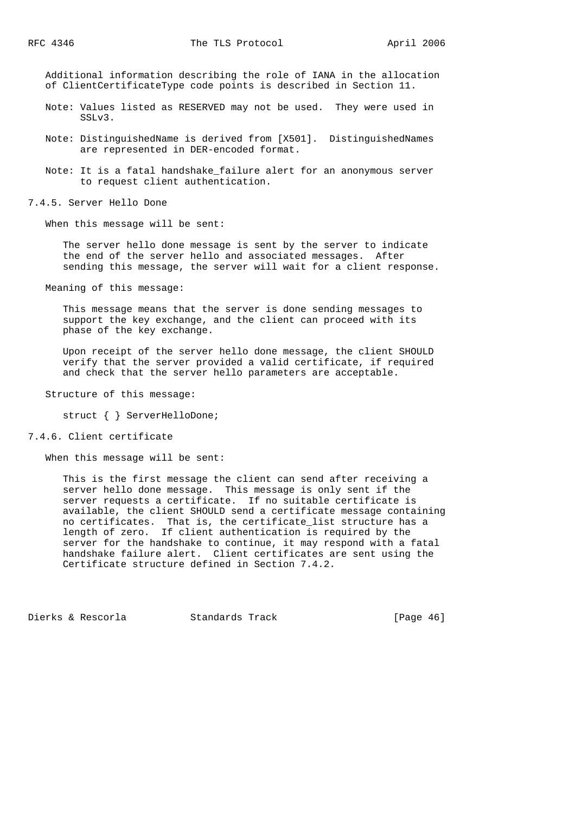Additional information describing the role of IANA in the allocation of ClientCertificateType code points is described in Section 11.

- Note: Values listed as RESERVED may not be used. They were used in SSLv3.
- Note: DistinguishedName is derived from [X501]. DistinguishedNames are represented in DER-encoded format.
- Note: It is a fatal handshake\_failure alert for an anonymous server to request client authentication.

7.4.5. Server Hello Done

When this message will be sent:

 The server hello done message is sent by the server to indicate the end of the server hello and associated messages. After sending this message, the server will wait for a client response.

Meaning of this message:

 This message means that the server is done sending messages to support the key exchange, and the client can proceed with its phase of the key exchange.

 Upon receipt of the server hello done message, the client SHOULD verify that the server provided a valid certificate, if required and check that the server hello parameters are acceptable.

Structure of this message:

struct { } ServerHelloDone;

## 7.4.6. Client certificate

When this message will be sent:

 This is the first message the client can send after receiving a server hello done message. This message is only sent if the server requests a certificate. If no suitable certificate is available, the client SHOULD send a certificate message containing no certificates. That is, the certificate\_list structure has a length of zero. If client authentication is required by the server for the handshake to continue, it may respond with a fatal handshake failure alert. Client certificates are sent using the Certificate structure defined in Section 7.4.2.

Dierks & Rescorla Standards Track [Page 46]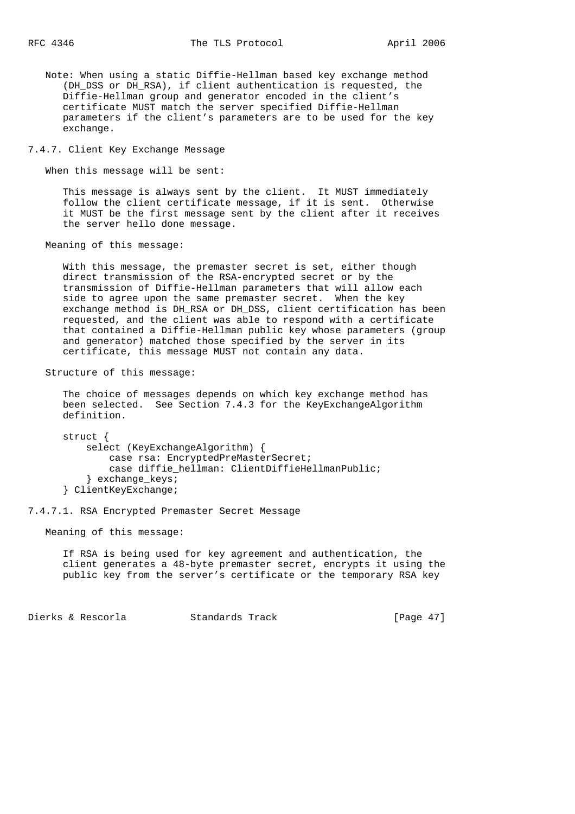Note: When using a static Diffie-Hellman based key exchange method (DH\_DSS or DH\_RSA), if client authentication is requested, the Diffie-Hellman group and generator encoded in the client's certificate MUST match the server specified Diffie-Hellman parameters if the client's parameters are to be used for the key exchange.

7.4.7. Client Key Exchange Message

When this message will be sent:

 This message is always sent by the client. It MUST immediately follow the client certificate message, if it is sent. Otherwise it MUST be the first message sent by the client after it receives the server hello done message.

Meaning of this message:

 With this message, the premaster secret is set, either though direct transmission of the RSA-encrypted secret or by the transmission of Diffie-Hellman parameters that will allow each side to agree upon the same premaster secret. When the key exchange method is DH\_RSA or DH\_DSS, client certification has been requested, and the client was able to respond with a certificate that contained a Diffie-Hellman public key whose parameters (group and generator) matched those specified by the server in its certificate, this message MUST not contain any data.

Structure of this message:

 The choice of messages depends on which key exchange method has been selected. See Section 7.4.3 for the KeyExchangeAlgorithm definition.

 struct { select (KeyExchangeAlgorithm) { case rsa: EncryptedPreMasterSecret; case diffie\_hellman: ClientDiffieHellmanPublic; } exchange\_keys; } ClientKeyExchange;

7.4.7.1. RSA Encrypted Premaster Secret Message

Meaning of this message:

 If RSA is being used for key agreement and authentication, the client generates a 48-byte premaster secret, encrypts it using the public key from the server's certificate or the temporary RSA key

Dierks & Rescorla Standards Track [Page 47]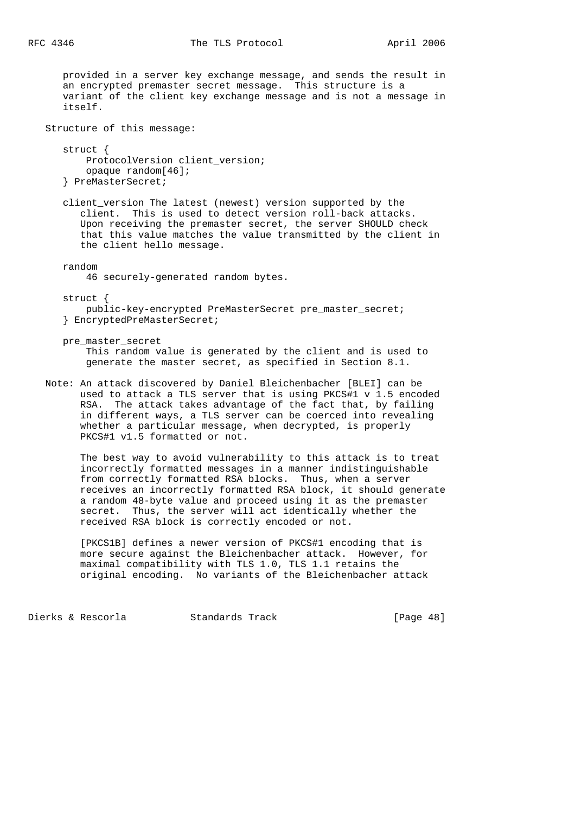provided in a server key exchange message, and sends the result in an encrypted premaster secret message. This structure is a variant of the client key exchange message and is not a message in itself. Structure of this message: struct { ProtocolVersion client version; opaque random[46]; } PreMasterSecret; client\_version The latest (newest) version supported by the client. This is used to detect version roll-back attacks. Upon receiving the premaster secret, the server SHOULD check that this value matches the value transmitted by the client in the client hello message. random 46 securely-generated random bytes. struct { public-key-encrypted PreMasterSecret pre\_master\_secret; } EncryptedPreMasterSecret; pre\_master\_secret This random value is generated by the client and is used to generate the master secret, as specified in Section 8.1. Note: An attack discovered by Daniel Bleichenbacher [BLEI] can be used to attack a TLS server that is using PKCS#1 v 1.5 encoded RSA. The attack takes advantage of the fact that, by failing in different ways, a TLS server can be coerced into revealing whether a particular message, when decrypted, is properly PKCS#1 v1.5 formatted or not.

 The best way to avoid vulnerability to this attack is to treat incorrectly formatted messages in a manner indistinguishable from correctly formatted RSA blocks. Thus, when a server receives an incorrectly formatted RSA block, it should generate a random 48-byte value and proceed using it as the premaster secret. Thus, the server will act identically whether the received RSA block is correctly encoded or not.

 [PKCS1B] defines a newer version of PKCS#1 encoding that is more secure against the Bleichenbacher attack. However, for maximal compatibility with TLS 1.0, TLS 1.1 retains the original encoding. No variants of the Bleichenbacher attack

Dierks & Rescorla Standards Track [Page 48]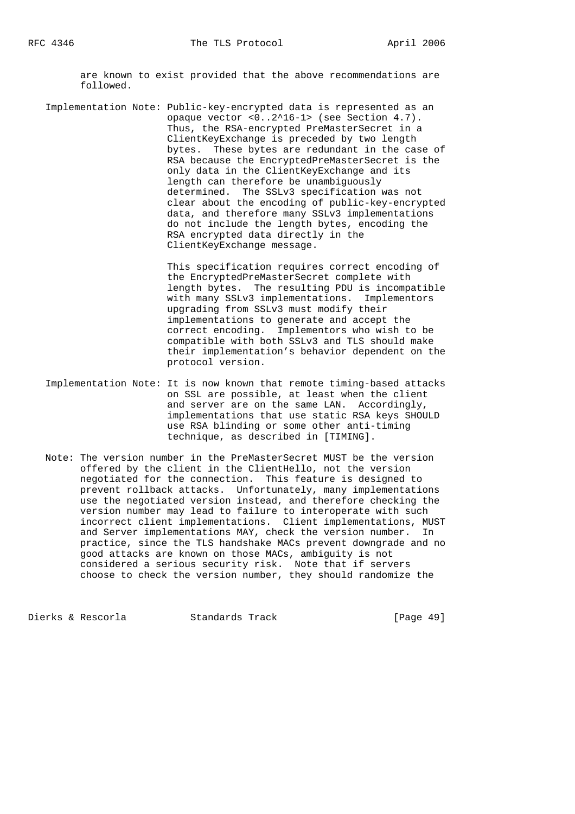are known to exist provided that the above recommendations are followed.

 Implementation Note: Public-key-encrypted data is represented as an opaque vector <0..2^16-1> (see Section 4.7). Thus, the RSA-encrypted PreMasterSecret in a ClientKeyExchange is preceded by two length bytes. These bytes are redundant in the case of RSA because the EncryptedPreMasterSecret is the only data in the ClientKeyExchange and its length can therefore be unambiguously determined. The SSLv3 specification was not clear about the encoding of public-key-encrypted data, and therefore many SSLv3 implementations do not include the length bytes, encoding the RSA encrypted data directly in the ClientKeyExchange message.

> This specification requires correct encoding of the EncryptedPreMasterSecret complete with length bytes. The resulting PDU is incompatible with many SSLv3 implementations. Implementors upgrading from SSLv3 must modify their implementations to generate and accept the correct encoding. Implementors who wish to be compatible with both SSLv3 and TLS should make their implementation's behavior dependent on the protocol version.

- Implementation Note: It is now known that remote timing-based attacks on SSL are possible, at least when the client and server are on the same LAN. Accordingly, implementations that use static RSA keys SHOULD use RSA blinding or some other anti-timing technique, as described in [TIMING].
- Note: The version number in the PreMasterSecret MUST be the version offered by the client in the ClientHello, not the version negotiated for the connection. This feature is designed to prevent rollback attacks. Unfortunately, many implementations use the negotiated version instead, and therefore checking the version number may lead to failure to interoperate with such incorrect client implementations. Client implementations, MUST and Server implementations MAY, check the version number. In practice, since the TLS handshake MACs prevent downgrade and no good attacks are known on those MACs, ambiguity is not considered a serious security risk. Note that if servers choose to check the version number, they should randomize the

Dierks & Rescorla Standards Track [Page 49]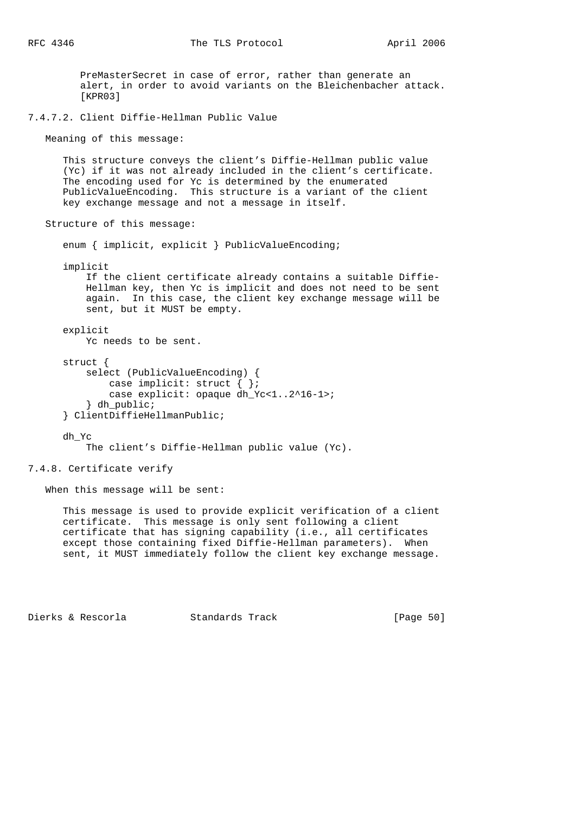PreMasterSecret in case of error, rather than generate an alert, in order to avoid variants on the Bleichenbacher attack. [KPR03] 7.4.7.2. Client Diffie-Hellman Public Value Meaning of this message: This structure conveys the client's Diffie-Hellman public value (Yc) if it was not already included in the client's certificate. The encoding used for Yc is determined by the enumerated PublicValueEncoding. This structure is a variant of the client key exchange message and not a message in itself. Structure of this message: enum { implicit, explicit } PublicValueEncoding; implicit If the client certificate already contains a suitable Diffie- Hellman key, then Yc is implicit and does not need to be sent again. In this case, the client key exchange message will be sent, but it MUST be empty. explicit Yc needs to be sent. struct { select (PublicValueEncoding) { case implicit: struct { }; case explicit: opaque dh\_Yc<1..2^16-1>; } dh\_public; } ClientDiffieHellmanPublic; dh\_Yc The client's Diffie-Hellman public value (Yc). 7.4.8. Certificate verify

When this message will be sent:

 This message is used to provide explicit verification of a client certificate. This message is only sent following a client certificate that has signing capability (i.e., all certificates except those containing fixed Diffie-Hellman parameters). When sent, it MUST immediately follow the client key exchange message.

Dierks & Rescorla Standards Track [Page 50]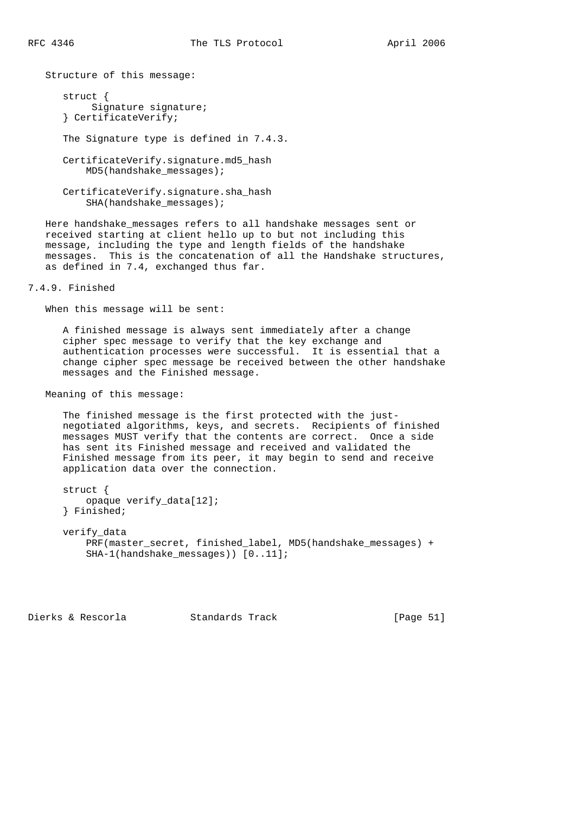Structure of this message:

 struct { Signature signature; } CertificateVerify; The Signature type is defined in 7.4.3. CertificateVerify.signature.md5\_hash MD5(handshake\_messages);

 CertificateVerify.signature.sha\_hash SHA(handshake\_messages);

 Here handshake\_messages refers to all handshake messages sent or received starting at client hello up to but not including this message, including the type and length fields of the handshake messages. This is the concatenation of all the Handshake structures, as defined in 7.4, exchanged thus far.

7.4.9. Finished

When this message will be sent:

 A finished message is always sent immediately after a change cipher spec message to verify that the key exchange and authentication processes were successful. It is essential that a change cipher spec message be received between the other handshake messages and the Finished message.

Meaning of this message:

 The finished message is the first protected with the just negotiated algorithms, keys, and secrets. Recipients of finished messages MUST verify that the contents are correct. Once a side has sent its Finished message and received and validated the Finished message from its peer, it may begin to send and receive application data over the connection.

 struct { opaque verify\_data[12]; } Finished;

 verify\_data PRF(master\_secret, finished\_label, MD5(handshake\_messages) + SHA-1(handshake\_messages)) [0..11];

Dierks & Rescorla Standards Track [Page 51]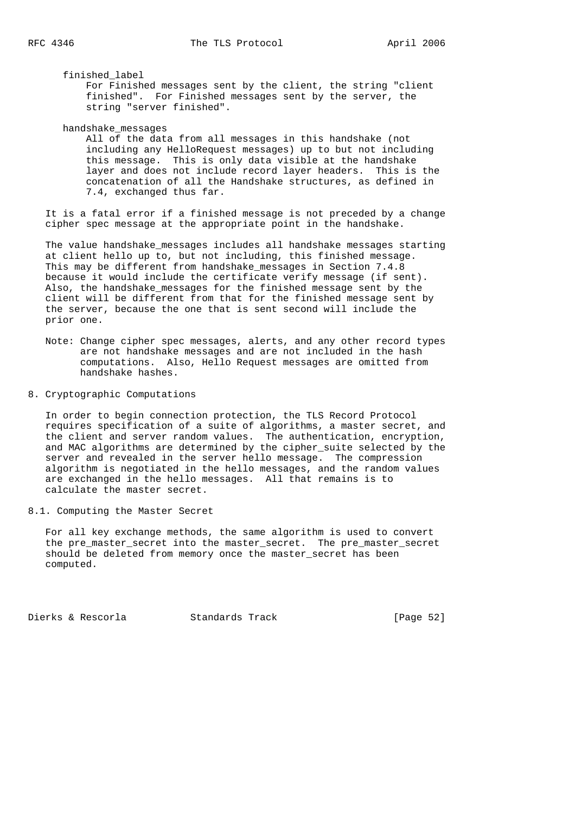finished\_label

 For Finished messages sent by the client, the string "client finished". For Finished messages sent by the server, the string "server finished".

handshake\_messages

 All of the data from all messages in this handshake (not including any HelloRequest messages) up to but not including this message. This is only data visible at the handshake layer and does not include record layer headers. This is the concatenation of all the Handshake structures, as defined in 7.4, exchanged thus far.

 It is a fatal error if a finished message is not preceded by a change cipher spec message at the appropriate point in the handshake.

 The value handshake\_messages includes all handshake messages starting at client hello up to, but not including, this finished message. This may be different from handshake\_messages in Section 7.4.8 because it would include the certificate verify message (if sent). Also, the handshake messages for the finished message sent by the client will be different from that for the finished message sent by the server, because the one that is sent second will include the prior one.

 Note: Change cipher spec messages, alerts, and any other record types are not handshake messages and are not included in the hash computations. Also, Hello Request messages are omitted from handshake hashes.

8. Cryptographic Computations

 In order to begin connection protection, the TLS Record Protocol requires specification of a suite of algorithms, a master secret, and the client and server random values. The authentication, encryption, and MAC algorithms are determined by the cipher\_suite selected by the server and revealed in the server hello message. The compression algorithm is negotiated in the hello messages, and the random values are exchanged in the hello messages. All that remains is to calculate the master secret.

8.1. Computing the Master Secret

 For all key exchange methods, the same algorithm is used to convert the pre\_master\_secret into the master\_secret. The pre\_master\_secret should be deleted from memory once the master\_secret has been computed.

Dierks & Rescorla Standards Track [Page 52]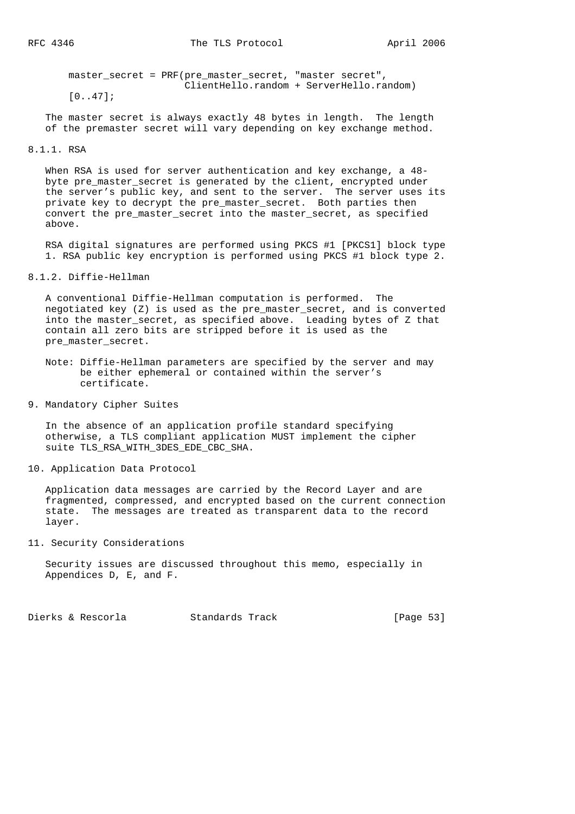master\_secret = PRF(pre\_master\_secret, "master secret", ClientHello.random + ServerHello.random)

[0..47];

 The master secret is always exactly 48 bytes in length. The length of the premaster secret will vary depending on key exchange method.

## 8.1.1. RSA

When RSA is used for server authentication and key exchange, a  $48$  byte pre\_master\_secret is generated by the client, encrypted under the server's public key, and sent to the server. The server uses its private key to decrypt the pre\_master\_secret. Both parties then convert the pre\_master\_secret into the master\_secret, as specified above.

 RSA digital signatures are performed using PKCS #1 [PKCS1] block type 1. RSA public key encryption is performed using PKCS #1 block type 2.

## 8.1.2. Diffie-Hellman

 A conventional Diffie-Hellman computation is performed. The negotiated key (Z) is used as the pre\_master\_secret, and is converted into the master\_secret, as specified above. Leading bytes of Z that contain all zero bits are stripped before it is used as the pre\_master\_secret.

- Note: Diffie-Hellman parameters are specified by the server and may be either ephemeral or contained within the server's certificate.
- 9. Mandatory Cipher Suites

 In the absence of an application profile standard specifying otherwise, a TLS compliant application MUST implement the cipher suite TLS\_RSA\_WITH\_3DES\_EDE\_CBC\_SHA.

10. Application Data Protocol

 Application data messages are carried by the Record Layer and are fragmented, compressed, and encrypted based on the current connection state. The messages are treated as transparent data to the record layer.

11. Security Considerations

 Security issues are discussed throughout this memo, especially in Appendices D, E, and F.

Dierks & Rescorla Standards Track [Page 53]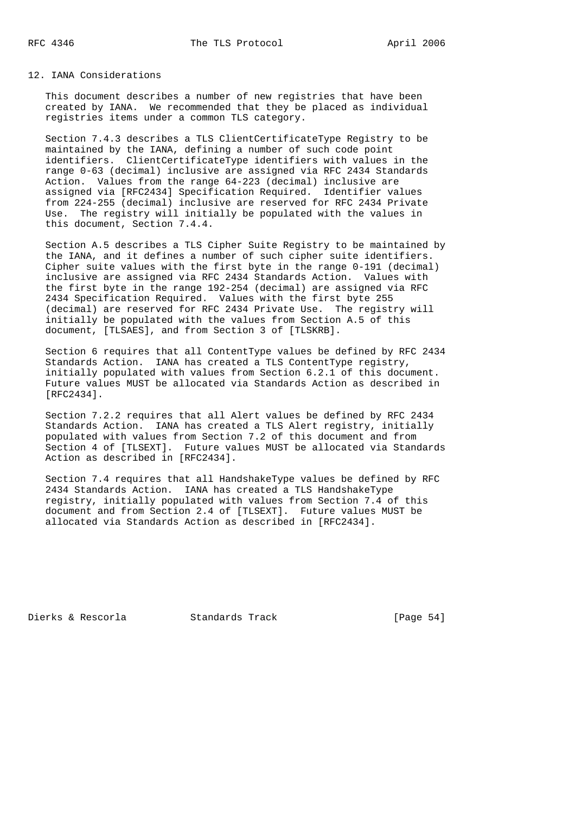# 12. IANA Considerations

 This document describes a number of new registries that have been created by IANA. We recommended that they be placed as individual registries items under a common TLS category.

 Section 7.4.3 describes a TLS ClientCertificateType Registry to be maintained by the IANA, defining a number of such code point identifiers. ClientCertificateType identifiers with values in the range 0-63 (decimal) inclusive are assigned via RFC 2434 Standards Action. Values from the range 64-223 (decimal) inclusive are assigned via [RFC2434] Specification Required. Identifier values from 224-255 (decimal) inclusive are reserved for RFC 2434 Private Use. The registry will initially be populated with the values in this document, Section 7.4.4.

 Section A.5 describes a TLS Cipher Suite Registry to be maintained by the IANA, and it defines a number of such cipher suite identifiers. Cipher suite values with the first byte in the range 0-191 (decimal) inclusive are assigned via RFC 2434 Standards Action. Values with the first byte in the range 192-254 (decimal) are assigned via RFC 2434 Specification Required. Values with the first byte 255 (decimal) are reserved for RFC 2434 Private Use. The registry will initially be populated with the values from Section A.5 of this document, [TLSAES], and from Section 3 of [TLSKRB].

 Section 6 requires that all ContentType values be defined by RFC 2434 Standards Action. IANA has created a TLS ContentType registry, initially populated with values from Section 6.2.1 of this document. Future values MUST be allocated via Standards Action as described in [RFC2434].

 Section 7.2.2 requires that all Alert values be defined by RFC 2434 Standards Action. IANA has created a TLS Alert registry, initially populated with values from Section 7.2 of this document and from Section 4 of [TLSEXT]. Future values MUST be allocated via Standards Action as described in [RFC2434].

 Section 7.4 requires that all HandshakeType values be defined by RFC 2434 Standards Action. IANA has created a TLS HandshakeType registry, initially populated with values from Section 7.4 of this document and from Section 2.4 of [TLSEXT]. Future values MUST be allocated via Standards Action as described in [RFC2434].

Dierks & Rescorla Standards Track [Page 54]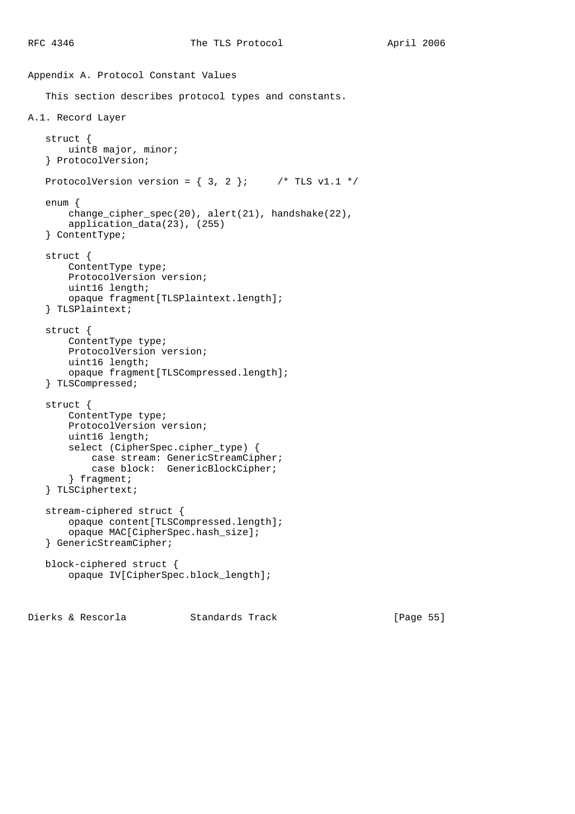```
Appendix A. Protocol Constant Values
    This section describes protocol types and constants.
A.1. Record Layer
    struct {
       uint8 major, minor;
    } ProtocolVersion;
   ProtocolVersion version = \{3, 2\}; /* TLS v1.1 */
    enum {
        change_cipher_spec(20), alert(21), handshake(22),
        application_data(23), (255)
    } ContentType;
    struct {
        ContentType type;
        ProtocolVersion version;
        uint16 length;
        opaque fragment[TLSPlaintext.length];
    } TLSPlaintext;
    struct {
        ContentType type;
        ProtocolVersion version;
        uint16 length;
        opaque fragment[TLSCompressed.length];
    } TLSCompressed;
    struct {
        ContentType type;
        ProtocolVersion version;
       uint16 length;
        select (CipherSpec.cipher_type) {
            case stream: GenericStreamCipher;
            case block: GenericBlockCipher;
        } fragment;
    } TLSCiphertext;
    stream-ciphered struct {
        opaque content[TLSCompressed.length];
        opaque MAC[CipherSpec.hash_size];
    } GenericStreamCipher;
    block-ciphered struct {
        opaque IV[CipherSpec.block_length];
```
Dierks & Rescorla Standards Track [Page 55]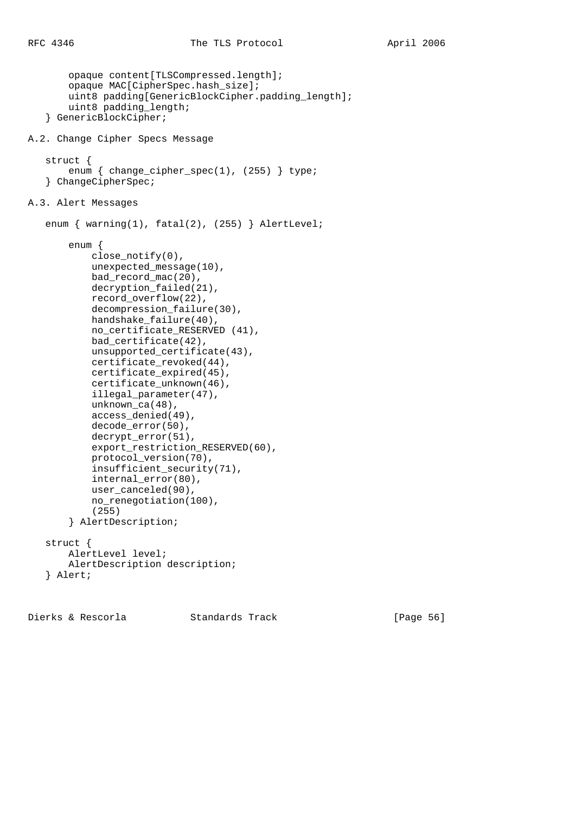```
 opaque content[TLSCompressed.length];
        opaque MAC[CipherSpec.hash_size];
       uint8 padding[GenericBlockCipher.padding_length];
        uint8 padding_length;
    } GenericBlockCipher;
A.2. Change Cipher Specs Message
    struct {
       enum { change_cipher_spec(1), (255) } type;
    } ChangeCipherSpec;
A.3. Alert Messages
   enum \{ warning(1), fat(2), (255) \} AlertLevel;
        enum {
            close_notify(0),
            unexpected_message(10),
            bad_record_mac(20),
            decryption_failed(21),
            record_overflow(22),
            decompression_failure(30),
           handshake failure(40),
            no_certificate_RESERVED (41),
            bad_certificate(42),
            unsupported_certificate(43),
            certificate_revoked(44),
            certificate_expired(45),
            certificate_unknown(46),
            illegal_parameter(47),
            unknown_ca(48),
            access_denied(49),
            decode_error(50),
            decrypt_error(51),
           export_restriction_RESERVED(60),
            protocol_version(70),
            insufficient_security(71),
            internal_error(80),
            user_canceled(90),
            no_renegotiation(100),
            (255)
        } AlertDescription;
    struct {
        AlertLevel level;
        AlertDescription description;
    } Alert;
```
Dierks & Rescorla Standards Track [Page 56]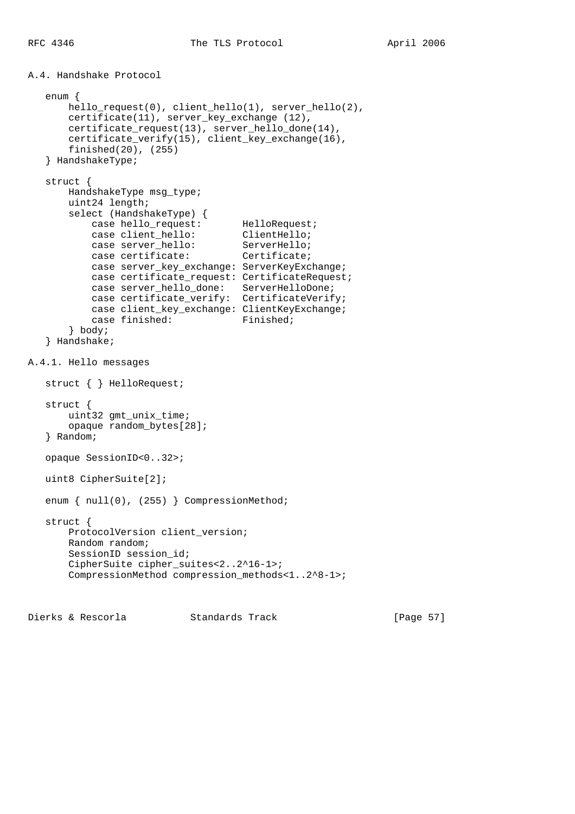A.4. Handshake Protocol

```
 enum {
       hello_request(0), client_hello(1), server_hello(2),
       certificate(11), server_key_exchange (12),
       certificate_request(13), server_hello_done(14),
       certificate_verify(15), client_key_exchange(16),
       finished(20), (255)
    } HandshakeType;
   struct {
       HandshakeType msg_type;
       uint24 length;
       select (HandshakeType) {
          case hello_request: HelloRequest;
          case client_hello: ClientHello;
case server_hello: ServerHello;
case certificate: Certificate;
           case server_key_exchange: ServerKeyExchange;
           case certificate_request: CertificateRequest;
 case server_hello_done: ServerHelloDone;
 case certificate_verify: CertificateVerify;
           case client_key_exchange: ClientKeyExchange;
          case finished: Finished;
        } body;
    } Handshake;
A.4.1. Hello messages
   struct { } HelloRequest;
   struct {
       uint32 gmt_unix_time;
       opaque random_bytes[28];
    } Random;
   opaque SessionID<0..32>;
   uint8 CipherSuite[2];
  enum { null(0), (255) } CompressionMethod;
   struct {
       ProtocolVersion client_version;
       Random random;
       SessionID session_id;
      CipherSuite cipher_suites<2..2^16-1>;
       CompressionMethod compression_methods<1..2^8-1>;
```
Dierks & Rescorla Standards Track [Page 57]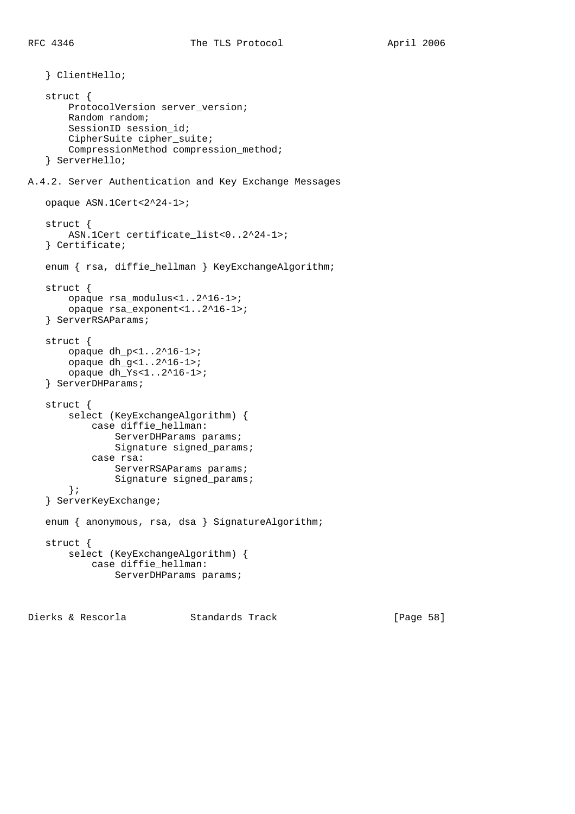} ClientHello;

 struct { ProtocolVersion server\_version; Random random; SessionID session\_id; CipherSuite cipher\_suite; CompressionMethod compression\_method; } ServerHello; A.4.2. Server Authentication and Key Exchange Messages opaque ASN.1Cert<2^24-1>; struct { ASN.1Cert certificate\_list<0..2^24-1>; } Certificate; enum { rsa, diffie\_hellman } KeyExchangeAlgorithm; struct { opaque rsa\_modulus<1..2^16-1>; opaque rsa\_exponent<1..2^16-1>; } ServerRSAParams; struct { opaque dh\_p<1..2^16-1>; opaque dh\_g<1..2^16-1>; opaque dh\_Ys<1..2^16-1>; } ServerDHParams; struct { select (KeyExchangeAlgorithm) { case diffie\_hellman: ServerDHParams params; Signature signed\_params; case rsa: ServerRSAParams params; Signature signed\_params; }; } ServerKeyExchange; enum { anonymous, rsa, dsa } SignatureAlgorithm; struct { select (KeyExchangeAlgorithm) { case diffie\_hellman: ServerDHParams params;

Dierks & Rescorla Standards Track [Page 58]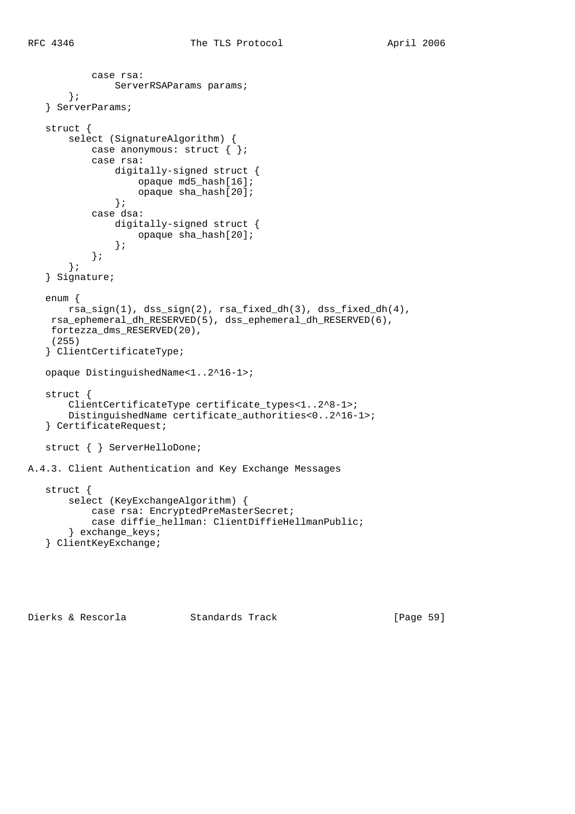```
 case rsa:
               ServerRSAParams params;
        };
    } ServerParams;
    struct {
        select (SignatureAlgorithm) {
           case anonymous: struct { };
            case rsa:
                 digitally-signed struct {
                     opaque md5_hash[16];
                     opaque sha_hash[20];
                 };
            case dsa:
                 digitally-signed struct {
                     opaque sha_hash[20];
                 };
            };
        };
    } Signature;
    enum {
        rsa_sign(1), dss_sign(2), rsa_fixed_dh(3), dss_fixed_dh(4),
     rsa_ephemeral_dh_RESERVED(5), dss_ephemeral_dh_RESERVED(6),
     fortezza_dms_RESERVED(20),
     (255)
    } ClientCertificateType;
    opaque DistinguishedName<1..2^16-1>;
    struct {
        ClientCertificateType certificate_types<1..2^8-1>;
        DistinguishedName certificate_authorities<0..2^16-1>;
    } CertificateRequest;
    struct { } ServerHelloDone;
A.4.3. Client Authentication and Key Exchange Messages
    struct {
        select (KeyExchangeAlgorithm) {
            case rsa: EncryptedPreMasterSecret;
```
case diffie\_hellman: ClientDiffieHellmanPublic;

} exchange\_keys;

```
 } ClientKeyExchange;
```
Dierks & Rescorla Standards Track [Page 59]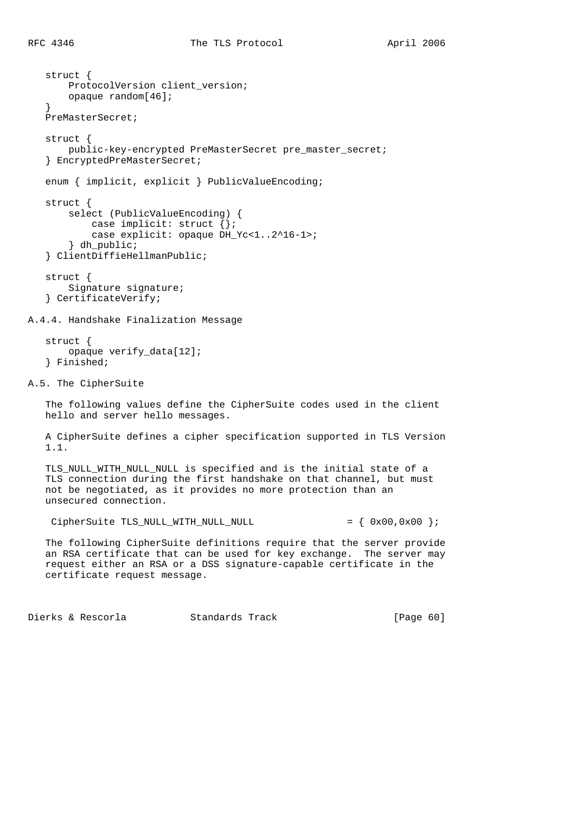```
 struct {
        ProtocolVersion client_version;
        opaque random[46];
    }
    PreMasterSecret;
    struct {
       public-key-encrypted PreMasterSecret pre_master_secret;
    } EncryptedPreMasterSecret;
    enum { implicit, explicit } PublicValueEncoding;
    struct {
        select (PublicValueEncoding) {
           case implicit: struct {};
            case explicit: opaque DH_Yc<1..2^16-1>;
        } dh_public;
    } ClientDiffieHellmanPublic;
    struct {
        Signature signature;
    } CertificateVerify;
A.4.4. Handshake Finalization Message
    struct {
        opaque verify_data[12];
    } Finished;
A.5. The CipherSuite
    The following values define the CipherSuite codes used in the client
    hello and server hello messages.
    A CipherSuite defines a cipher specification supported in TLS Version
    1.1.
    TLS_NULL_WITH_NULL_NULL is specified and is the initial state of a
    TLS connection during the first handshake on that channel, but must
    not be negotiated, as it provides no more protection than an
    unsecured connection.
    Cipher Suite TLS_MULL_MITH_MULL_MULL_MULL_MULL = \{ 0x00, 0x00 \} The following CipherSuite definitions require that the server provide
    an RSA certificate that can be used for key exchange. The server may
    request either an RSA or a DSS signature-capable certificate in the
    certificate request message.
```
Dierks & Rescorla Standards Track [Page 60]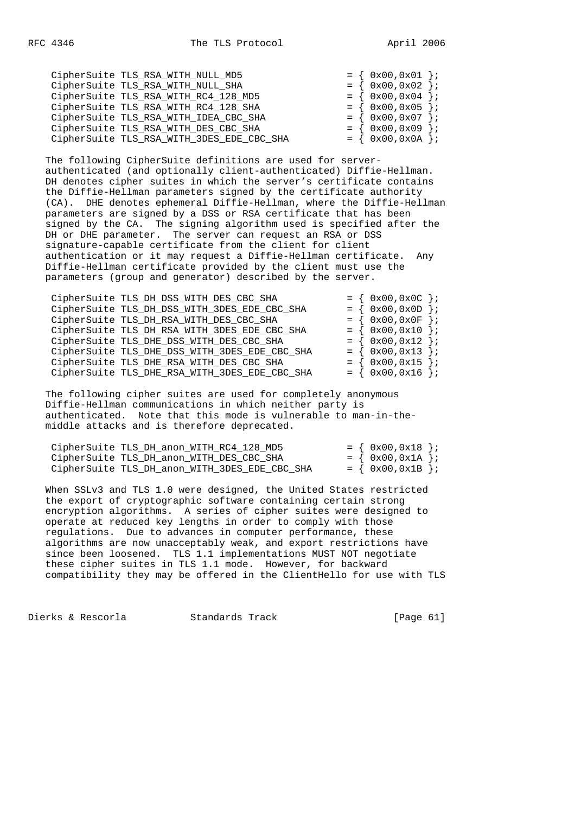| CipherSuite TLS_RSA_WITH_NULL_MD5         | $= \{ 0x00, 0x01 \}$ |  |
|-------------------------------------------|----------------------|--|
| CipherSuite TLS_RSA_WITH_NULL_SHA         | $= \{ 0x00, 0x02 \}$ |  |
| CipherSuite TLS_RSA_WITH_RC4_128_MD5      | $= \{ 0x00, 0x04 \}$ |  |
| CipherSuite TLS_RSA_WITH_RC4_128_SHA      | $= \{ 0x00, 0x05 \}$ |  |
| CipherSuite TLS_RSA_WITH_IDEA_CBC_SHA     | $= \{ 0x00, 0x07 \}$ |  |
| CipherSuite TLS_RSA_WITH_DES_CBC_SHA      | $= \{ 0x00, 0x09 \}$ |  |
| CipherSuite TLS_RSA_WITH_3DES_EDE_CBC_SHA | $= \{ 0x00, 0x0A \}$ |  |

 The following CipherSuite definitions are used for server authenticated (and optionally client-authenticated) Diffie-Hellman. DH denotes cipher suites in which the server's certificate contains the Diffie-Hellman parameters signed by the certificate authority (CA). DHE denotes ephemeral Diffie-Hellman, where the Diffie-Hellman parameters are signed by a DSS or RSA certificate that has been signed by the CA. The signing algorithm used is specified after the DH or DHE parameter. The server can request an RSA or DSS signature-capable certificate from the client for client authentication or it may request a Diffie-Hellman certificate. Any Diffie-Hellman certificate provided by the client must use the parameters (group and generator) described by the server.

| $= \{ 0x00, 0x0D \}$<br>CipherSuite TLS_DH_DSS_WITH_3DES_EDE_CBC_SHA  |  |
|-----------------------------------------------------------------------|--|
| $= \{ 0x00, 0x0F \}$<br>CipherSuite TLS_DH_RSA_WITH_DES_CBC_SHA       |  |
| $= \{ 0x00, 0x10 \}$<br>CipherSuite TLS_DH_RSA_WITH_3DES_EDE_CBC_SHA  |  |
| $= \{ 0x00, 0x12 \}$<br>CipherSuite TLS_DHE_DSS_WITH_DES_CBC_SHA      |  |
| $= \{ 0x00, 0x13 \}$<br>CipherSuite TLS_DHE_DSS_WITH_3DES_EDE_CBC_SHA |  |
| $= \{ 0x00, 0x15 \}$<br>CipherSuite TLS_DHE_RSA_WITH_DES_CBC_SHA      |  |
| CipherSuite TLS_DHE_RSA_WITH_3DES_EDE_CBC_SHA<br>$= \{ 0x00, 0x16 \}$ |  |

 The following cipher suites are used for completely anonymous Diffie-Hellman communications in which neither party is authenticated. Note that this mode is vulnerable to man-in-the middle attacks and is therefore deprecated.

| CipherSuite TLS DH anon WITH RC4 128 MD5      | $= \{ 0x00, 0x18 \}$ |  |
|-----------------------------------------------|----------------------|--|
| CipherSuite TLS DH anon WITH DES CBC SHA      | $= \{ 0x00, 0x1A \}$ |  |
| CipherSuite TLS DH anon WITH 3DES EDE CBC SHA | $= \{ 0x00, 0x1B \}$ |  |

 When SSLv3 and TLS 1.0 were designed, the United States restricted the export of cryptographic software containing certain strong encryption algorithms. A series of cipher suites were designed to operate at reduced key lengths in order to comply with those regulations. Due to advances in computer performance, these algorithms are now unacceptably weak, and export restrictions have since been loosened. TLS 1.1 implementations MUST NOT negotiate these cipher suites in TLS 1.1 mode. However, for backward compatibility they may be offered in the ClientHello for use with TLS

Dierks & Rescorla Standards Track [Page 61]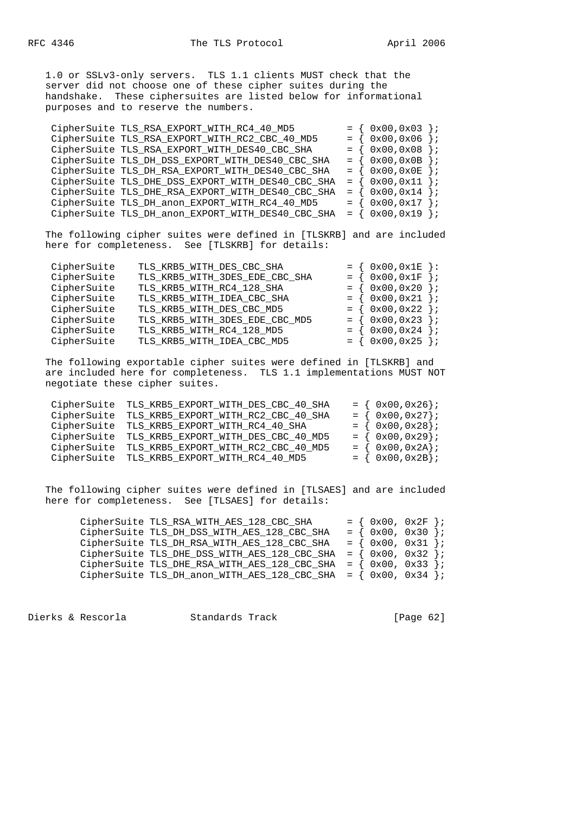1.0 or SSLv3-only servers. TLS 1.1 clients MUST check that the server did not choose one of these cipher suites during the handshake. These ciphersuites are listed below for informational purposes and to reserve the numbers.

| CipherSuite TLS_RSA_EXPORT_WITH_RC2_CBC_40_MD5                            | $= \{ 0x00, 0x06 \}$ |
|---------------------------------------------------------------------------|----------------------|
|                                                                           |                      |
| $= \{ 0x00, 0x08 \}$<br>CipherSuite TLS_RSA_EXPORT_WITH_DES40_CBC_SHA     |                      |
| $= \{ 0x00, 0x0B \}$<br>CipherSuite TLS_DH_DSS_EXPORT_WITH_DES40_CBC_SHA  |                      |
| $= \{ 0x00, 0x0E \}$<br>CipherSuite TLS_DH_RSA_EXPORT_WITH_DES40_CBC_SHA  |                      |
| CipherSuite TLS_DHE_DSS_EXPORT_WITH_DES40_CBC_SHA<br>$= \{ 0x00, 0x11 \}$ |                      |
| CipherSuite TLS_DHE_RSA_EXPORT_WITH_DES40_CBC_SHA<br>$= \{ 0x00, 0x14 \}$ |                      |
| $= \{ 0x00, 0x17 \}$<br>CipherSuite TLS_DH_anon_EXPORT_WITH_RC4_40_MD5    |                      |
| $= \{ 0x00, 0x19 \}$<br>CipherSuite TLS_DH_anon_EXPORT_WITH_DES40_CBC_SHA |                      |

 The following cipher suites were defined in [TLSKRB] and are included here for completeness. See [TLSKRB] for details:

| CipherSuite | TLS_KRB5_WITH_DES_CBC_SHA      | $0x00, 0x1E$ :       |                       |
|-------------|--------------------------------|----------------------|-----------------------|
| CipherSuite | TLS_KRB5_WITH_3DES_EDE_CBC_SHA | $0x00,0x1F$ };       |                       |
| CipherSuite | TLS_KRB5_WITH_RC4_128_SHA      | $= \{ 0x00, 0x20 \}$ |                       |
| CipherSuite | TLS_KRB5_WITH_IDEA_CBC_SHA     | $= \{ 0x00, 0x21 \}$ |                       |
| CipherSuite | TLS_KRB5_WITH_DES_CBC_MD5      | $= \{ 0x00, 0x22 \}$ |                       |
| CipherSuite | TLS_KRB5_WITH_3DES_EDE_CBC_MD5 | $= \{ 0x00, 0x23 \}$ |                       |
| CipherSuite | TLS_KRB5_WITH_RC4_128_MD5      | $0x00, 0x24$ };      |                       |
| CipherSuite | TLS_KRB5_WITH_IDEA_CBC_MD5     | $= \{ 0x00, 0x25$    | $\vert \cdot \rangle$ |

 The following exportable cipher suites were defined in [TLSKRB] and are included here for completeness. TLS 1.1 implementations MUST NOT negotiate these cipher suites.

| CipherSuite TLS_KRB5_EXPORT_WITH_DES_CBC_40_SHA | $= \{ 0x00, 0x26 \}$  |
|-------------------------------------------------|-----------------------|
| CipherSuite TLS_KRB5_EXPORT_WITH_RC2_CBC_40_SHA | $= \{ 0x00, 0x27 \};$ |
| CipherSuite TLS_KRB5_EXPORT_WITH_RC4_40_SHA     | $= \{ 0x00, 0x28 \}$  |
| CipherSuite TLS_KRB5_EXPORT_WITH_DES_CBC_40_MD5 | $= \{ 0x00, 0x29 \};$ |
| CipherSuite TLS_KRB5_EXPORT_WITH_RC2_CBC_40_MD5 | $= \{ 0x00, 0x2A \}$  |
| CipherSuite TLS_KRB5_EXPORT_WITH_RC4_40_MD5     | $= \{ 0x00, 0x2B \}$  |

 The following cipher suites were defined in [TLSAES] and are included here for completeness. See [TLSAES] for details:

| CipherSuite TLS_RSA_WITH_AES_128_CBC_SHA                            | $=$ { $0x00$ , $0x2F$ }; |  |
|---------------------------------------------------------------------|--------------------------|--|
| CipherSuite TLS_DH_DSS_WITH_AES_128_CBC_SHA                         | $= \{ 0x00, 0x30 \}$     |  |
| CipherSuite TLS_DH_RSA_WITH_AES_128_CBC_SHA                         | $=$ { 0x00, 0x31 };      |  |
| CipherSuite TLS_DHE_DSS_WITH_AES_128_CBC_SHA = $\{ 0x00, 0x32 \}$ ; |                          |  |
| CipherSuite TLS_DHE_RSA_WITH_AES_128_CBC_SHA = $\{ 0x00, 0x33 \}$ ; |                          |  |
| CipherSuite TLS_DH_anon_WITH_AES_128_CBC_SHA = $\{ 0x00, 0x34 \}$ ; |                          |  |

Dierks & Rescorla Standards Track [Page 62]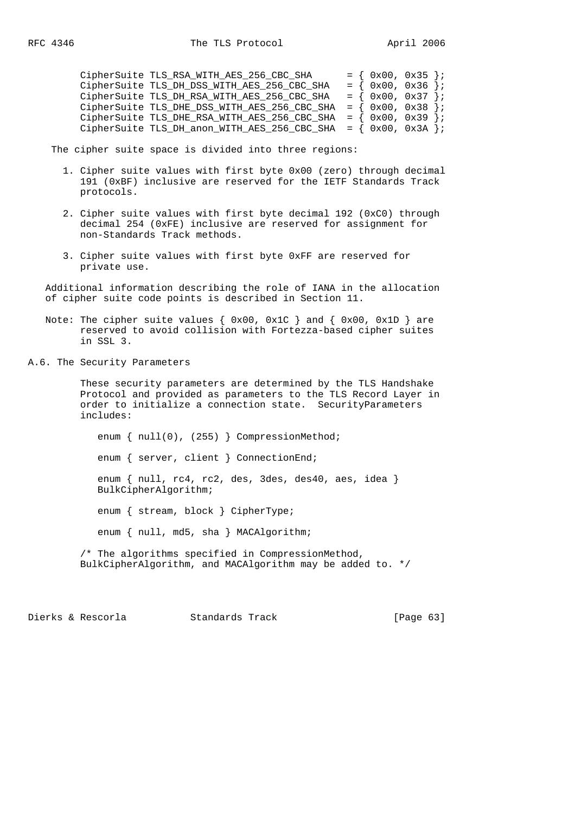| CipherSuite TLS RSA WITH AES 256 CBC SHA                          | $= \{ 0x00, 0x35 \}$ |  |
|-------------------------------------------------------------------|----------------------|--|
| CipherSuite TLS_DH_DSS_WITH_AES_256_CBC_SHA                       | $= \{ 0x00, 0x36 \}$ |  |
| CipherSuite TLS_DH_RSA_WITH_AES_256_CBC_SHA                       | $= \{ 0x00, 0x37 \}$ |  |
| CipherSuite TLS_DHE_DSS_WITH_AES_256_CBC_SHA = $\{ 0x00, 0x38 \}$ |                      |  |
| CipherSuite TLS_DHE_RSA_WITH_AES_256_CBC_SHA = $\{ 0x00, 0x39 \}$ |                      |  |
| CipherSuite TLS_DH_anon_WITH_AES_256_CBC_SHA = $\{ 0x00, 0x3A \}$ |                      |  |

The cipher suite space is divided into three regions:

- 1. Cipher suite values with first byte 0x00 (zero) through decimal 191 (0xBF) inclusive are reserved for the IETF Standards Track protocols.
- 2. Cipher suite values with first byte decimal 192 (0xC0) through decimal 254 (0xFE) inclusive are reserved for assignment for non-Standards Track methods.
- 3. Cipher suite values with first byte 0xFF are reserved for private use.

 Additional information describing the role of IANA in the allocation of cipher suite code points is described in Section 11.

- Note: The cipher suite values {  $0x00$ ,  $0x1C$  } and {  $0x00$ ,  $0x1D$  } are reserved to avoid collision with Fortezza-based cipher suites in SSL 3.
- A.6. The Security Parameters

 These security parameters are determined by the TLS Handshake Protocol and provided as parameters to the TLS Record Layer in order to initialize a connection state. SecurityParameters includes:

enum { null(0), (255) } CompressionMethod; enum { server, client } ConnectionEnd; enum { null, rc4, rc2, des, 3des, des40, aes, idea } BulkCipherAlgorithm; enum { stream, block } CipherType; enum { null, md5, sha } MACAlgorithm; /\* The algorithms specified in CompressionMethod, BulkCipherAlgorithm, and MACAlgorithm may be added to. \*/

Dierks & Rescorla Standards Track [Page 63]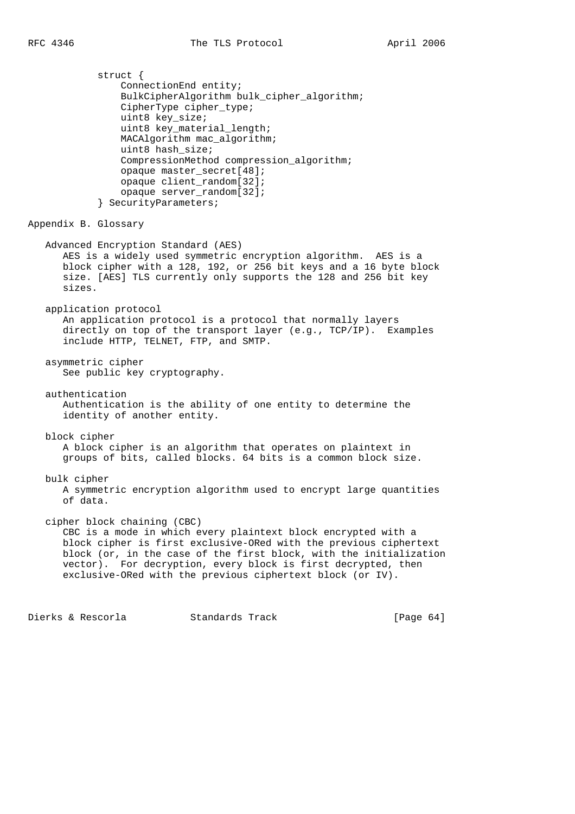struct { ConnectionEnd entity; BulkCipherAlgorithm bulk cipher algorithm; CipherType cipher\_type; uint8 key\_size; uint8 key material length; MACAlgorithm mac\_algorithm; uint8 hash\_size; CompressionMethod compression\_algorithm; opaque master\_secret[48]; opaque client\_random[32]; opaque server\_random[32]; } SecurityParameters; Appendix B. Glossary Advanced Encryption Standard (AES) AES is a widely used symmetric encryption algorithm. AES is a block cipher with a 128, 192, or 256 bit keys and a 16 byte block size. [AES] TLS currently only supports the 128 and 256 bit key sizes. application protocol An application protocol is a protocol that normally layers directly on top of the transport layer (e.g., TCP/IP). Examples include HTTP, TELNET, FTP, and SMTP. asymmetric cipher See public key cryptography. authentication Authentication is the ability of one entity to determine the identity of another entity. block cipher A block cipher is an algorithm that operates on plaintext in groups of bits, called blocks. 64 bits is a common block size. bulk cipher A symmetric encryption algorithm used to encrypt large quantities of data. cipher block chaining (CBC) CBC is a mode in which every plaintext block encrypted with a block cipher is first exclusive-ORed with the previous ciphertext block (or, in the case of the first block, with the initialization vector). For decryption, every block is first decrypted, then exclusive-ORed with the previous ciphertext block (or IV).

Dierks & Rescorla Standards Track [Page 64]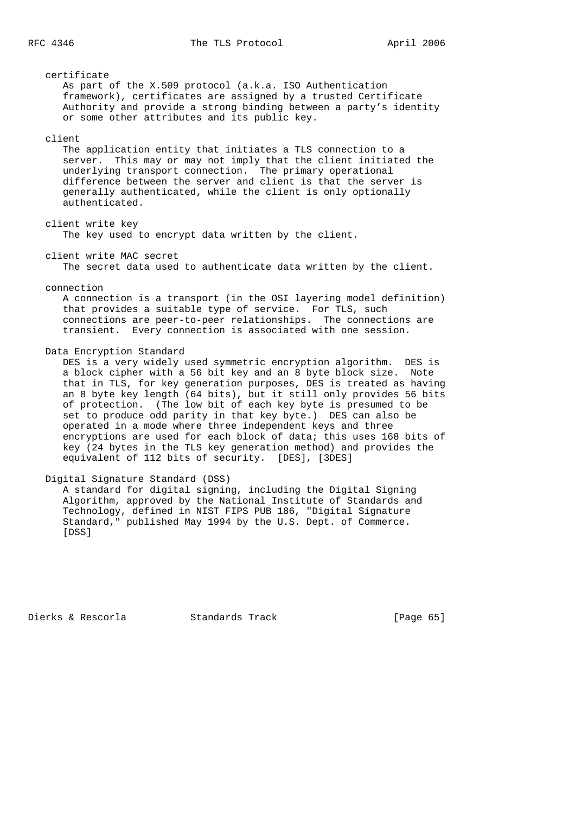| certificate<br>As part of the X.509 protocol (a.k.a. ISO Authentication<br>framework), certificates are assigned by a trusted Certificate<br>Authority and provide a strong binding between a party's identity<br>or some other attributes and its public key.                                                                                                                                                                                                                                                                                                                                                                                                                                               |
|--------------------------------------------------------------------------------------------------------------------------------------------------------------------------------------------------------------------------------------------------------------------------------------------------------------------------------------------------------------------------------------------------------------------------------------------------------------------------------------------------------------------------------------------------------------------------------------------------------------------------------------------------------------------------------------------------------------|
| client<br>The application entity that initiates a TLS connection to a<br>This may or may not imply that the client initiated the<br>server.<br>underlying transport connection. The primary operational<br>difference between the server and client is that the server is<br>generally authenticated, while the client is only optionally<br>authenticated.                                                                                                                                                                                                                                                                                                                                                  |
| client write key<br>The key used to encrypt data written by the client.                                                                                                                                                                                                                                                                                                                                                                                                                                                                                                                                                                                                                                      |
| client write MAC secret<br>The secret data used to authenticate data written by the client.                                                                                                                                                                                                                                                                                                                                                                                                                                                                                                                                                                                                                  |
| connection<br>A connection is a transport (in the OSI layering model definition)<br>that provides a suitable type of service. For TLS, such<br>connections are peer-to-peer relationships. The connections are<br>transient. Every connection is associated with one session.                                                                                                                                                                                                                                                                                                                                                                                                                                |
| Data Encryption Standard<br>DES is a very widely used symmetric encryption algorithm. DES is<br>a block cipher with a 56 bit key and an 8 byte block size.<br>Note<br>that in TLS, for key generation purposes, DES is treated as having<br>an 8 byte key length (64 bits), but it still only provides 56 bits<br>of protection. (The low bit of each key byte is presumed to be<br>set to produce odd parity in that key byte.) DES can also be<br>operated in a mode where three independent keys and three<br>encryptions are used for each block of data; this uses 168 bits of<br>key (24 bytes in the TLS key generation method) and provides the<br>equivalent of 112 bits of security. [DES], [3DES] |
| Digital Signature Standard (DSS)<br>A standard for digital signing, including the Digital Signing<br>Algorithm, approved by the National Institute of Standards and<br>Technology, defined in NIST FIPS PUB 186, "Digital Signature                                                                                                                                                                                                                                                                                                                                                                                                                                                                          |

Dierks & Rescorla Standards Track [Page 65]

[DSS]

Standard," published May 1994 by the U.S. Dept. of Commerce.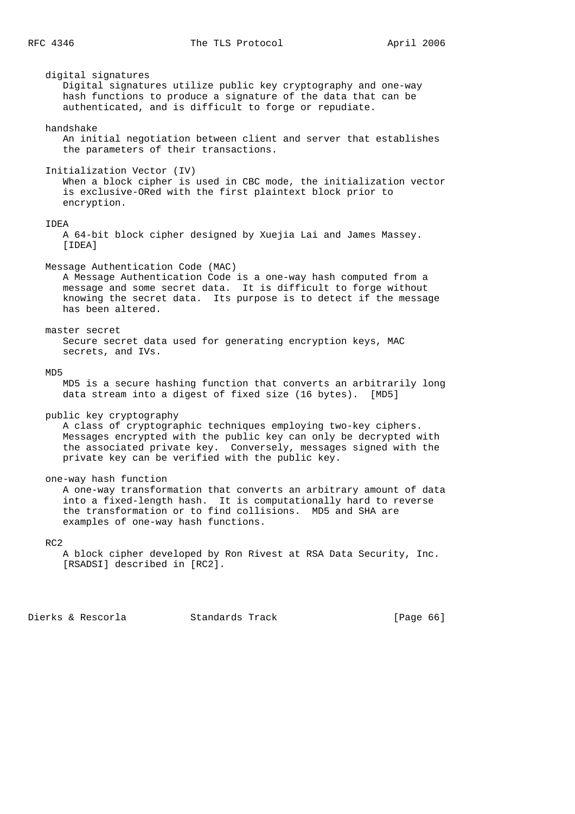digital signatures Digital signatures utilize public key cryptography and one-way hash functions to produce a signature of the data that can be authenticated, and is difficult to forge or repudiate. handshake An initial negotiation between client and server that establishes the parameters of their transactions. Initialization Vector (IV) When a block cipher is used in CBC mode, the initialization vector is exclusive-ORed with the first plaintext block prior to encryption. IDEA A 64-bit block cipher designed by Xuejia Lai and James Massey. [IDEA] Message Authentication Code (MAC) A Message Authentication Code is a one-way hash computed from a message and some secret data. It is difficult to forge without knowing the secret data. Its purpose is to detect if the message has been altered. master secret Secure secret data used for generating encryption keys, MAC secrets, and IVs. MD5 MD5 is a secure hashing function that converts an arbitrarily long data stream into a digest of fixed size (16 bytes). [MD5] public key cryptography A class of cryptographic techniques employing two-key ciphers. Messages encrypted with the public key can only be decrypted with the associated private key. Conversely, messages signed with the private key can be verified with the public key. one-way hash function A one-way transformation that converts an arbitrary amount of data into a fixed-length hash. It is computationally hard to reverse the transformation or to find collisions. MD5 and SHA are examples of one-way hash functions. RC2

 A block cipher developed by Ron Rivest at RSA Data Security, Inc. [RSADSI] described in [RC2].

Dierks & Rescorla Standards Track [Page 66]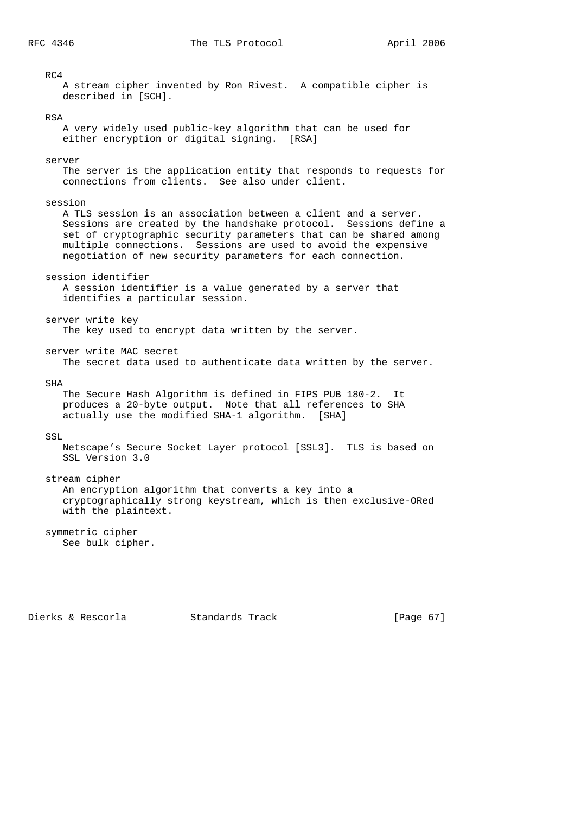# RC4 A stream cipher invented by Ron Rivest. A compatible cipher is described in [SCH]. RSA A very widely used public-key algorithm that can be used for either encryption or digital signing. [RSA] server The server is the application entity that responds to requests for connections from clients. See also under client. session A TLS session is an association between a client and a server. Sessions are created by the handshake protocol. Sessions define a set of cryptographic security parameters that can be shared among multiple connections. Sessions are used to avoid the expensive negotiation of new security parameters for each connection. session identifier A session identifier is a value generated by a server that identifies a particular session. server write key The key used to encrypt data written by the server. server write MAC secret The secret data used to authenticate data written by the server. SHA The Secure Hash Algorithm is defined in FIPS PUB 180-2. It produces a 20-byte output. Note that all references to SHA actually use the modified SHA-1 algorithm. [SHA] SSL Netscape's Secure Socket Layer protocol [SSL3]. TLS is based on SSL Version 3.0 stream cipher An encryption algorithm that converts a key into a cryptographically strong keystream, which is then exclusive-ORed with the plaintext. symmetric cipher

See bulk cipher.

Dierks & Rescorla Standards Track [Page 67]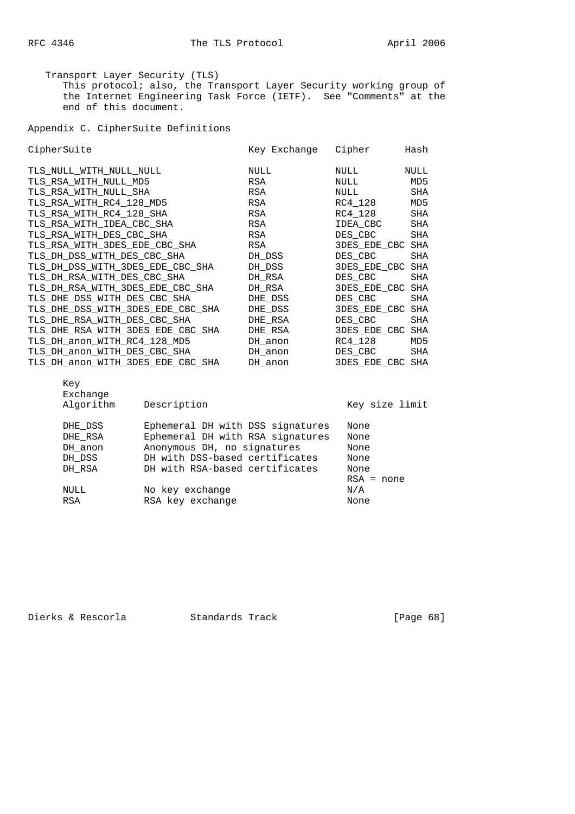Transport Layer Security (TLS) This protocol; also, the Transport Layer Security working group of the Internet Engineering Task Force (IETF). See "Comments" at the end of this document.

Appendix C. CipherSuite Definitions

| CipherSuite                                                                                                                                                                                                                     |                                                                                                                    | Key Exchange                                                   | Cipher                                                                                                             | Hash                                                                |
|---------------------------------------------------------------------------------------------------------------------------------------------------------------------------------------------------------------------------------|--------------------------------------------------------------------------------------------------------------------|----------------------------------------------------------------|--------------------------------------------------------------------------------------------------------------------|---------------------------------------------------------------------|
| TLS NULL WITH NULL NULL<br>TLS RSA WITH NULL MD5<br>TLS RSA WITH NULL SHA<br>TLS_RSA_WITH_RC4_128_MD5<br>TLS_RSA_WITH_RC4_128_SHA<br>TLS RSA WITH IDEA CBC SHA                                                                  |                                                                                                                    | NULL<br>RSA<br>RSA<br>RSA<br>RSA<br>RSA                        | NULL<br>NULL<br>NULL<br>RC4 128<br>RC4 128<br>IDEA CBC                                                             | <b>NULL</b><br>MD5<br><b>SHA</b><br>MD5<br><b>SHA</b><br><b>SHA</b> |
| TLS_RSA_WITH_DES_CBC_SHA<br>TLS RSA WITH 3DES EDE CBC SHA<br>TLS DH DSS WITH DES CBC SHA<br>TLS DH DSS WITH 3DES EDE CBC SHA<br>TLS DH RSA WITH DES CBC SHA<br>TLS DH RSA WITH 3DES EDE CBC SHA<br>TLS DHE DSS WITH DES CBC SHA |                                                                                                                    | RSA<br>RSA<br>DH DSS<br>DH DSS<br>DH RSA<br>DH RSA<br>DHE DSS  | DES CBC<br><b>3DES EDE CBC SHA</b><br>DES_CBC<br><b>3DES EDE CBC SHA</b><br>DES CBC<br>3DES EDE CBC SHA<br>DES CBC | <b>SHA</b><br>SHA<br>SHA<br>SHA                                     |
| TLS DHE DSS WITH 3DES EDE CBC SHA<br>TLS DHE RSA WITH DES CBC SHA<br>TLS DHE RSA WITH 3DES EDE CBC SHA<br>TLS_DH_anon_WITH_RC4_128_MD5<br>TLS_DH_anon_WITH_DES_CBC_SHA<br>TLS DH anon WITH 3DES EDE CBC SHA                     |                                                                                                                    | DHE DSS<br>DHE RSA<br>DHE RSA<br>DH anon<br>DH anon<br>DH anon | <b>3DES EDE CBC SHA</b><br>DES CBC<br>3DES_EDE_CBC SHA<br>RC4 128<br>DES CBC<br><b>3DES EDE CBC SHA</b>            | <b>SHA</b><br>MD5<br><b>SHA</b>                                     |
| Key<br>Exchange<br>Algorithm<br>DHE DSS<br>DHE RSA<br>DH anon                                                                                                                                                                   | Description<br>Ephemeral DH with DSS signatures<br>Ephemeral DH with RSA signatures<br>Anonymous DH, no signatures |                                                                | Key size limit<br>None<br>None<br>None                                                                             |                                                                     |

| DH GIIOII | Anonymous DR, no signatures    | <b>NOITE</b> |
|-----------|--------------------------------|--------------|
| DH DSS    | DH with DSS-based certificates | None         |
| DH RSA    | DH with RSA-based certificates | None         |
|           |                                | $RSA = none$ |
| NULL      | No key exchange                | N/A          |
| RSA       | RSA key exchange               | None         |
|           |                                |              |

Dierks & Rescorla Standards Track [Page 68]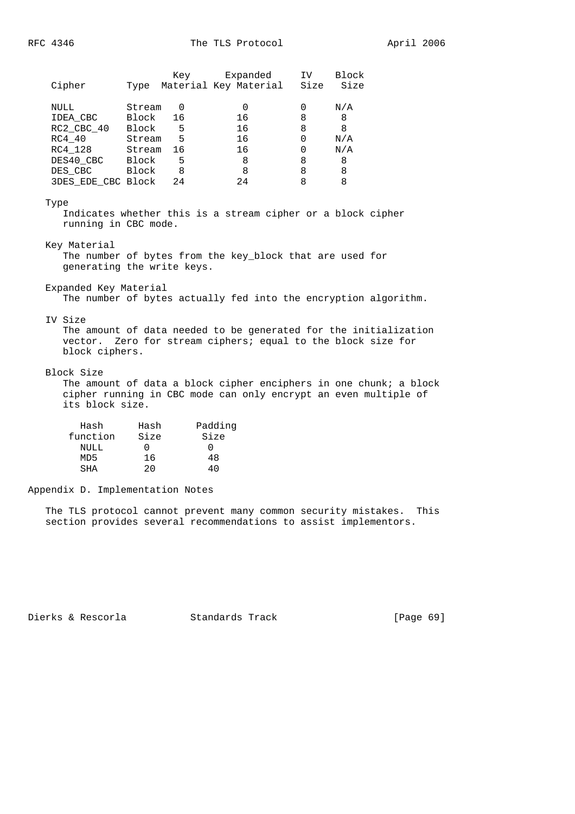|                    |        | Key | Expanded              | IV   | Block |
|--------------------|--------|-----|-----------------------|------|-------|
| Cipher             | Type   |     | Material Key Material | Size | Size  |
| NULL               | Stream | 0   |                       | 0    | N/A   |
| IDEA CBC           | Block  | 16  | 16                    | 8    | 8     |
| RC2 CBC 40         | Block  | 5   | 16                    | 8    | 8     |
| RC4 40             | Stream | 5   | 16                    | Ω    | N/A   |
| RC4 128            | Stream | 16  | 16                    | 0    | N/A   |
| DES40 CBC          | Block  | 5   | 8                     | 8    | 8     |
| DES CBC            | Block  | 8   | 8                     | 8    | 8     |
| 3DES EDE CBC Block |        | 24  | 24                    |      | 8     |
|                    |        |     |                       |      |       |

### Type

 Indicates whether this is a stream cipher or a block cipher running in CBC mode.

Key Material

 The number of bytes from the key\_block that are used for generating the write keys.

Expanded Key Material

The number of bytes actually fed into the encryption algorithm.

## IV Size

 The amount of data needed to be generated for the initialization vector. Zero for stream ciphers; equal to the block size for block ciphers.

### Block Size

 The amount of data a block cipher enciphers in one chunk; a block cipher running in CBC mode can only encrypt an even multiple of its block size.

| Hash     | Hash | Padding |
|----------|------|---------|
| function | Size | Size    |
| NULL     |      |         |
| MD5      | 16   | 48      |
| SHA      | 20   | 40      |

Appendix D. Implementation Notes

 The TLS protocol cannot prevent many common security mistakes. This section provides several recommendations to assist implementors.

Dierks & Rescorla Standards Track [Page 69]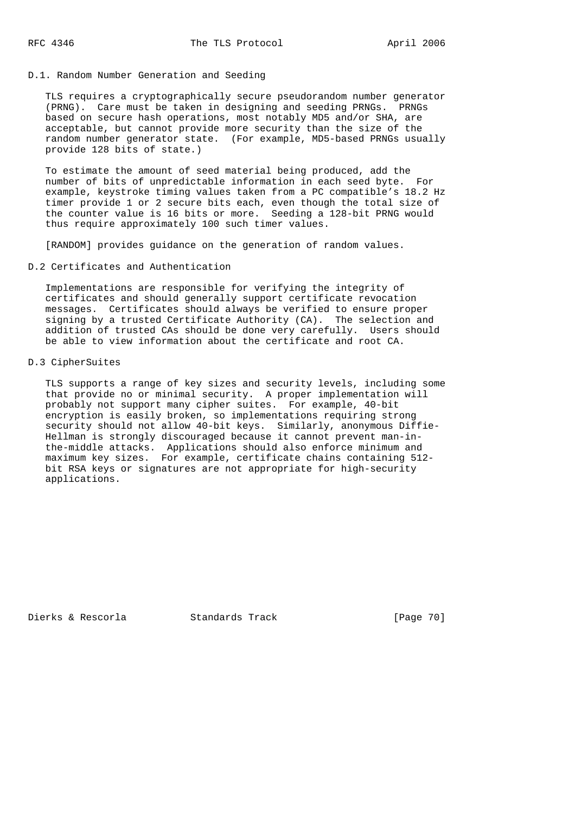# D.1. Random Number Generation and Seeding

 TLS requires a cryptographically secure pseudorandom number generator (PRNG). Care must be taken in designing and seeding PRNGs. PRNGs based on secure hash operations, most notably MD5 and/or SHA, are acceptable, but cannot provide more security than the size of the random number generator state. (For example, MD5-based PRNGs usually provide 128 bits of state.)

 To estimate the amount of seed material being produced, add the number of bits of unpredictable information in each seed byte. For example, keystroke timing values taken from a PC compatible's 18.2 Hz timer provide 1 or 2 secure bits each, even though the total size of the counter value is 16 bits or more. Seeding a 128-bit PRNG would thus require approximately 100 such timer values.

[RANDOM] provides guidance on the generation of random values.

## D.2 Certificates and Authentication

 Implementations are responsible for verifying the integrity of certificates and should generally support certificate revocation messages. Certificates should always be verified to ensure proper signing by a trusted Certificate Authority (CA). The selection and addition of trusted CAs should be done very carefully. Users should be able to view information about the certificate and root CA.

# D.3 CipherSuites

 TLS supports a range of key sizes and security levels, including some that provide no or minimal security. A proper implementation will probably not support many cipher suites. For example, 40-bit encryption is easily broken, so implementations requiring strong security should not allow 40-bit keys. Similarly, anonymous Diffie- Hellman is strongly discouraged because it cannot prevent man-in the-middle attacks. Applications should also enforce minimum and maximum key sizes. For example, certificate chains containing 512 bit RSA keys or signatures are not appropriate for high-security applications.

Dierks & Rescorla Standards Track [Page 70]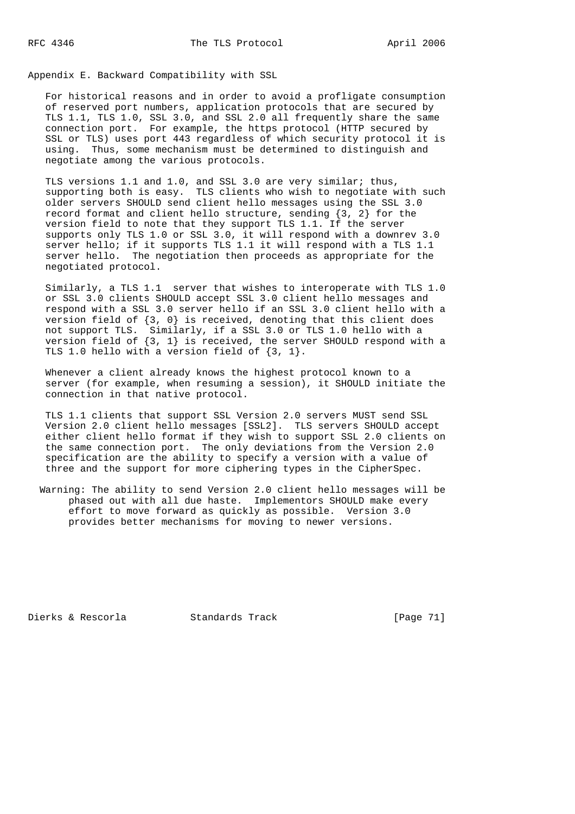Appendix E. Backward Compatibility with SSL

 For historical reasons and in order to avoid a profligate consumption of reserved port numbers, application protocols that are secured by TLS 1.1, TLS 1.0, SSL 3.0, and SSL 2.0 all frequently share the same connection port. For example, the https protocol (HTTP secured by SSL or TLS) uses port 443 regardless of which security protocol it is using. Thus, some mechanism must be determined to distinguish and negotiate among the various protocols.

 TLS versions 1.1 and 1.0, and SSL 3.0 are very similar; thus, supporting both is easy. TLS clients who wish to negotiate with such older servers SHOULD send client hello messages using the SSL 3.0 record format and client hello structure, sending  $\{3, 2\}$  for the version field to note that they support TLS 1.1. If the server supports only TLS 1.0 or SSL 3.0, it will respond with a downrev 3.0 server hello; if it supports TLS 1.1 it will respond with a TLS 1.1 server hello. The negotiation then proceeds as appropriate for the negotiated protocol.

 Similarly, a TLS 1.1 server that wishes to interoperate with TLS 1.0 or SSL 3.0 clients SHOULD accept SSL 3.0 client hello messages and respond with a SSL 3.0 server hello if an SSL 3.0 client hello with a version field of {3, 0} is received, denoting that this client does not support TLS. Similarly, if a SSL 3.0 or TLS 1.0 hello with a version field of  $\{3, 1\}$  is received, the server SHOULD respond with a TLS 1.0 hello with a version field of {3, 1}.

 Whenever a client already knows the highest protocol known to a server (for example, when resuming a session), it SHOULD initiate the connection in that native protocol.

 TLS 1.1 clients that support SSL Version 2.0 servers MUST send SSL Version 2.0 client hello messages [SSL2]. TLS servers SHOULD accept either client hello format if they wish to support SSL 2.0 clients on the same connection port. The only deviations from the Version 2.0 specification are the ability to specify a version with a value of three and the support for more ciphering types in the CipherSpec.

 Warning: The ability to send Version 2.0 client hello messages will be phased out with all due haste. Implementors SHOULD make every effort to move forward as quickly as possible. Version 3.0 provides better mechanisms for moving to newer versions.

Dierks & Rescorla Standards Track [Page 71]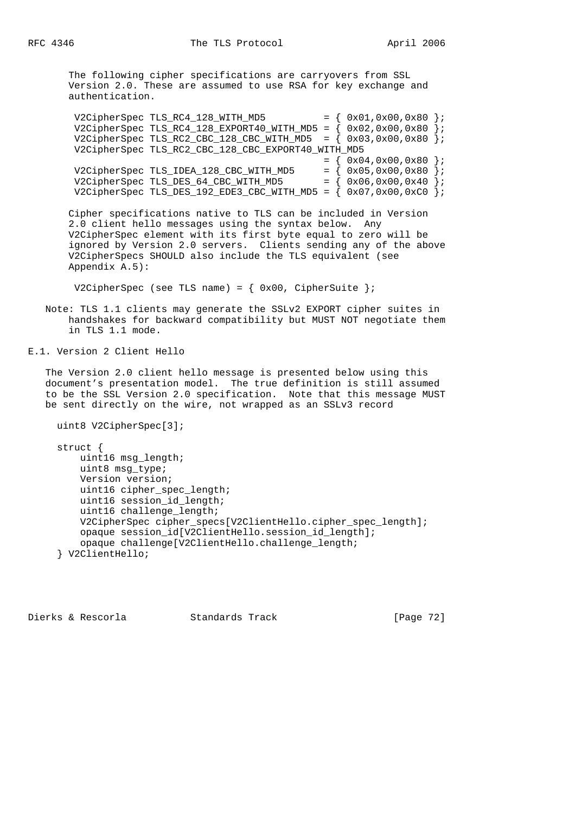The following cipher specifications are carryovers from SSL Version 2.0. These are assumed to use RSA for key exchange and authentication.

 $V2CipherSpec TLS_RC4_128_WITH_MD5$  = {  $0x01,0x00,0x80$  }; V2CipherSpec TLS RC4 128 EXPORT40 WITH MD5 =  $(0 \times 0.2,0 \times 0.0,0 \times 80)$ ; V2CipherSpec TLS\_RC2\_CBC\_128\_CBC\_WITH\_MD5 =  $(0x03,0x00,0x80)$ ; V2CipherSpec TLS\_RC2\_CBC\_128\_CBC\_EXPORT40\_WITH\_MD5  $= \{ 0x04, 0x00, 0x80 \}$ V2CipherSpec TLS\_IDEA\_128\_CBC\_WITH\_MD5 =  $\{ 0x05, 0x00, 0x80 \}$ ; V2CipherSpec TLS\_DES\_64\_CBC\_WITH\_MD5  $= \{ 0x06, 0x00, 0x40 \}$ ; V2CipherSpec TLS DES 192 EDE3 CBC WITH MD5 =  $\{ 0x07,0x00,0xC0 \}$ ;

 Cipher specifications native to TLS can be included in Version 2.0 client hello messages using the syntax below. Any V2CipherSpec element with its first byte equal to zero will be ignored by Version 2.0 servers. Clients sending any of the above V2CipherSpecs SHOULD also include the TLS equivalent (see Appendix A.5):

V2CipherSpec (see TLS name) =  $\{ 0x00, Ciphersuite \}$ ;

 Note: TLS 1.1 clients may generate the SSLv2 EXPORT cipher suites in handshakes for backward compatibility but MUST NOT negotiate them in TLS 1.1 mode.

E.1. Version 2 Client Hello

 The Version 2.0 client hello message is presented below using this document's presentation model. The true definition is still assumed to be the SSL Version 2.0 specification. Note that this message MUST be sent directly on the wire, not wrapped as an SSLv3 record

```
 uint8 V2CipherSpec[3];
```
struct {

```
 uint16 msg_length;
    uint8 msg_type;
    Version version;
    uint16 cipher_spec_length;
    uint16 session_id_length;
    uint16 challenge_length;
    V2CipherSpec cipher_specs[V2ClientHello.cipher_spec_length];
    opaque session_id[V2ClientHello.session_id_length];
     opaque challenge[V2ClientHello.challenge_length;
 } V2ClientHello;
```
Dierks & Rescorla Standards Track [Page 72]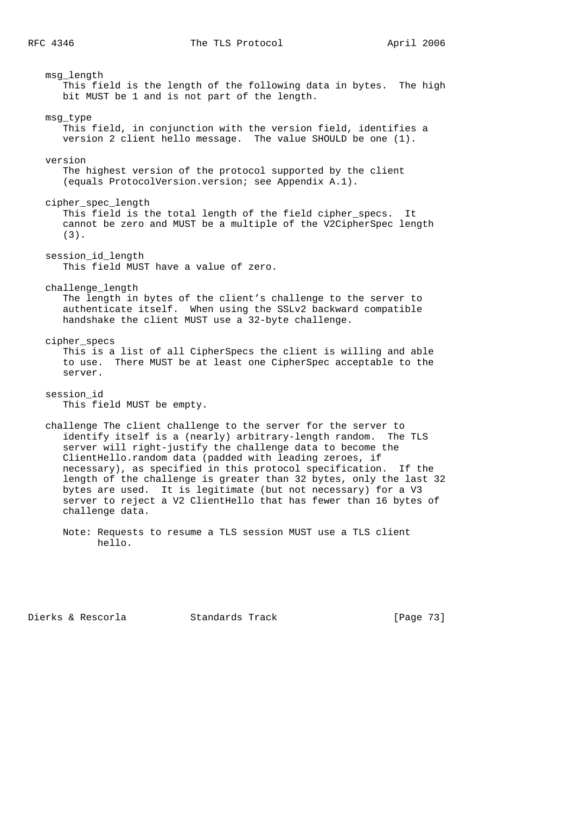msg\_length This field is the length of the following data in bytes. The high bit MUST be 1 and is not part of the length. msg\_type This field, in conjunction with the version field, identifies a version 2 client hello message. The value SHOULD be one (1). version The highest version of the protocol supported by the client (equals ProtocolVersion.version; see Appendix A.1). cipher\_spec\_length This field is the total length of the field cipher\_specs. It cannot be zero and MUST be a multiple of the V2CipherSpec length (3). session\_id\_length This field MUST have a value of zero. challenge\_length The length in bytes of the client's challenge to the server to authenticate itself. When using the SSLv2 backward compatible handshake the client MUST use a 32-byte challenge. cipher\_specs This is a list of all CipherSpecs the client is willing and able to use. There MUST be at least one CipherSpec acceptable to the server. session\_id This field MUST be empty. challenge The client challenge to the server for the server to identify itself is a (nearly) arbitrary-length random. The TLS server will right-justify the challenge data to become the ClientHello.random data (padded with leading zeroes, if necessary), as specified in this protocol specification. If the length of the challenge is greater than 32 bytes, only the last 32 bytes are used. It is legitimate (but not necessary) for a V3 server to reject a V2 ClientHello that has fewer than 16 bytes of challenge data. Note: Requests to resume a TLS session MUST use a TLS client hello.

Dierks & Rescorla Standards Track [Page 73]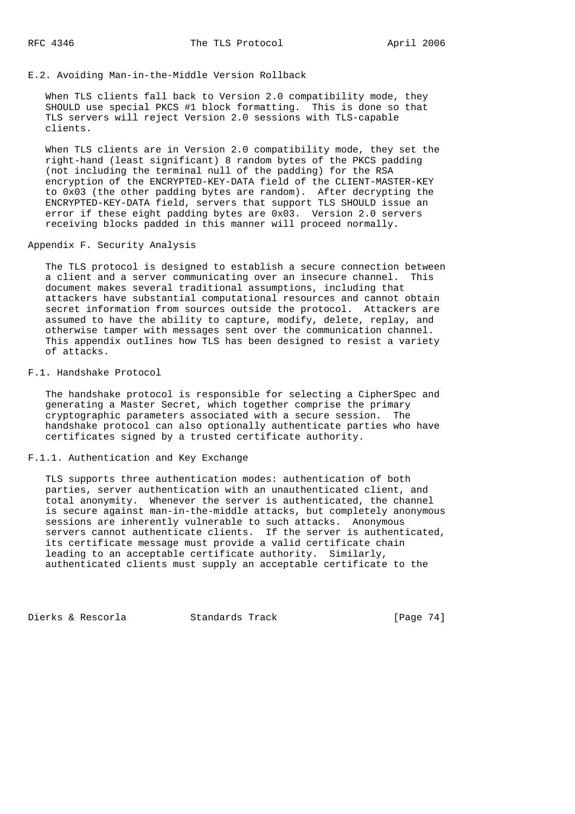## E.2. Avoiding Man-in-the-Middle Version Rollback

 When TLS clients fall back to Version 2.0 compatibility mode, they SHOULD use special PKCS #1 block formatting. This is done so that TLS servers will reject Version 2.0 sessions with TLS-capable clients.

 When TLS clients are in Version 2.0 compatibility mode, they set the right-hand (least significant) 8 random bytes of the PKCS padding (not including the terminal null of the padding) for the RSA encryption of the ENCRYPTED-KEY-DATA field of the CLIENT-MASTER-KEY to 0x03 (the other padding bytes are random). After decrypting the ENCRYPTED-KEY-DATA field, servers that support TLS SHOULD issue an error if these eight padding bytes are 0x03. Version 2.0 servers receiving blocks padded in this manner will proceed normally.

### Appendix F. Security Analysis

 The TLS protocol is designed to establish a secure connection between a client and a server communicating over an insecure channel. This document makes several traditional assumptions, including that attackers have substantial computational resources and cannot obtain secret information from sources outside the protocol. Attackers are assumed to have the ability to capture, modify, delete, replay, and otherwise tamper with messages sent over the communication channel. This appendix outlines how TLS has been designed to resist a variety of attacks.

# F.1. Handshake Protocol

 The handshake protocol is responsible for selecting a CipherSpec and generating a Master Secret, which together comprise the primary cryptographic parameters associated with a secure session. The handshake protocol can also optionally authenticate parties who have certificates signed by a trusted certificate authority.

### F.1.1. Authentication and Key Exchange

 TLS supports three authentication modes: authentication of both parties, server authentication with an unauthenticated client, and total anonymity. Whenever the server is authenticated, the channel is secure against man-in-the-middle attacks, but completely anonymous sessions are inherently vulnerable to such attacks. Anonymous servers cannot authenticate clients. If the server is authenticated, its certificate message must provide a valid certificate chain leading to an acceptable certificate authority. Similarly, authenticated clients must supply an acceptable certificate to the

Dierks & Rescorla Standards Track [Page 74]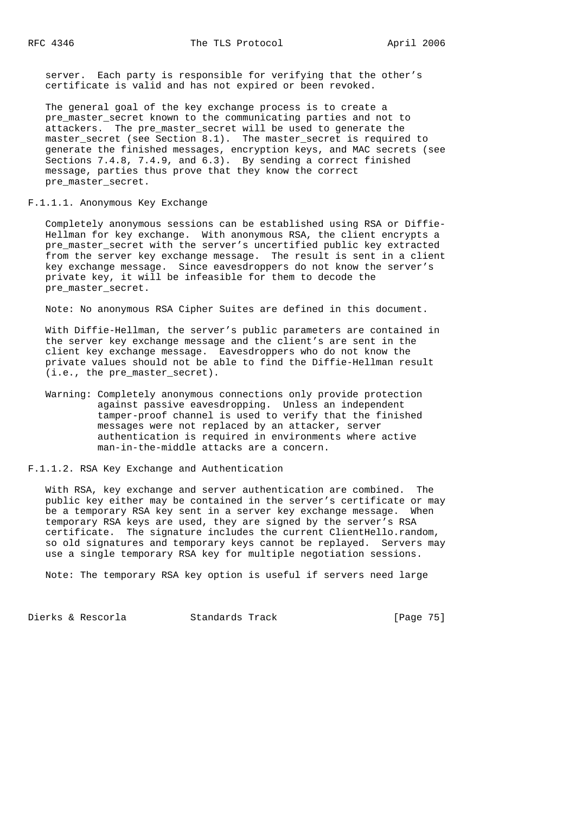server. Each party is responsible for verifying that the other's certificate is valid and has not expired or been revoked.

 The general goal of the key exchange process is to create a pre\_master\_secret known to the communicating parties and not to attackers. The pre\_master\_secret will be used to generate the master\_secret (see Section 8.1). The master\_secret is required to generate the finished messages, encryption keys, and MAC secrets (see Sections 7.4.8, 7.4.9, and 6.3). By sending a correct finished message, parties thus prove that they know the correct pre master secret.

#### F.1.1.1. Anonymous Key Exchange

 Completely anonymous sessions can be established using RSA or Diffie- Hellman for key exchange. With anonymous RSA, the client encrypts a pre\_master\_secret with the server's uncertified public key extracted from the server key exchange message. The result is sent in a client key exchange message. Since eavesdroppers do not know the server's private key, it will be infeasible for them to decode the pre master secret.

Note: No anonymous RSA Cipher Suites are defined in this document.

 With Diffie-Hellman, the server's public parameters are contained in the server key exchange message and the client's are sent in the client key exchange message. Eavesdroppers who do not know the private values should not be able to find the Diffie-Hellman result (i.e., the pre\_master\_secret).

 Warning: Completely anonymous connections only provide protection against passive eavesdropping. Unless an independent tamper-proof channel is used to verify that the finished messages were not replaced by an attacker, server authentication is required in environments where active man-in-the-middle attacks are a concern.

F.1.1.2. RSA Key Exchange and Authentication

 With RSA, key exchange and server authentication are combined. The public key either may be contained in the server's certificate or may be a temporary RSA key sent in a server key exchange message. When temporary RSA keys are used, they are signed by the server's RSA certificate. The signature includes the current ClientHello.random, so old signatures and temporary keys cannot be replayed. Servers may use a single temporary RSA key for multiple negotiation sessions.

Note: The temporary RSA key option is useful if servers need large

Dierks & Rescorla Standards Track [Page 75]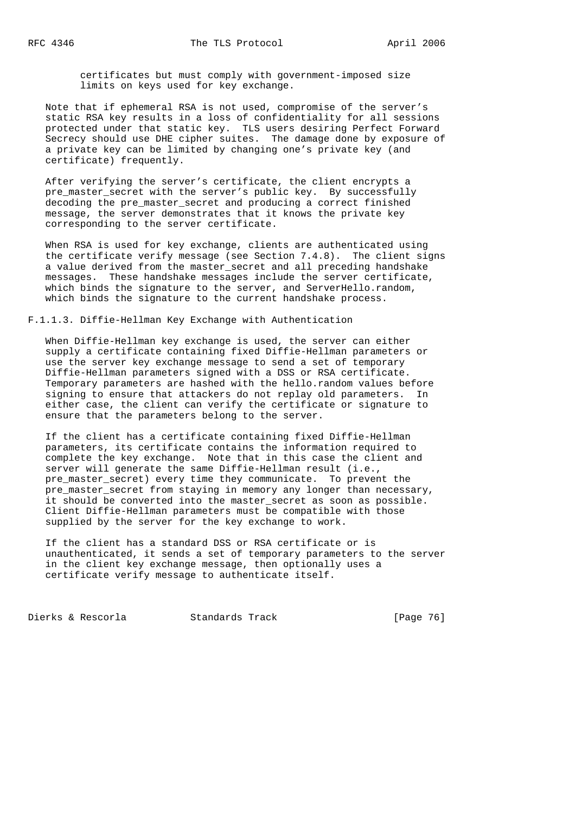certificates but must comply with government-imposed size limits on keys used for key exchange.

 Note that if ephemeral RSA is not used, compromise of the server's static RSA key results in a loss of confidentiality for all sessions protected under that static key. TLS users desiring Perfect Forward Secrecy should use DHE cipher suites. The damage done by exposure of a private key can be limited by changing one's private key (and certificate) frequently.

 After verifying the server's certificate, the client encrypts a pre master secret with the server's public key. By successfully decoding the pre\_master\_secret and producing a correct finished message, the server demonstrates that it knows the private key corresponding to the server certificate.

 When RSA is used for key exchange, clients are authenticated using the certificate verify message (see Section 7.4.8). The client signs a value derived from the master\_secret and all preceding handshake messages. These handshake messages include the server certificate, which binds the signature to the server, and ServerHello.random, which binds the signature to the current handshake process.

F.1.1.3. Diffie-Hellman Key Exchange with Authentication

 When Diffie-Hellman key exchange is used, the server can either supply a certificate containing fixed Diffie-Hellman parameters or use the server key exchange message to send a set of temporary Diffie-Hellman parameters signed with a DSS or RSA certificate. Temporary parameters are hashed with the hello.random values before signing to ensure that attackers do not replay old parameters. In either case, the client can verify the certificate or signature to ensure that the parameters belong to the server.

 If the client has a certificate containing fixed Diffie-Hellman parameters, its certificate contains the information required to complete the key exchange. Note that in this case the client and server will generate the same Diffie-Hellman result (i.e., pre\_master\_secret) every time they communicate. To prevent the pre\_master\_secret from staying in memory any longer than necessary, it should be converted into the master\_secret as soon as possible. Client Diffie-Hellman parameters must be compatible with those supplied by the server for the key exchange to work.

 If the client has a standard DSS or RSA certificate or is unauthenticated, it sends a set of temporary parameters to the server in the client key exchange message, then optionally uses a certificate verify message to authenticate itself.

Dierks & Rescorla Standards Track [Page 76]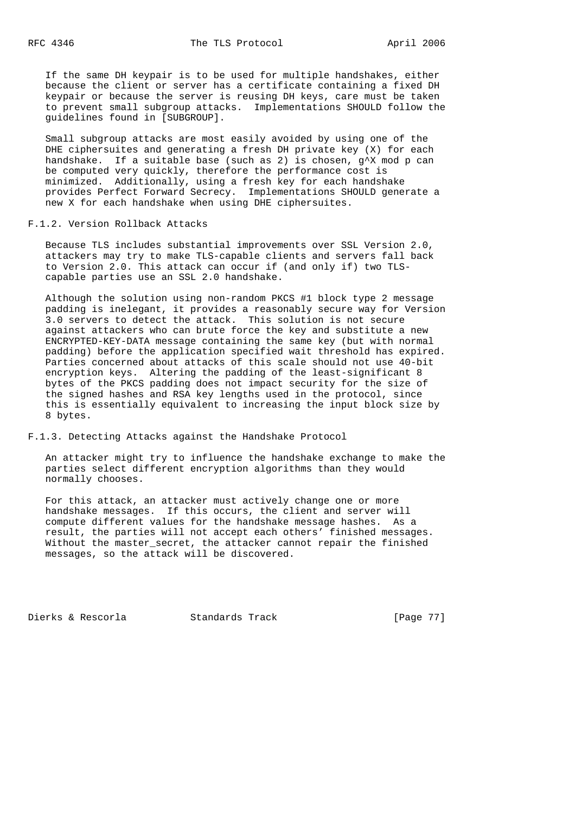If the same DH keypair is to be used for multiple handshakes, either because the client or server has a certificate containing a fixed DH keypair or because the server is reusing DH keys, care must be taken to prevent small subgroup attacks. Implementations SHOULD follow the guidelines found in [SUBGROUP].

 Small subgroup attacks are most easily avoided by using one of the DHE ciphersuites and generating a fresh DH private key (X) for each handshake. If a suitable base (such as 2) is chosen, g^X mod p can be computed very quickly, therefore the performance cost is minimized. Additionally, using a fresh key for each handshake provides Perfect Forward Secrecy. Implementations SHOULD generate a new X for each handshake when using DHE ciphersuites.

# F.1.2. Version Rollback Attacks

 Because TLS includes substantial improvements over SSL Version 2.0, attackers may try to make TLS-capable clients and servers fall back to Version 2.0. This attack can occur if (and only if) two TLS capable parties use an SSL 2.0 handshake.

 Although the solution using non-random PKCS #1 block type 2 message padding is inelegant, it provides a reasonably secure way for Version 3.0 servers to detect the attack. This solution is not secure against attackers who can brute force the key and substitute a new ENCRYPTED-KEY-DATA message containing the same key (but with normal padding) before the application specified wait threshold has expired. Parties concerned about attacks of this scale should not use 40-bit encryption keys. Altering the padding of the least-significant 8 bytes of the PKCS padding does not impact security for the size of the signed hashes and RSA key lengths used in the protocol, since this is essentially equivalent to increasing the input block size by 8 bytes.

## F.1.3. Detecting Attacks against the Handshake Protocol

 An attacker might try to influence the handshake exchange to make the parties select different encryption algorithms than they would normally chooses.

 For this attack, an attacker must actively change one or more handshake messages. If this occurs, the client and server will compute different values for the handshake message hashes. As a result, the parties will not accept each others' finished messages. Without the master\_secret, the attacker cannot repair the finished messages, so the attack will be discovered.

Dierks & Rescorla Standards Track [Page 77]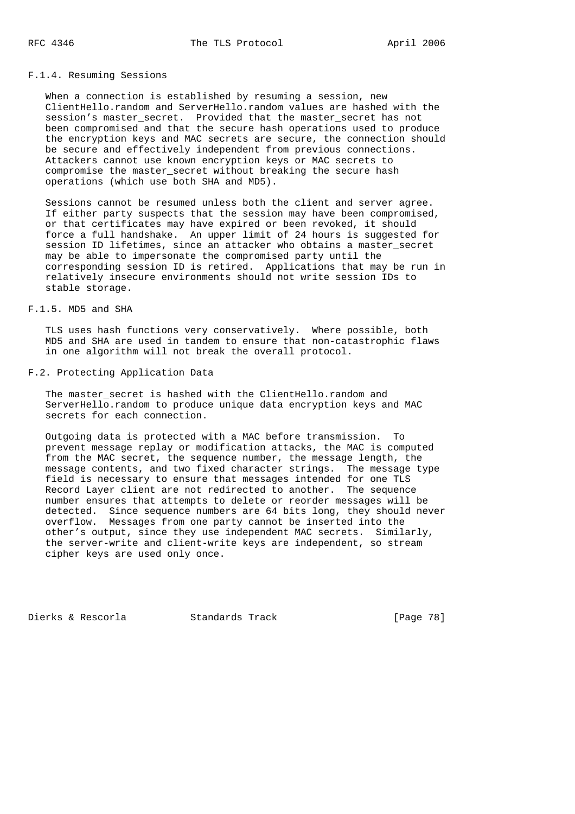### F.1.4. Resuming Sessions

 When a connection is established by resuming a session, new ClientHello.random and ServerHello.random values are hashed with the session's master\_secret. Provided that the master\_secret has not been compromised and that the secure hash operations used to produce the encryption keys and MAC secrets are secure, the connection should be secure and effectively independent from previous connections. Attackers cannot use known encryption keys or MAC secrets to compromise the master\_secret without breaking the secure hash operations (which use both SHA and MD5).

 Sessions cannot be resumed unless both the client and server agree. If either party suspects that the session may have been compromised, or that certificates may have expired or been revoked, it should force a full handshake. An upper limit of 24 hours is suggested for session ID lifetimes, since an attacker who obtains a master\_secret may be able to impersonate the compromised party until the corresponding session ID is retired. Applications that may be run in relatively insecure environments should not write session IDs to stable storage.

# F.1.5. MD5 and SHA

 TLS uses hash functions very conservatively. Where possible, both MD5 and SHA are used in tandem to ensure that non-catastrophic flaws in one algorithm will not break the overall protocol.

## F.2. Protecting Application Data

The master\_secret is hashed with the ClientHello.random and ServerHello.random to produce unique data encryption keys and MAC secrets for each connection.

 Outgoing data is protected with a MAC before transmission. To prevent message replay or modification attacks, the MAC is computed from the MAC secret, the sequence number, the message length, the message contents, and two fixed character strings. The message type field is necessary to ensure that messages intended for one TLS Record Layer client are not redirected to another. The sequence number ensures that attempts to delete or reorder messages will be detected. Since sequence numbers are 64 bits long, they should never overflow. Messages from one party cannot be inserted into the other's output, since they use independent MAC secrets. Similarly, the server-write and client-write keys are independent, so stream cipher keys are used only once.

Dierks & Rescorla Standards Track [Page 78]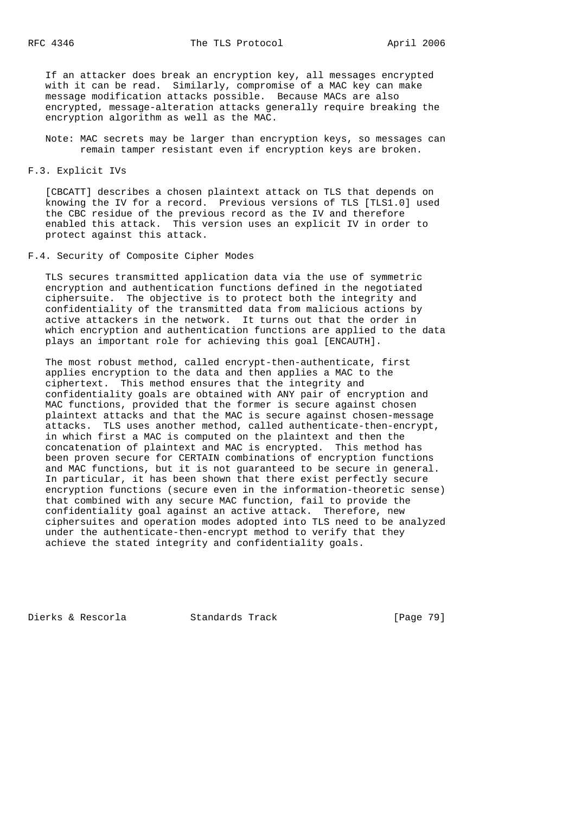If an attacker does break an encryption key, all messages encrypted with it can be read. Similarly, compromise of a MAC key can make message modification attacks possible. Because MACs are also encrypted, message-alteration attacks generally require breaking the encryption algorithm as well as the MAC.

 Note: MAC secrets may be larger than encryption keys, so messages can remain tamper resistant even if encryption keys are broken.

F.3. Explicit IVs

 [CBCATT] describes a chosen plaintext attack on TLS that depends on knowing the IV for a record. Previous versions of TLS [TLS1.0] used the CBC residue of the previous record as the IV and therefore enabled this attack. This version uses an explicit IV in order to protect against this attack.

F.4. Security of Composite Cipher Modes

 TLS secures transmitted application data via the use of symmetric encryption and authentication functions defined in the negotiated ciphersuite. The objective is to protect both the integrity and confidentiality of the transmitted data from malicious actions by active attackers in the network. It turns out that the order in which encryption and authentication functions are applied to the data plays an important role for achieving this goal [ENCAUTH].

 The most robust method, called encrypt-then-authenticate, first applies encryption to the data and then applies a MAC to the ciphertext. This method ensures that the integrity and confidentiality goals are obtained with ANY pair of encryption and MAC functions, provided that the former is secure against chosen plaintext attacks and that the MAC is secure against chosen-message attacks. TLS uses another method, called authenticate-then-encrypt, in which first a MAC is computed on the plaintext and then the concatenation of plaintext and MAC is encrypted. This method has been proven secure for CERTAIN combinations of encryption functions and MAC functions, but it is not guaranteed to be secure in general. In particular, it has been shown that there exist perfectly secure encryption functions (secure even in the information-theoretic sense) that combined with any secure MAC function, fail to provide the confidentiality goal against an active attack. Therefore, new ciphersuites and operation modes adopted into TLS need to be analyzed under the authenticate-then-encrypt method to verify that they achieve the stated integrity and confidentiality goals.

Dierks & Rescorla Standards Track [Page 79]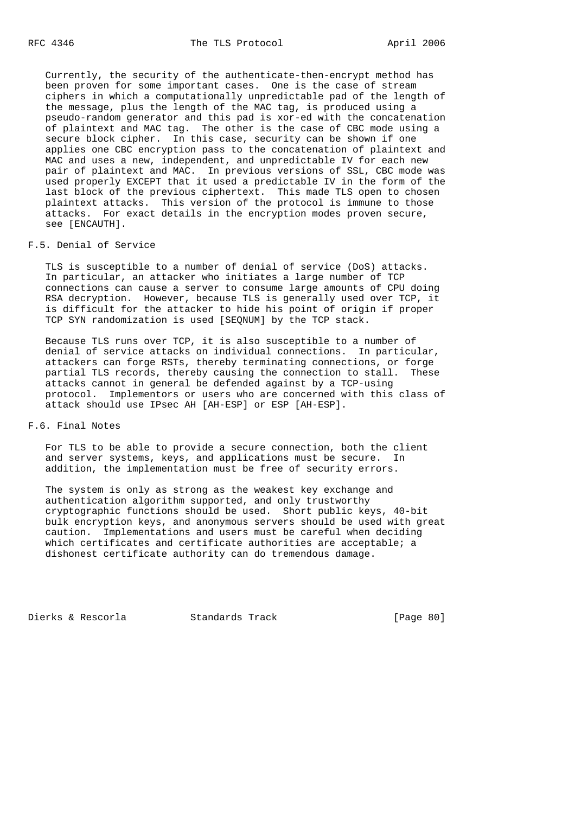Currently, the security of the authenticate-then-encrypt method has been proven for some important cases. One is the case of stream ciphers in which a computationally unpredictable pad of the length of the message, plus the length of the MAC tag, is produced using a pseudo-random generator and this pad is xor-ed with the concatenation of plaintext and MAC tag. The other is the case of CBC mode using a secure block cipher. In this case, security can be shown if one applies one CBC encryption pass to the concatenation of plaintext and MAC and uses a new, independent, and unpredictable IV for each new pair of plaintext and MAC. In previous versions of SSL, CBC mode was used properly EXCEPT that it used a predictable IV in the form of the last block of the previous ciphertext. This made TLS open to chosen plaintext attacks. This version of the protocol is immune to those attacks. For exact details in the encryption modes proven secure, see [ENCAUTH].

# F.5. Denial of Service

 TLS is susceptible to a number of denial of service (DoS) attacks. In particular, an attacker who initiates a large number of TCP connections can cause a server to consume large amounts of CPU doing RSA decryption. However, because TLS is generally used over TCP, it is difficult for the attacker to hide his point of origin if proper TCP SYN randomization is used [SEQNUM] by the TCP stack.

 Because TLS runs over TCP, it is also susceptible to a number of denial of service attacks on individual connections. In particular, attackers can forge RSTs, thereby terminating connections, or forge partial TLS records, thereby causing the connection to stall. These attacks cannot in general be defended against by a TCP-using protocol. Implementors or users who are concerned with this class of attack should use IPsec AH [AH-ESP] or ESP [AH-ESP].

# F.6. Final Notes

 For TLS to be able to provide a secure connection, both the client and server systems, keys, and applications must be secure. In addition, the implementation must be free of security errors.

 The system is only as strong as the weakest key exchange and authentication algorithm supported, and only trustworthy cryptographic functions should be used. Short public keys, 40-bit bulk encryption keys, and anonymous servers should be used with great caution. Implementations and users must be careful when deciding which certificates and certificate authorities are acceptable; a dishonest certificate authority can do tremendous damage.

Dierks & Rescorla Standards Track [Page 80]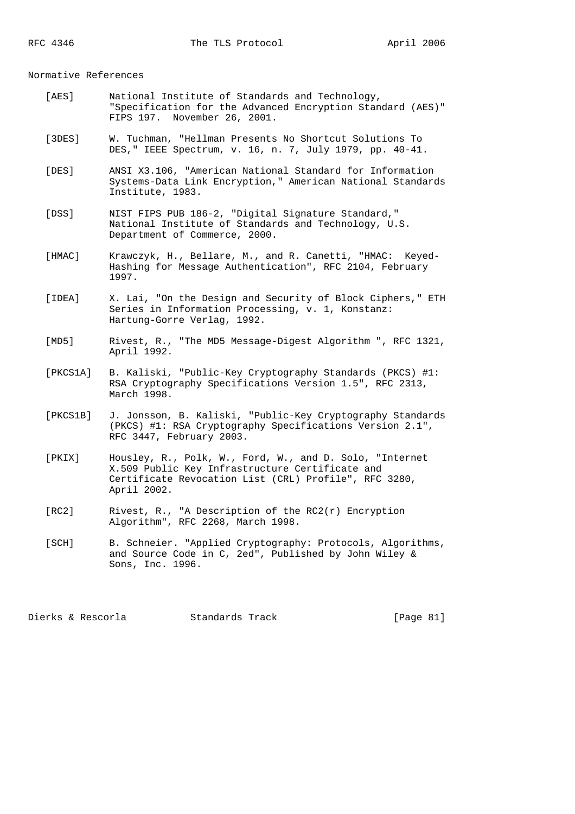#### Normative References

- [AES] National Institute of Standards and Technology, "Specification for the Advanced Encryption Standard (AES)" FIPS 197. November 26, 2001.
- [3DES] W. Tuchman, "Hellman Presents No Shortcut Solutions To DES," IEEE Spectrum, v. 16, n. 7, July 1979, pp. 40-41.
- [DES] ANSI X3.106, "American National Standard for Information Systems-Data Link Encryption," American National Standards Institute, 1983.
- [DSS] NIST FIPS PUB 186-2, "Digital Signature Standard," National Institute of Standards and Technology, U.S. Department of Commerce, 2000.
- [HMAC] Krawczyk, H., Bellare, M., and R. Canetti, "HMAC: Keyed- Hashing for Message Authentication", RFC 2104, February 1997.
- [IDEA] X. Lai, "On the Design and Security of Block Ciphers," ETH Series in Information Processing, v. 1, Konstanz: Hartung-Gorre Verlag, 1992.
- [MD5] Rivest, R., "The MD5 Message-Digest Algorithm ", RFC 1321, April 1992.
- [PKCS1A] B. Kaliski, "Public-Key Cryptography Standards (PKCS) #1: RSA Cryptography Specifications Version 1.5", RFC 2313, March 1998.
- [PKCS1B] J. Jonsson, B. Kaliski, "Public-Key Cryptography Standards (PKCS) #1: RSA Cryptography Specifications Version 2.1", RFC 3447, February 2003.
- [PKIX] Housley, R., Polk, W., Ford, W., and D. Solo, "Internet X.509 Public Key Infrastructure Certificate and Certificate Revocation List (CRL) Profile", RFC 3280, April 2002.
- [RC2] Rivest, R., "A Description of the RC2(r) Encryption Algorithm", RFC 2268, March 1998.
	- [SCH] B. Schneier. "Applied Cryptography: Protocols, Algorithms, and Source Code in C, 2ed", Published by John Wiley & Sons, Inc. 1996.

Dierks & Rescorla Standards Track [Page 81]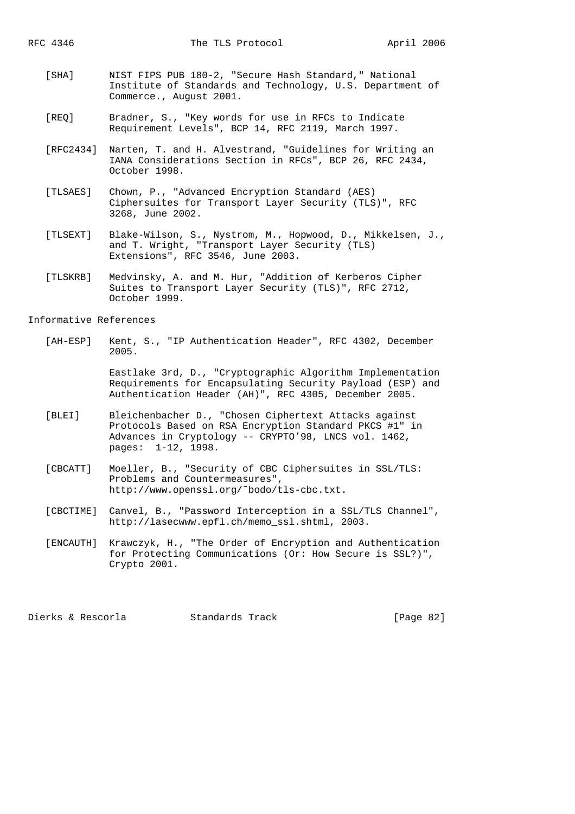- [SHA] NIST FIPS PUB 180-2, "Secure Hash Standard," National Institute of Standards and Technology, U.S. Department of Commerce., August 2001.
- [REQ] Bradner, S., "Key words for use in RFCs to Indicate Requirement Levels", BCP 14, RFC 2119, March 1997.
- [RFC2434] Narten, T. and H. Alvestrand, "Guidelines for Writing an IANA Considerations Section in RFCs", BCP 26, RFC 2434, October 1998.
- [TLSAES] Chown, P., "Advanced Encryption Standard (AES) Ciphersuites for Transport Layer Security (TLS)", RFC 3268, June 2002.
- [TLSEXT] Blake-Wilson, S., Nystrom, M., Hopwood, D., Mikkelsen, J., and T. Wright, "Transport Layer Security (TLS) Extensions", RFC 3546, June 2003.
- [TLSKRB] Medvinsky, A. and M. Hur, "Addition of Kerberos Cipher Suites to Transport Layer Security (TLS)", RFC 2712, October 1999.

Informative References

 [AH-ESP] Kent, S., "IP Authentication Header", RFC 4302, December 2005.

> Eastlake 3rd, D., "Cryptographic Algorithm Implementation Requirements for Encapsulating Security Payload (ESP) and Authentication Header (AH)", RFC 4305, December 2005.

- [BLEI] Bleichenbacher D., "Chosen Ciphertext Attacks against Protocols Based on RSA Encryption Standard PKCS #1" in Advances in Cryptology -- CRYPTO'98, LNCS vol. 1462, pages: 1-12, 1998.
- [CBCATT] Moeller, B., "Security of CBC Ciphersuites in SSL/TLS: Problems and Countermeasures", http://www.openssl.org/˜bodo/tls-cbc.txt.
- [CBCTIME] Canvel, B., "Password Interception in a SSL/TLS Channel", http://lasecwww.epfl.ch/memo\_ssl.shtml, 2003.
- [ENCAUTH] Krawczyk, H., "The Order of Encryption and Authentication for Protecting Communications (Or: How Secure is SSL?)", Crypto 2001.

Dierks & Rescorla Standards Track [Page 82]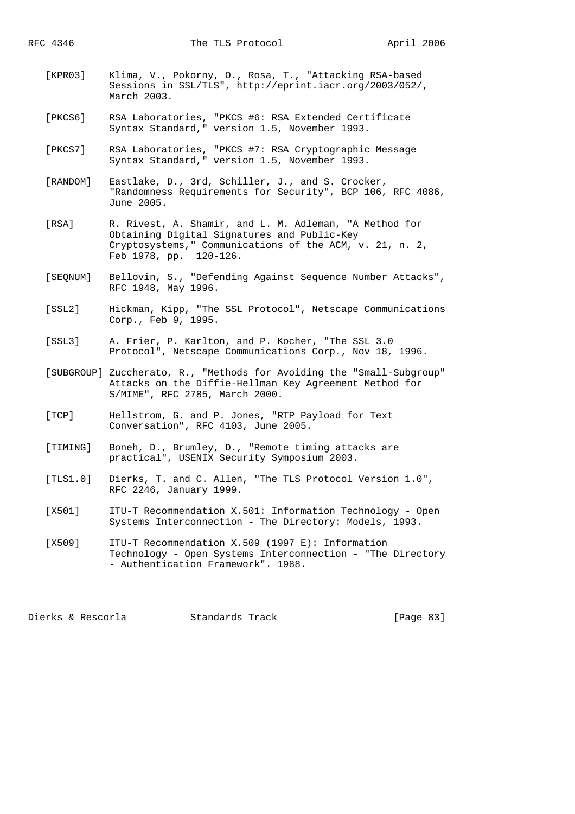- [KPR03] Klima, V., Pokorny, O., Rosa, T., "Attacking RSA-based Sessions in SSL/TLS", http://eprint.iacr.org/2003/052/, March 2003.
- [PKCS6] RSA Laboratories, "PKCS #6: RSA Extended Certificate Syntax Standard," version 1.5, November 1993.
- [PKCS7] RSA Laboratories, "PKCS #7: RSA Cryptographic Message Syntax Standard," version 1.5, November 1993.
- [RANDOM] Eastlake, D., 3rd, Schiller, J., and S. Crocker, "Randomness Requirements for Security", BCP 106, RFC 4086, June 2005.
- [RSA] R. Rivest, A. Shamir, and L. M. Adleman, "A Method for Obtaining Digital Signatures and Public-Key Cryptosystems," Communications of the ACM, v. 21, n. 2, Feb 1978, pp. 120-126.
- [SEQNUM] Bellovin, S., "Defending Against Sequence Number Attacks", RFC 1948, May 1996.
- [SSL2] Hickman, Kipp, "The SSL Protocol", Netscape Communications Corp., Feb 9, 1995.
- [SSL3] A. Frier, P. Karlton, and P. Kocher, "The SSL 3.0 Protocol", Netscape Communications Corp., Nov 18, 1996.
- [SUBGROUP] Zuccherato, R., "Methods for Avoiding the "Small-Subgroup" Attacks on the Diffie-Hellman Key Agreement Method for S/MIME", RFC 2785, March 2000.
- [TCP] Hellstrom, G. and P. Jones, "RTP Payload for Text Conversation", RFC 4103, June 2005.
- [TIMING] Boneh, D., Brumley, D., "Remote timing attacks are practical", USENIX Security Symposium 2003.
- [TLS1.0] Dierks, T. and C. Allen, "The TLS Protocol Version 1.0", RFC 2246, January 1999.
- [X501] ITU-T Recommendation X.501: Information Technology Open Systems Interconnection - The Directory: Models, 1993.
- [X509] ITU-T Recommendation X.509 (1997 E): Information Technology - Open Systems Interconnection - "The Directory - Authentication Framework". 1988.

Dierks & Rescorla Standards Track [Page 83]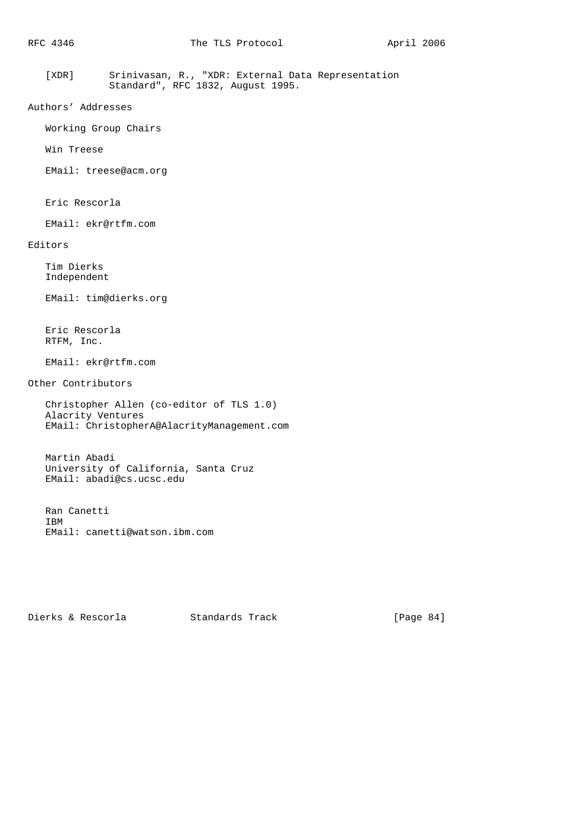[XDR] Srinivasan, R., "XDR: External Data Representation Standard", RFC 1832, August 1995.

```
Authors' Addresses
```
Working Group Chairs

Win Treese

EMail: treese@acm.org

Eric Rescorla

EMail: ekr@rtfm.com

# Editors

 Tim Dierks Independent

EMail: tim@dierks.org

 Eric Rescorla RTFM, Inc.

EMail: ekr@rtfm.com

Other Contributors

```
 Christopher Allen (co-editor of TLS 1.0)
Alacrity Ventures
EMail: ChristopherA@AlacrityManagement.com
```
 Martin Abadi University of California, Santa Cruz EMail: abadi@cs.ucsc.edu

 Ran Canetti IBM EMail: canetti@watson.ibm.com

Dierks & Rescorla Standards Track [Page 84]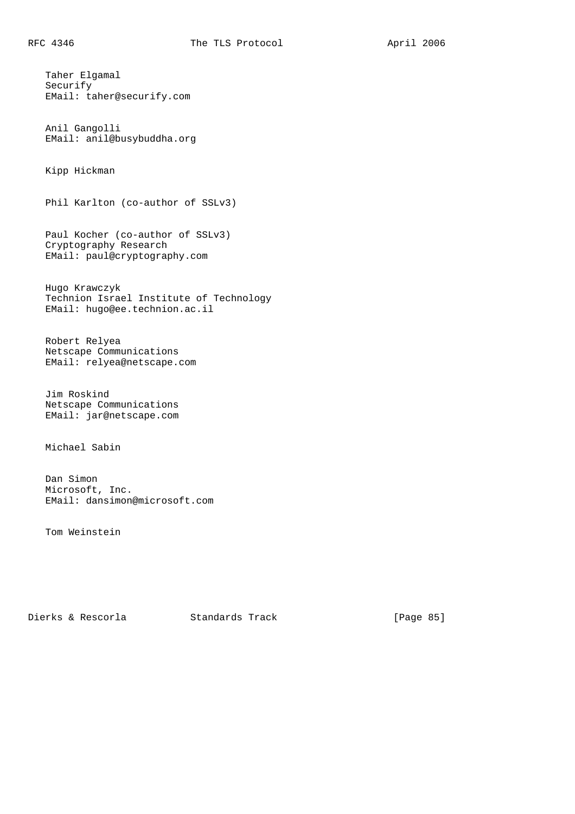Taher Elgamal Securify EMail: taher@securify.com

 Anil Gangolli EMail: anil@busybuddha.org

Kipp Hickman

Phil Karlton (co-author of SSLv3)

 Paul Kocher (co-author of SSLv3) Cryptography Research EMail: paul@cryptography.com

 Hugo Krawczyk Technion Israel Institute of Technology EMail: hugo@ee.technion.ac.il

 Robert Relyea Netscape Communications EMail: relyea@netscape.com

 Jim Roskind Netscape Communications EMail: jar@netscape.com

Michael Sabin

 Dan Simon Microsoft, Inc. EMail: dansimon@microsoft.com

Tom Weinstein

Dierks & Rescorla Standards Track [Page 85]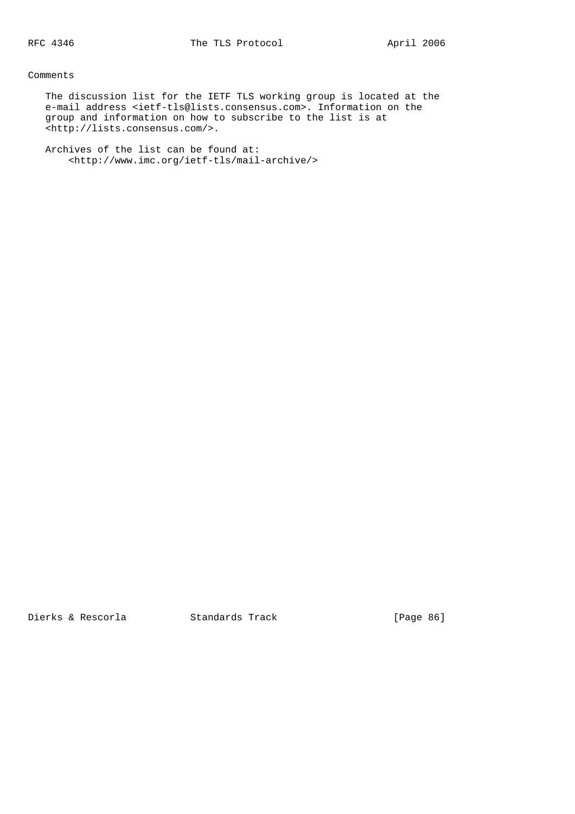# Comments

 The discussion list for the IETF TLS working group is located at the e-mail address <ietf-tls@lists.consensus.com>. Information on the group and information on how to subscribe to the list is at <http://lists.consensus.com/>.

 Archives of the list can be found at: <http://www.imc.org/ietf-tls/mail-archive/>

Dierks & Rescorla Standards Track [Page 86]